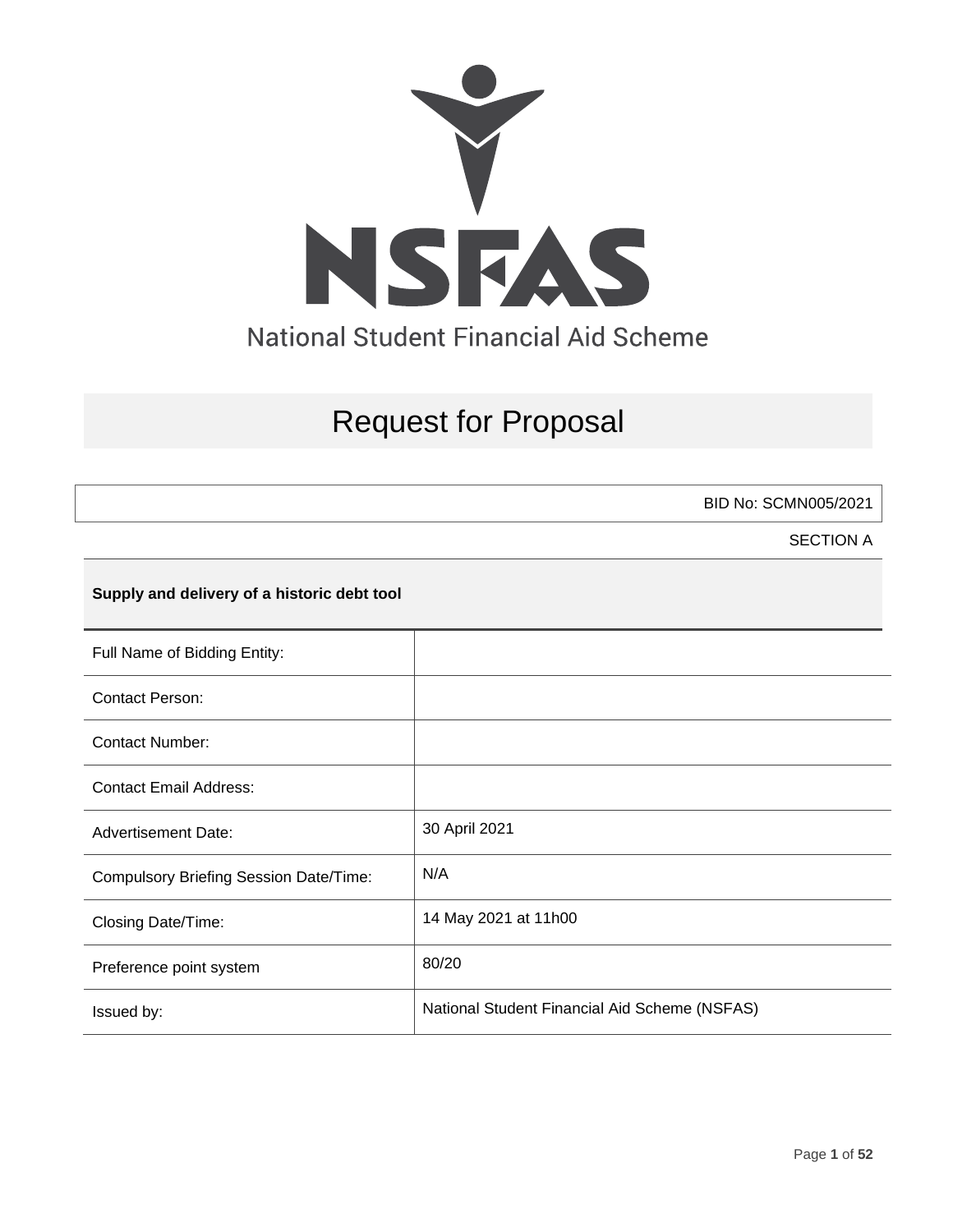

# Request for Proposal

BID No: SCMN005/2021

SECTION A

## **Supply and delivery of a historic debt tool**

| Full Name of Bidding Entity:                  |                                               |
|-----------------------------------------------|-----------------------------------------------|
| <b>Contact Person:</b>                        |                                               |
| <b>Contact Number:</b>                        |                                               |
| <b>Contact Email Address:</b>                 |                                               |
| <b>Advertisement Date:</b>                    | 30 April 2021                                 |
| <b>Compulsory Briefing Session Date/Time:</b> | N/A                                           |
| Closing Date/Time:                            | 14 May 2021 at 11h00                          |
| Preference point system                       | 80/20                                         |
| Issued by:                                    | National Student Financial Aid Scheme (NSFAS) |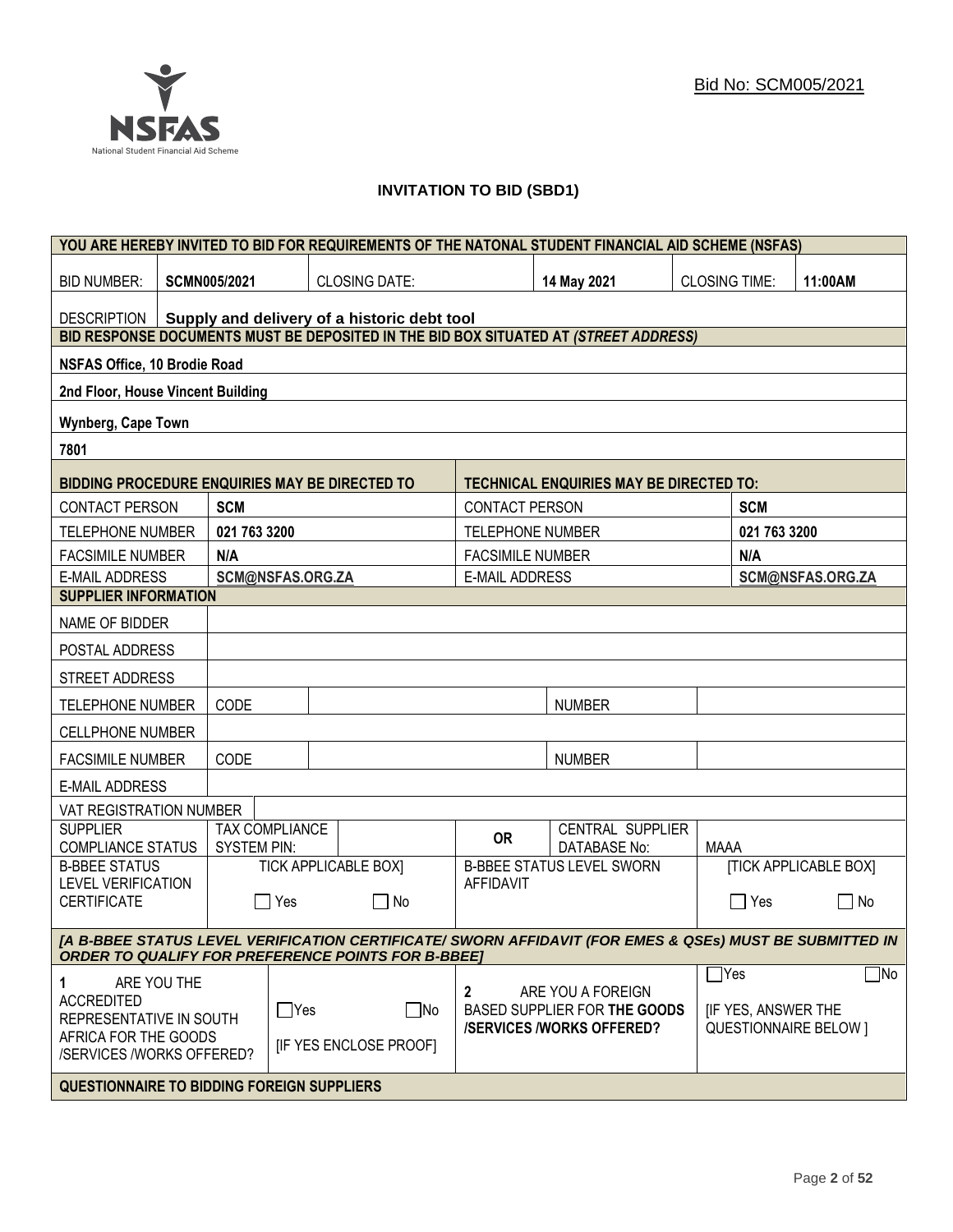## **INVITATION TO BID (SBD1)**

|                                                                                                                                                                      | YOU ARE HEREBY INVITED TO BID FOR REQUIREMENTS OF THE NATONAL STUDENT FINANCIAL AID SCHEME (NSFAS) |                     |                  |                                                                                      |                         |                                                |                              |                  |                              |
|----------------------------------------------------------------------------------------------------------------------------------------------------------------------|----------------------------------------------------------------------------------------------------|---------------------|------------------|--------------------------------------------------------------------------------------|-------------------------|------------------------------------------------|------------------------------|------------------|------------------------------|
| <b>BID NUMBER:</b>                                                                                                                                                   |                                                                                                    | <b>SCMN005/2021</b> |                  | <b>CLOSING DATE:</b>                                                                 |                         | 14 May 2021                                    | <b>CLOSING TIME:</b>         |                  | 11:00AM                      |
| Supply and delivery of a historic debt tool<br><b>DESCRIPTION</b>                                                                                                    |                                                                                                    |                     |                  |                                                                                      |                         |                                                |                              |                  |                              |
|                                                                                                                                                                      |                                                                                                    |                     |                  | BID RESPONSE DOCUMENTS MUST BE DEPOSITED IN THE BID BOX SITUATED AT (STREET ADDRESS) |                         |                                                |                              |                  |                              |
| <b>NSFAS Office, 10 Brodie Road</b>                                                                                                                                  |                                                                                                    |                     |                  |                                                                                      |                         |                                                |                              |                  |                              |
| 2nd Floor, House Vincent Building                                                                                                                                    |                                                                                                    |                     |                  |                                                                                      |                         |                                                |                              |                  |                              |
| <b>Wynberg, Cape Town</b>                                                                                                                                            |                                                                                                    |                     |                  |                                                                                      |                         |                                                |                              |                  |                              |
| 7801                                                                                                                                                                 |                                                                                                    |                     |                  |                                                                                      |                         |                                                |                              |                  |                              |
| BIDDING PROCEDURE ENQUIRIES MAY BE DIRECTED TO                                                                                                                       |                                                                                                    |                     |                  |                                                                                      |                         | <b>TECHNICAL ENQUIRIES MAY BE DIRECTED TO:</b> |                              |                  |                              |
| <b>CONTACT PERSON</b>                                                                                                                                                |                                                                                                    | <b>SCM</b>          |                  |                                                                                      | <b>CONTACT PERSON</b>   |                                                |                              | <b>SCM</b>       |                              |
| <b>TELEPHONE NUMBER</b>                                                                                                                                              |                                                                                                    | 021 763 3200        |                  |                                                                                      | <b>TELEPHONE NUMBER</b> |                                                |                              | 021 763 3200     |                              |
| <b>FACSIMILE NUMBER</b>                                                                                                                                              |                                                                                                    | N/A                 |                  |                                                                                      | <b>FACSIMILE NUMBER</b> |                                                |                              | N/A              |                              |
| <b>E-MAIL ADDRESS</b>                                                                                                                                                |                                                                                                    |                     | SCM@NSFAS.ORG.ZA |                                                                                      | <b>E-MAIL ADDRESS</b>   |                                                |                              |                  | SCM@NSFAS.ORG.ZA             |
| <b>SUPPLIER INFORMATION</b>                                                                                                                                          |                                                                                                    |                     |                  |                                                                                      |                         |                                                |                              |                  |                              |
| NAME OF BIDDER                                                                                                                                                       |                                                                                                    |                     |                  |                                                                                      |                         |                                                |                              |                  |                              |
| POSTAL ADDRESS                                                                                                                                                       |                                                                                                    |                     |                  |                                                                                      |                         |                                                |                              |                  |                              |
| STREET ADDRESS                                                                                                                                                       |                                                                                                    |                     |                  |                                                                                      |                         |                                                |                              |                  |                              |
| <b>TELEPHONE NUMBER</b>                                                                                                                                              |                                                                                                    | CODE                |                  |                                                                                      |                         | <b>NUMBER</b>                                  |                              |                  |                              |
| <b>CELLPHONE NUMBER</b>                                                                                                                                              |                                                                                                    |                     |                  |                                                                                      |                         |                                                |                              |                  |                              |
| <b>FACSIMILE NUMBER</b>                                                                                                                                              |                                                                                                    | CODE                |                  |                                                                                      |                         | <b>NUMBER</b>                                  |                              |                  |                              |
| <b>E-MAIL ADDRESS</b>                                                                                                                                                |                                                                                                    |                     |                  |                                                                                      |                         |                                                |                              |                  |                              |
| VAT REGISTRATION NUMBER                                                                                                                                              |                                                                                                    |                     |                  |                                                                                      |                         |                                                |                              |                  |                              |
| <b>SUPPLIER</b><br><b>COMPLIANCE STATUS</b>                                                                                                                          |                                                                                                    | <b>SYSTEM PIN:</b>  | TAX COMPLIANCE   |                                                                                      | <b>OR</b>               | CENTRAL SUPPLIER<br><b>DATABASE No:</b>        | <b>MAAA</b>                  |                  |                              |
| <b>B-BBEE STATUS</b>                                                                                                                                                 |                                                                                                    |                     |                  | <b>TICK APPLICABLE BOX]</b>                                                          |                         | <b>B-BBEE STATUS LEVEL SWORN</b>               |                              |                  | <b>[TICK APPLICABLE BOX]</b> |
| <b>LEVEL VERIFICATION</b><br><b>CERTIFICATE</b>                                                                                                                      |                                                                                                    | $\mathbf{I}$        | Yes              | $\Box$ No                                                                            | <b>AFFIDAVIT</b>        |                                                |                              | $\Box$ Yes       | $\Box$<br>No                 |
| [A B-BBEE STATUS LEVEL VERIFICATION CERTIFICATE/ SWORN AFFIDAVIT (FOR EMES & QSEs) MUST BE SUBMITTED IN<br><b>ORDER TO QUALIFY FOR PREFERENCE POINTS FOR B-BBEET</b> |                                                                                                    |                     |                  |                                                                                      |                         |                                                |                              |                  |                              |
|                                                                                                                                                                      |                                                                                                    |                     |                  |                                                                                      |                         |                                                |                              | $\mathsf{T}$ Yes | $\Box$ No                    |
| 1<br><b>ACCREDITED</b>                                                                                                                                               | ARE YOU THE                                                                                        |                     |                  |                                                                                      | 2                       | ARE YOU A FOREIGN                              |                              |                  |                              |
| $\Box$ Yes<br>REPRESENTATIVE IN SOUTH                                                                                                                                |                                                                                                    | $\Box$ No           |                  | BASED SUPPLIER FOR THE GOODS<br><b>/SERVICES/WORKS OFFERED?</b>                      |                         | <b>IF YES, ANSWER THE</b>                      | <b>QUESTIONNAIRE BELOW 1</b> |                  |                              |
| AFRICA FOR THE GOODS<br>/SERVICES /WORKS OFFERED?                                                                                                                    |                                                                                                    |                     |                  | <b>IF YES ENCLOSE PROOFI</b>                                                         |                         |                                                |                              |                  |                              |
|                                                                                                                                                                      |                                                                                                    |                     |                  |                                                                                      |                         |                                                |                              |                  |                              |
| <b>QUESTIONNAIRE TO BIDDING FOREIGN SUPPLIERS</b>                                                                                                                    |                                                                                                    |                     |                  |                                                                                      |                         |                                                |                              |                  |                              |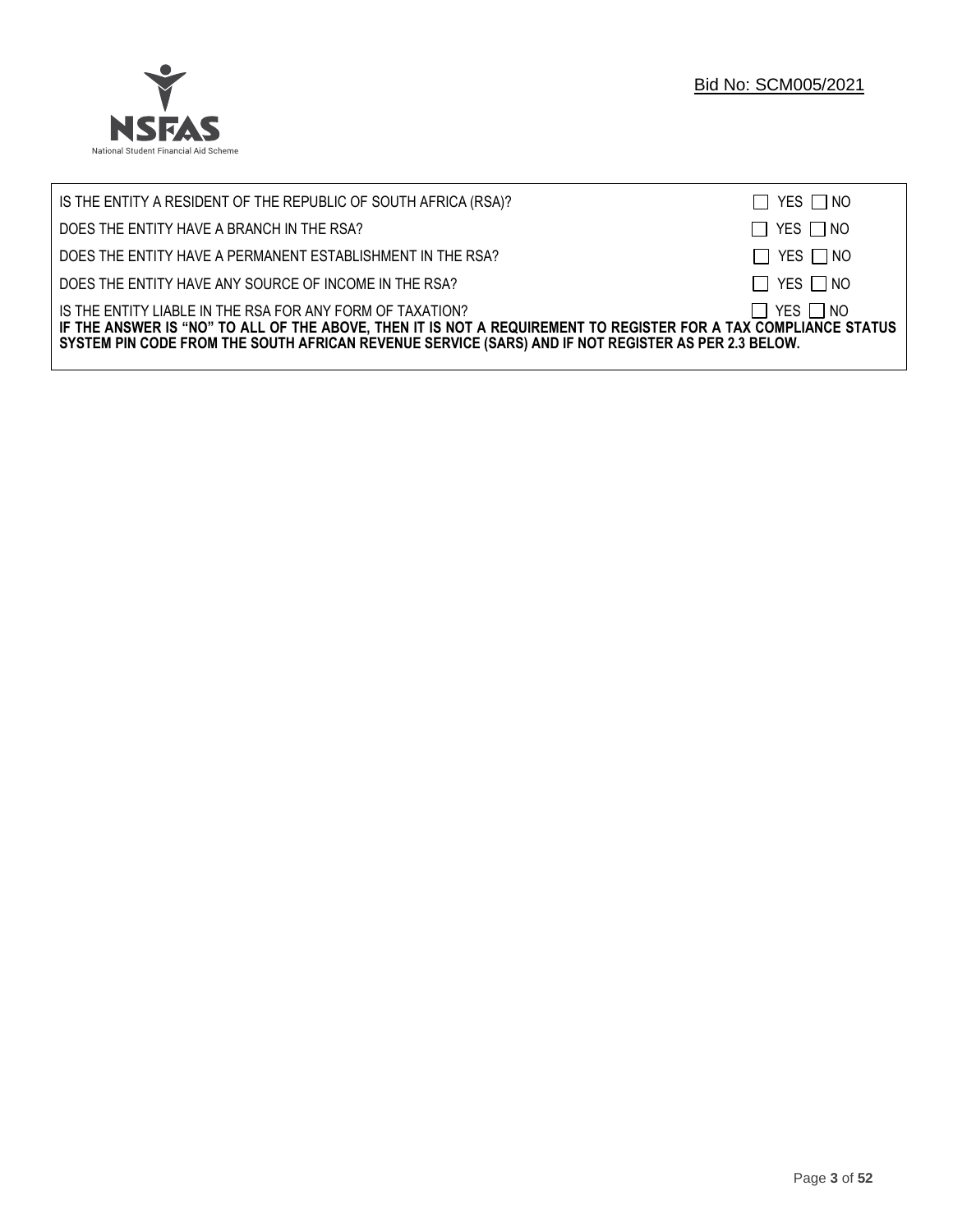

| IS THE ENTITY A RESIDENT OF THE REPUBLIC OF SOUTH AFRICA (RSA)?                                                                                                                                                                                                                     | $\Box$ YES $\Box$ NO |
|-------------------------------------------------------------------------------------------------------------------------------------------------------------------------------------------------------------------------------------------------------------------------------------|----------------------|
| DOES THE ENTITY HAVE A BRANCH IN THE RSA?                                                                                                                                                                                                                                           | $\Box$ YES $\Box$ NO |
| DOES THE ENTITY HAVE A PERMANENT ESTABLISHMENT IN THE RSA?                                                                                                                                                                                                                          | $\Box$ YES $\Box$ NO |
| DOES THE ENTITY HAVE ANY SOURCE OF INCOME IN THE RSA?                                                                                                                                                                                                                               | $\Box$ YES $\Box$ NO |
| IS THE ENTITY LIABLE IN THE RSA FOR ANY FORM OF TAXATION?<br>IF THE ANSWER IS "NO" TO ALL OF THE ABOVE, THEN IT IS NOT A REQUIREMENT TO REGISTER FOR A TAX COMPLIANCE STATUS<br>SYSTEM PIN CODE FROM THE SOUTH AFRICAN REVENUE SERVICE (SARS) AND IF NOT REGISTER AS PER 2.3 BELOW. | $\Box$ YES $\Box$ NO |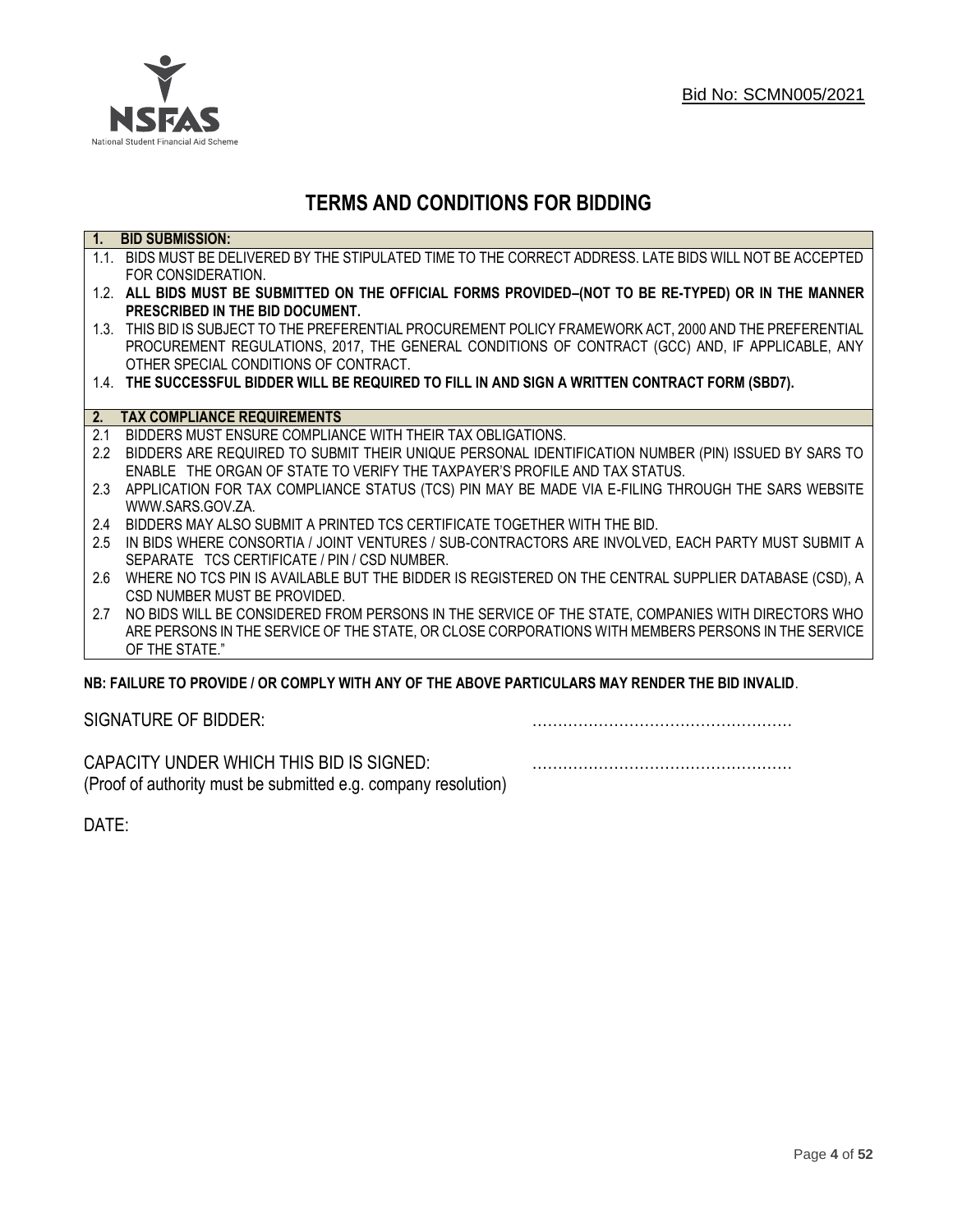

## **TERMS AND CONDITIONS FOR BIDDING**

| $\overline{1}$ . | <b>BID SUBMISSION:</b>                                                                                    |
|------------------|-----------------------------------------------------------------------------------------------------------|
|                  | 1.1. BIDS MUST BE DELIVERED BY THE STIPULATED TIME TO THE CORRECT ADDRESS. LATE BIDS WILL NOT BE ACCEPTED |
|                  | FOR CONSIDERATION.                                                                                        |
|                  | 1.2. ALL BIDS MUST BE SUBMITTED ON THE OFFICIAL FORMS PROVIDED-(NOT TO BE RE-TYPED) OR IN THE MANNER      |
|                  | PRESCRIBED IN THE BID DOCUMENT.                                                                           |
|                  | 1.3. THIS BID IS SUBJECT TO THE PREFERENTIAL PROCUREMENT POLICY FRAMEWORK ACT, 2000 AND THE PREFERENTIAL  |
|                  | PROCUREMENT REGULATIONS, 2017, THE GENERAL CONDITIONS OF CONTRACT (GCC) AND, IF APPLICABLE, ANY           |
|                  | OTHER SPECIAL CONDITIONS OF CONTRACT.                                                                     |
|                  | 1.4. THE SUCCESSFUL BIDDER WILL BE REQUIRED TO FILL IN AND SIGN A WRITTEN CONTRACT FORM (SBD7).           |
|                  |                                                                                                           |
|                  | 2. TAX COMPLIANCE REQUIREMENTS                                                                            |
| 2.1              | BIDDERS MUST ENSURE COMPLIANCE WITH THEIR TAX OBLIGATIONS.                                                |
| $2.2^{\circ}$    | BIDDERS ARE REQUIRED TO SUBMIT THEIR UNIQUE PERSONAL IDENTIFICATION NUMBER (PIN) ISSUED BY SARS TO        |
|                  | ENABLE THE ORGAN OF STATE TO VERIFY THE TAXPAYER'S PROFILE AND TAX STATUS.                                |
| 2.3              | APPLICATION FOR TAX COMPLIANCE STATUS (TCS) PIN MAY BE MADE VIA E-FILING THROUGH THE SARS WEBSITE         |
|                  | WWW.SARS.GOV.ZA.                                                                                          |
| 2.4              | BIDDERS MAY ALSO SUBMIT A PRINTED TCS CERTIFICATE TOGETHER WITH THE BID.                                  |
| 2.5              | IN BIDS WHERE CONSORTIA / JOINT VENTURES / SUB-CONTRACTORS ARE INVOLVED, EACH PARTY MUST SUBMIT A         |
|                  | SEPARATE TCS CERTIFICATE / PIN / CSD NUMBER.                                                              |
| 2.6              | WHERE NO TCS PIN IS AVAILABLE BUT THE BIDDER IS REGISTERED ON THE CENTRAL SUPPLIER DATABASE (CSD), A      |
|                  | CSD NUMBER MUST BE PROVIDED.                                                                              |
| 2.7              | NO BIDS WILL BE CONSIDERED FROM PERSONS IN THE SERVICE OF THE STATE, COMPANIES WITH DIRECTORS WHO         |
|                  | ARE PERSONS IN THE SERVICE OF THE STATE, OR CLOSE CORPORATIONS WITH MEMBERS PERSONS IN THE SERVICE        |
|                  | OF THE STATE."                                                                                            |
|                  | ND. EAILHDE TÓ DDÓVIDE LÓD CÓMDLV WITH ANY ÓE THE ADÓVE DADTICHLADÓ MAY DENDED THE DID INVALID.           |

## **NB: FAILURE TO PROVIDE / OR COMPLY WITH ANY OF THE ABOVE PARTICULARS MAY RENDER THE BID INVALID**.

|  | SIGNATURE OF BIDDER: |
|--|----------------------|
|--|----------------------|

SIGNATURE OF BIDDER: ……………………………………………

CAPACITY UNDER WHICH THIS BID IS SIGNED: …………………………………………… (Proof of authority must be submitted e.g. company resolution)

DATE: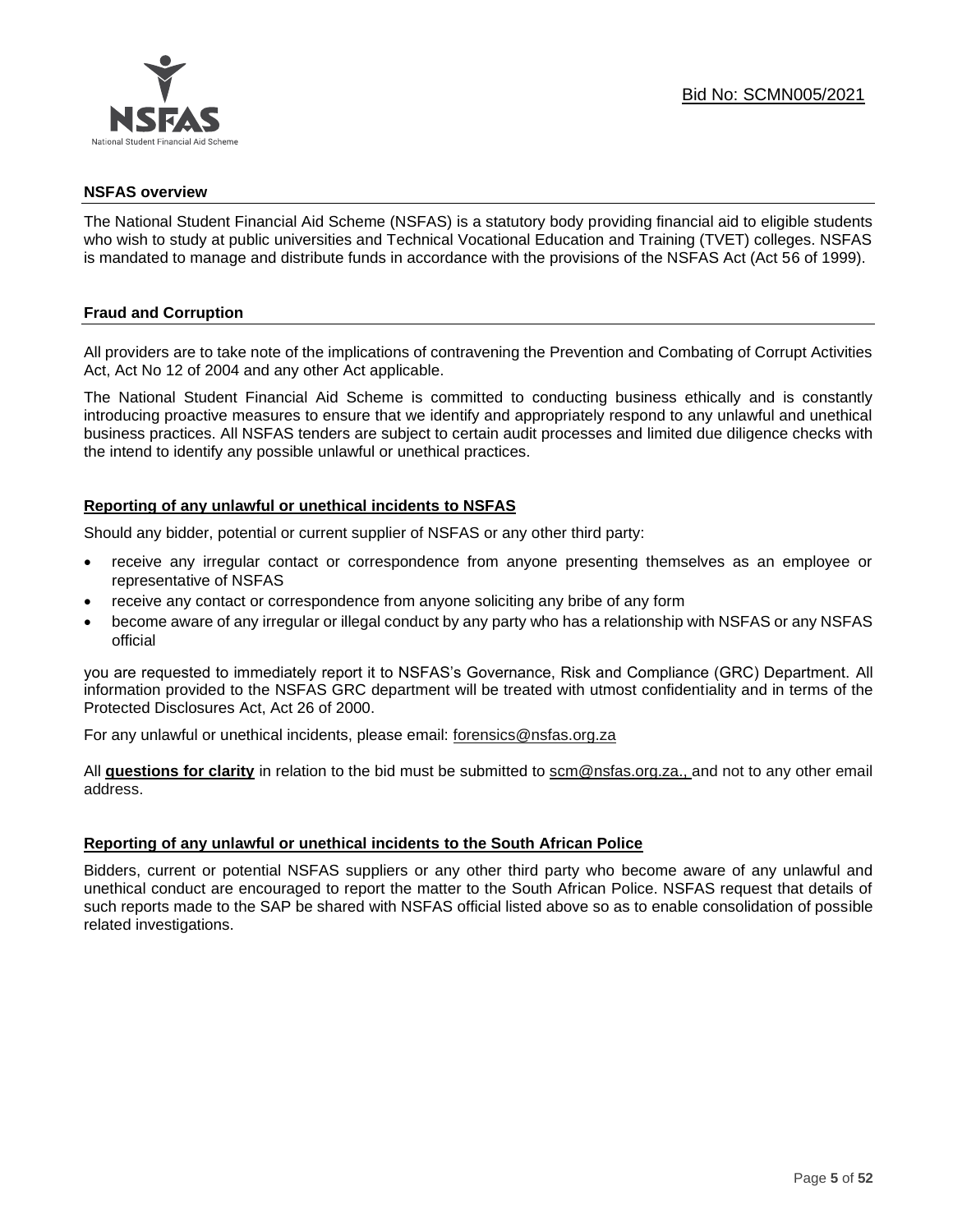

#### **NSFAS overview**

The National Student Financial Aid Scheme (NSFAS) is a statutory body providing financial aid to eligible students who wish to study at public universities and Technical Vocational Education and Training (TVET) colleges. NSFAS is mandated to manage and distribute funds in accordance with the provisions of the NSFAS Act (Act 56 of 1999).

## **Fraud and Corruption**

All providers are to take note of the implications of contravening the Prevention and Combating of Corrupt Activities Act, Act No 12 of 2004 and any other Act applicable.

The National Student Financial Aid Scheme is committed to conducting business ethically and is constantly introducing proactive measures to ensure that we identify and appropriately respond to any unlawful and unethical business practices. All NSFAS tenders are subject to certain audit processes and limited due diligence checks with the intend to identify any possible unlawful or unethical practices.

## **Reporting of any unlawful or unethical incidents to NSFAS**

Should any bidder, potential or current supplier of NSFAS or any other third party:

- receive any irregular contact or correspondence from anyone presenting themselves as an employee or representative of NSFAS
- receive any contact or correspondence from anyone soliciting any bribe of any form
- become aware of any irregular or illegal conduct by any party who has a relationship with NSFAS or any NSFAS official

you are requested to immediately report it to NSFAS's Governance, Risk and Compliance (GRC) Department. All information provided to the NSFAS GRC department will be treated with utmost confidentiality and in terms of the Protected Disclosures Act, Act 26 of 2000.

For any unlawful or unethical incidents, please email: [forensics@nsfas.org.za](mailto:forensics@nsfas.org.za)

All **questions for clarity** in relation to the bid must be submitted to [scm@nsfas.org.za.](mailto:scm@nsfas.org.za), and not to any other email address.

## **Reporting of any unlawful or unethical incidents to the South African Police**

Bidders, current or potential NSFAS suppliers or any other third party who become aware of any unlawful and unethical conduct are encouraged to report the matter to the South African Police. NSFAS request that details of such reports made to the SAP be shared with NSFAS official listed above so as to enable consolidation of possible related investigations.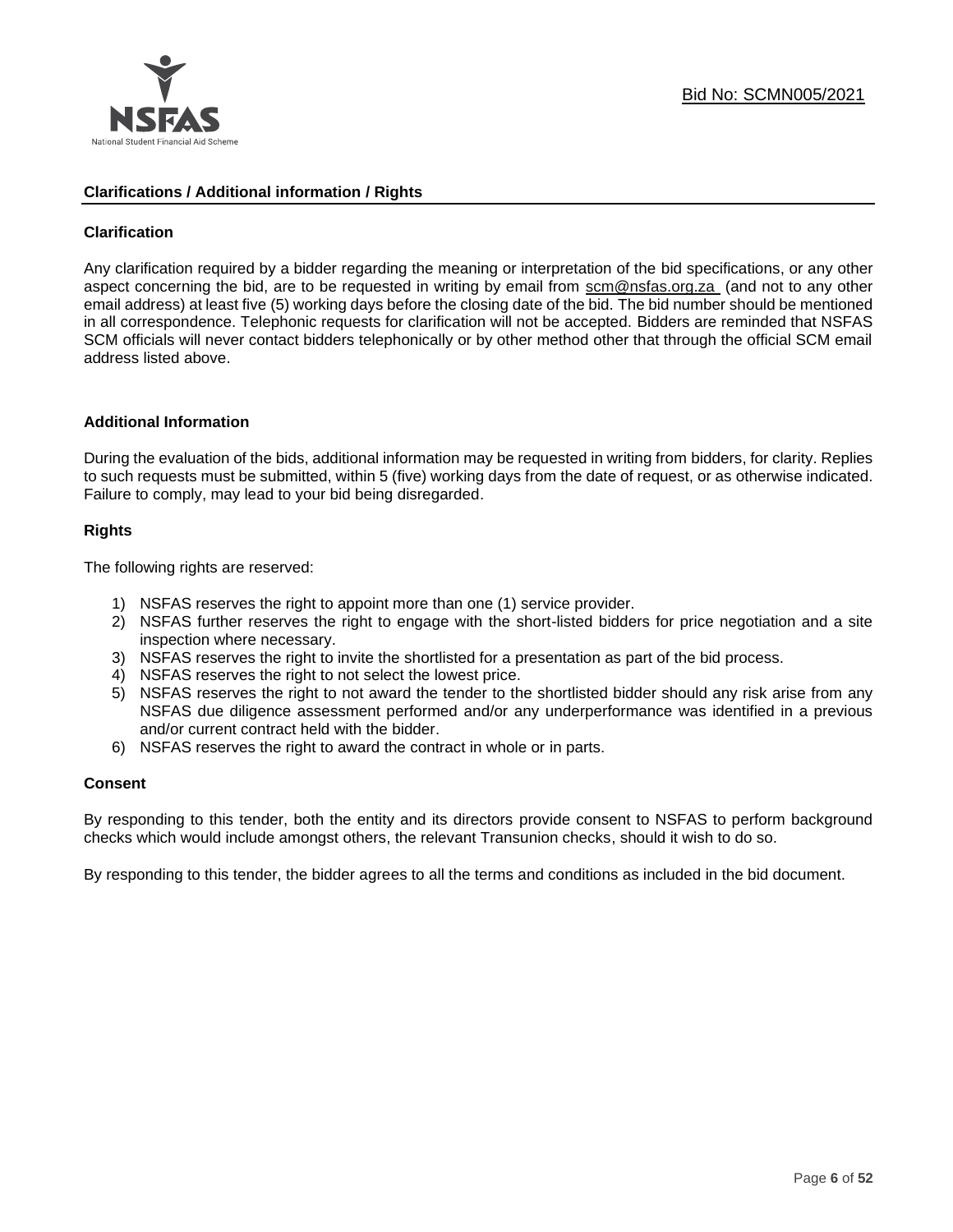

## **Clarifications / Additional information / Rights**

## **Clarification**

Any clarification required by a bidder regarding the meaning or interpretation of the bid specifications, or any other aspect concerning the bid, are to be requested in writing by email from [scm@nsfas.org.za](mailto:scm@nsfas.org.za) (and not to any other email address) at least five (5) working days before the closing date of the bid. The bid number should be mentioned in all correspondence. Telephonic requests for clarification will not be accepted. Bidders are reminded that NSFAS SCM officials will never contact bidders telephonically or by other method other that through the official SCM email address listed above.

#### **Additional Information**

During the evaluation of the bids, additional information may be requested in writing from bidders, for clarity. Replies to such requests must be submitted, within 5 (five) working days from the date of request, or as otherwise indicated. Failure to comply, may lead to your bid being disregarded.

## **Rights**

The following rights are reserved:

- 1) NSFAS reserves the right to appoint more than one (1) service provider.
- 2) NSFAS further reserves the right to engage with the short-listed bidders for price negotiation and a site inspection where necessary.
- 3) NSFAS reserves the right to invite the shortlisted for a presentation as part of the bid process.
- 4) NSFAS reserves the right to not select the lowest price.
- 5) NSFAS reserves the right to not award the tender to the shortlisted bidder should any risk arise from any NSFAS due diligence assessment performed and/or any underperformance was identified in a previous and/or current contract held with the bidder.
- 6) NSFAS reserves the right to award the contract in whole or in parts.

#### **Consent**

By responding to this tender, both the entity and its directors provide consent to NSFAS to perform background checks which would include amongst others, the relevant Transunion checks, should it wish to do so.

By responding to this tender, the bidder agrees to all the terms and conditions as included in the bid document.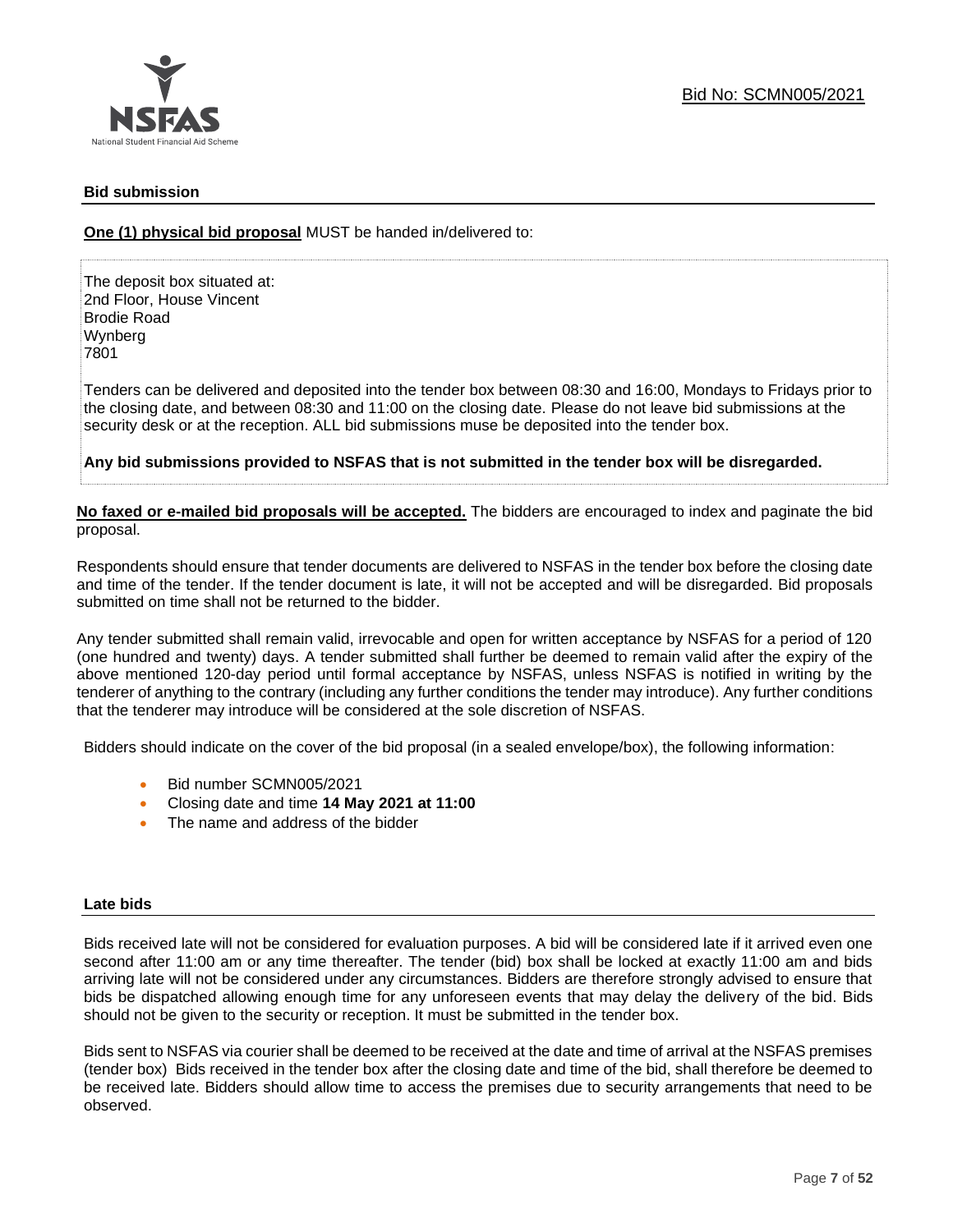

## **Bid submission**

**One (1) physical bid proposal** MUST be handed in/delivered to:

The deposit box situated at: 2nd Floor, House Vincent Brodie Road Wynberg 7801

Tenders can be delivered and deposited into the tender box between 08:30 and 16:00, Mondays to Fridays prior to the closing date, and between 08:30 and 11:00 on the closing date. Please do not leave bid submissions at the security desk or at the reception. ALL bid submissions muse be deposited into the tender box.

**Any bid submissions provided to NSFAS that is not submitted in the tender box will be disregarded.**

**No faxed or e-mailed bid proposals will be accepted.** The bidders are encouraged to index and paginate the bid proposal.

Respondents should ensure that tender documents are delivered to NSFAS in the tender box before the closing date and time of the tender. If the tender document is late, it will not be accepted and will be disregarded. Bid proposals submitted on time shall not be returned to the bidder.

Any tender submitted shall remain valid, irrevocable and open for written acceptance by NSFAS for a period of 120 (one hundred and twenty) days. A tender submitted shall further be deemed to remain valid after the expiry of the above mentioned 120-day period until formal acceptance by NSFAS, unless NSFAS is notified in writing by the tenderer of anything to the contrary (including any further conditions the tender may introduce). Any further conditions that the tenderer may introduce will be considered at the sole discretion of NSFAS.

Bidders should indicate on the cover of the bid proposal (in a sealed envelope/box), the following information:

- Bid number SCMN005/2021
- Closing date and time **14 May 2021 at 11:00**
- The name and address of the bidder

#### **Late bids**

Bids received late will not be considered for evaluation purposes. A bid will be considered late if it arrived even one second after 11:00 am or any time thereafter. The tender (bid) box shall be locked at exactly 11:00 am and bids arriving late will not be considered under any circumstances. Bidders are therefore strongly advised to ensure that bids be dispatched allowing enough time for any unforeseen events that may delay the delivery of the bid. Bids should not be given to the security or reception. It must be submitted in the tender box.

Bids sent to NSFAS via courier shall be deemed to be received at the date and time of arrival at the NSFAS premises (tender box) Bids received in the tender box after the closing date and time of the bid, shall therefore be deemed to be received late. Bidders should allow time to access the premises due to security arrangements that need to be observed.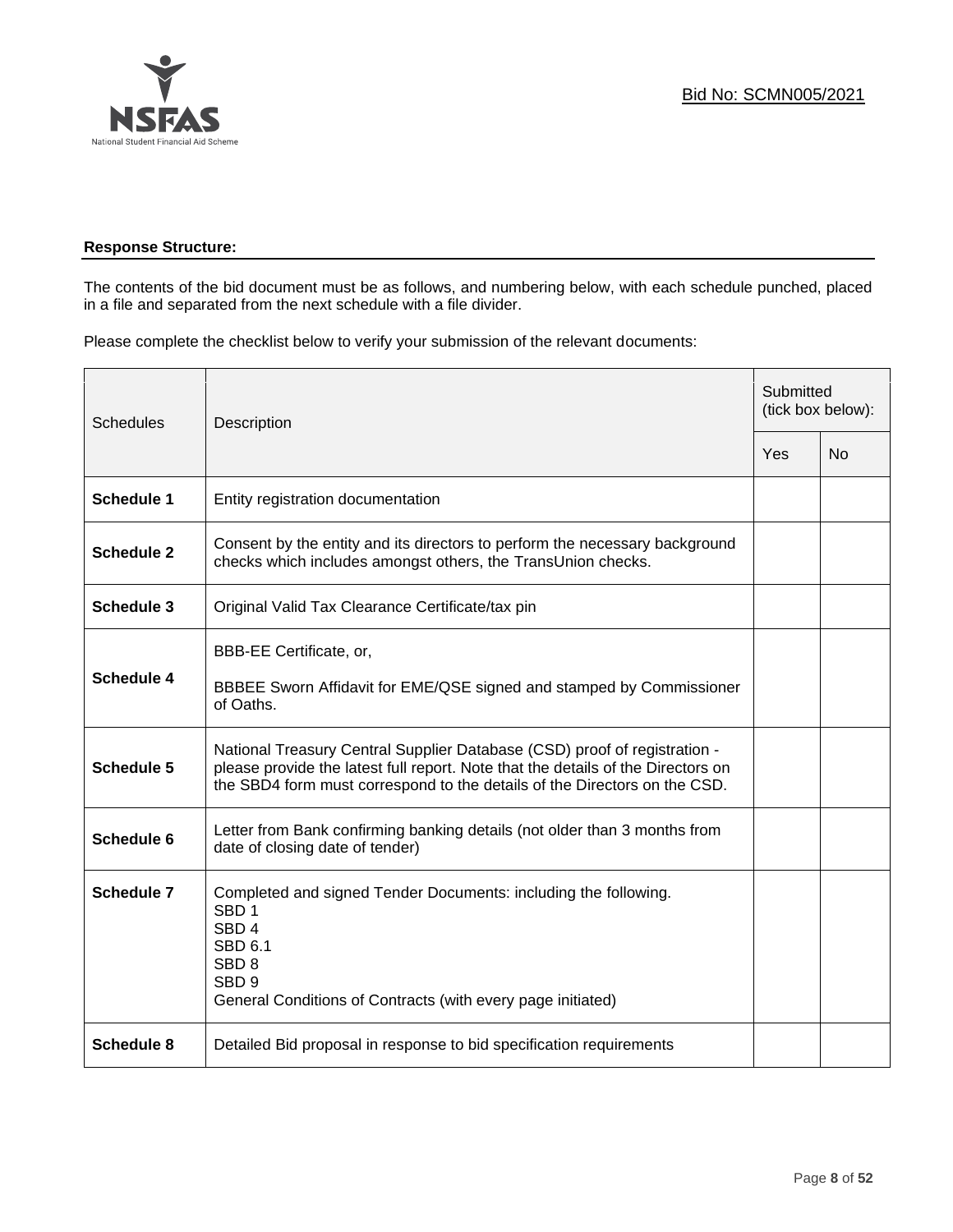

## **Response Structure:**

The contents of the bid document must be as follows, and numbering below, with each schedule punched, placed in a file and separated from the next schedule with a file divider.

Please complete the checklist below to verify your submission of the relevant documents:

| <b>Schedules</b>  | Description                                                                                                                                                                                                                                | Submitted<br>(tick box below): |           |
|-------------------|--------------------------------------------------------------------------------------------------------------------------------------------------------------------------------------------------------------------------------------------|--------------------------------|-----------|
|                   |                                                                                                                                                                                                                                            | Yes                            | <b>No</b> |
| <b>Schedule 1</b> | Entity registration documentation                                                                                                                                                                                                          |                                |           |
| <b>Schedule 2</b> | Consent by the entity and its directors to perform the necessary background<br>checks which includes amongst others, the TransUnion checks.                                                                                                |                                |           |
| Schedule 3        | Original Valid Tax Clearance Certificate/tax pin                                                                                                                                                                                           |                                |           |
| <b>Schedule 4</b> | BBB-EE Certificate, or,<br>BBBEE Sworn Affidavit for EME/QSE signed and stamped by Commissioner<br>of Oaths.                                                                                                                               |                                |           |
| <b>Schedule 5</b> | National Treasury Central Supplier Database (CSD) proof of registration -<br>please provide the latest full report. Note that the details of the Directors on<br>the SBD4 form must correspond to the details of the Directors on the CSD. |                                |           |
| Schedule 6        | Letter from Bank confirming banking details (not older than 3 months from<br>date of closing date of tender)                                                                                                                               |                                |           |
| Schedule 7        | Completed and signed Tender Documents: including the following.<br>SBD <sub>1</sub><br>SBD <sub>4</sub><br><b>SBD 6.1</b><br>SBD <sub>8</sub><br>SBD <sub>9</sub><br>General Conditions of Contracts (with every page initiated)           |                                |           |
| <b>Schedule 8</b> | Detailed Bid proposal in response to bid specification requirements                                                                                                                                                                        |                                |           |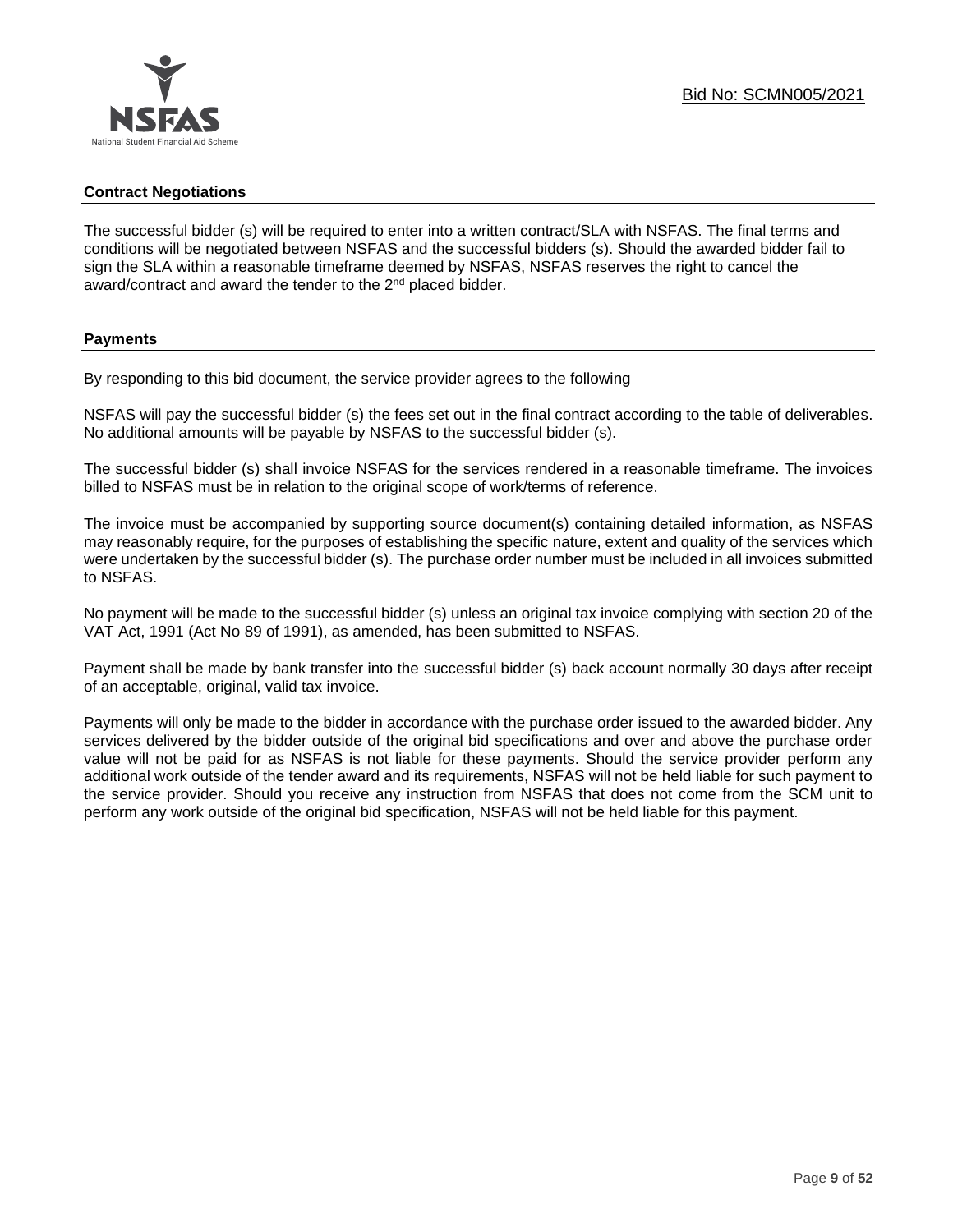## **Contract Negotiations**

The successful bidder (s) will be required to enter into a written contract/SLA with NSFAS. The final terms and conditions will be negotiated between NSFAS and the successful bidders (s). Should the awarded bidder fail to sign the SLA within a reasonable timeframe deemed by NSFAS, NSFAS reserves the right to cancel the award/contract and award the tender to the 2<sup>nd</sup> placed bidder.

## **Payments**

By responding to this bid document, the service provider agrees to the following

NSFAS will pay the successful bidder (s) the fees set out in the final contract according to the table of deliverables. No additional amounts will be payable by NSFAS to the successful bidder (s).

The successful bidder (s) shall invoice NSFAS for the services rendered in a reasonable timeframe. The invoices billed to NSFAS must be in relation to the original scope of work/terms of reference.

The invoice must be accompanied by supporting source document(s) containing detailed information, as NSFAS may reasonably require, for the purposes of establishing the specific nature, extent and quality of the services which were undertaken by the successful bidder (s). The purchase order number must be included in all invoices submitted to NSFAS.

No payment will be made to the successful bidder (s) unless an original tax invoice complying with section 20 of the VAT Act, 1991 (Act No 89 of 1991), as amended, has been submitted to NSFAS.

Payment shall be made by bank transfer into the successful bidder (s) back account normally 30 days after receipt of an acceptable, original, valid tax invoice.

Payments will only be made to the bidder in accordance with the purchase order issued to the awarded bidder. Any services delivered by the bidder outside of the original bid specifications and over and above the purchase order value will not be paid for as NSFAS is not liable for these payments. Should the service provider perform any additional work outside of the tender award and its requirements, NSFAS will not be held liable for such payment to the service provider. Should you receive any instruction from NSFAS that does not come from the SCM unit to perform any work outside of the original bid specification, NSFAS will not be held liable for this payment.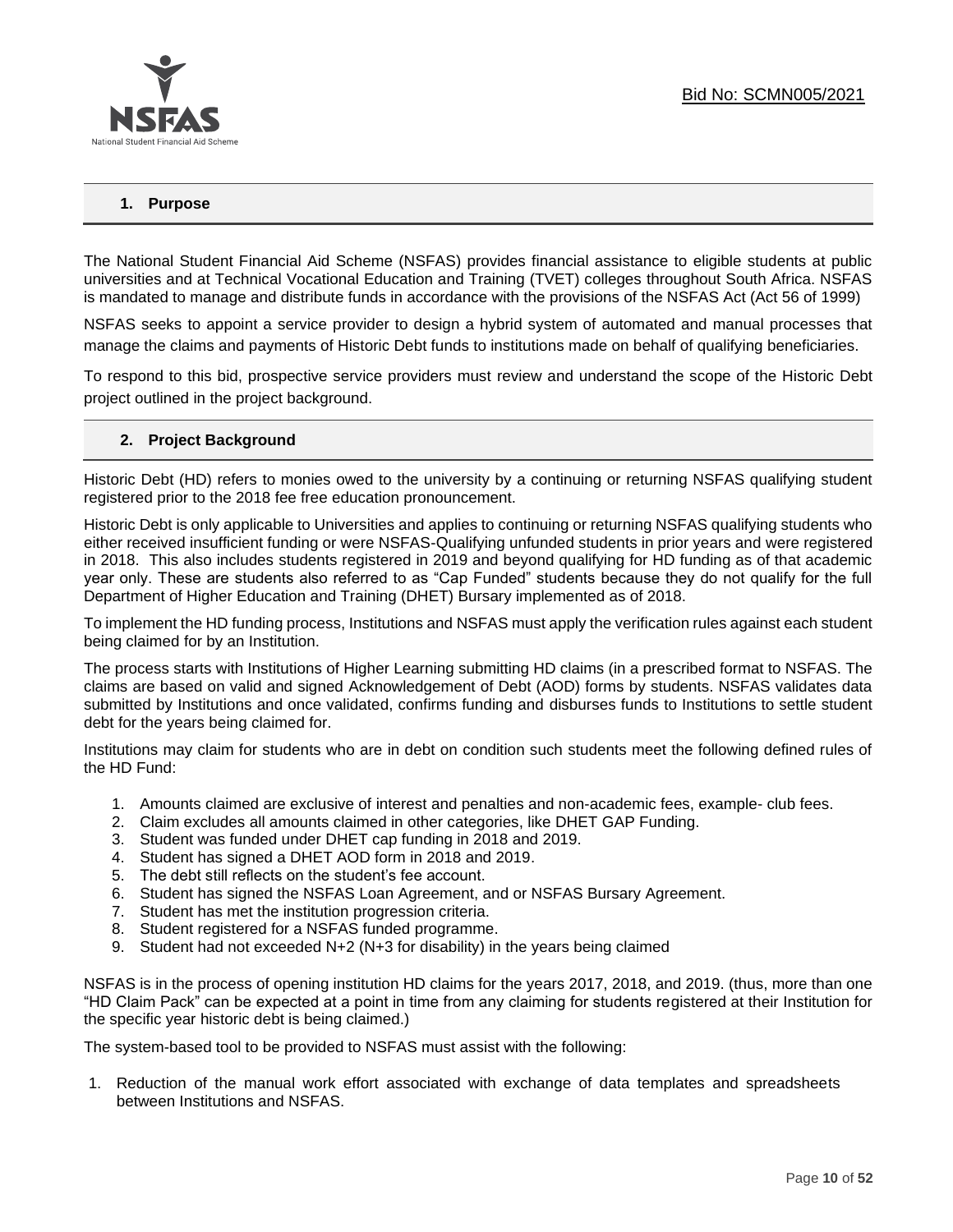

## **1. Purpose**

The National Student Financial Aid Scheme (NSFAS) provides financial assistance to eligible students at public universities and at Technical Vocational Education and Training (TVET) colleges throughout South Africa. NSFAS is mandated to manage and distribute funds in accordance with the provisions of the NSFAS Act (Act 56 of 1999)

NSFAS seeks to appoint a service provider to design a hybrid system of automated and manual processes that manage the claims and payments of Historic Debt funds to institutions made on behalf of qualifying beneficiaries.

To respond to this bid, prospective service providers must review and understand the scope of the Historic Debt project outlined in the project background.

#### **2. Project Background**

Historic Debt (HD) refers to monies owed to the university by a continuing or returning NSFAS qualifying student registered prior to the 2018 fee free education pronouncement.

Historic Debt is only applicable to Universities and applies to continuing or returning NSFAS qualifying students who either received insufficient funding or were NSFAS-Qualifying unfunded students in prior years and were registered in 2018. This also includes students registered in 2019 and beyond qualifying for HD funding as of that academic year only. These are students also referred to as "Cap Funded" students because they do not qualify for the full Department of Higher Education and Training (DHET) Bursary implemented as of 2018.

To implement the HD funding process, Institutions and NSFAS must apply the verification rules against each student being claimed for by an Institution.

The process starts with Institutions of Higher Learning submitting HD claims (in a prescribed format to NSFAS. The claims are based on valid and signed Acknowledgement of Debt (AOD) forms by students. NSFAS validates data submitted by Institutions and once validated, confirms funding and disburses funds to Institutions to settle student debt for the years being claimed for.

Institutions may claim for students who are in debt on condition such students meet the following defined rules of the HD Fund:

- 1. Amounts claimed are exclusive of interest and penalties and non-academic fees, example- club fees.
- 2. Claim excludes all amounts claimed in other categories, like DHET GAP Funding.
- 3. Student was funded under DHET cap funding in 2018 and 2019.
- 4. Student has signed a DHET AOD form in 2018 and 2019.
- 5. The debt still reflects on the student's fee account.
- 6. Student has signed the NSFAS Loan Agreement, and or NSFAS Bursary Agreement.
- 7. Student has met the institution progression criteria.
- 8. Student registered for a NSFAS funded programme.
- 9. Student had not exceeded N+2 (N+3 for disability) in the years being claimed

NSFAS is in the process of opening institution HD claims for the years 2017, 2018, and 2019. (thus, more than one "HD Claim Pack" can be expected at a point in time from any claiming for students registered at their Institution for the specific year historic debt is being claimed.)

The system-based tool to be provided to NSFAS must assist with the following:

1. Reduction of the manual work effort associated with exchange of data templates and spreadsheets between Institutions and NSFAS.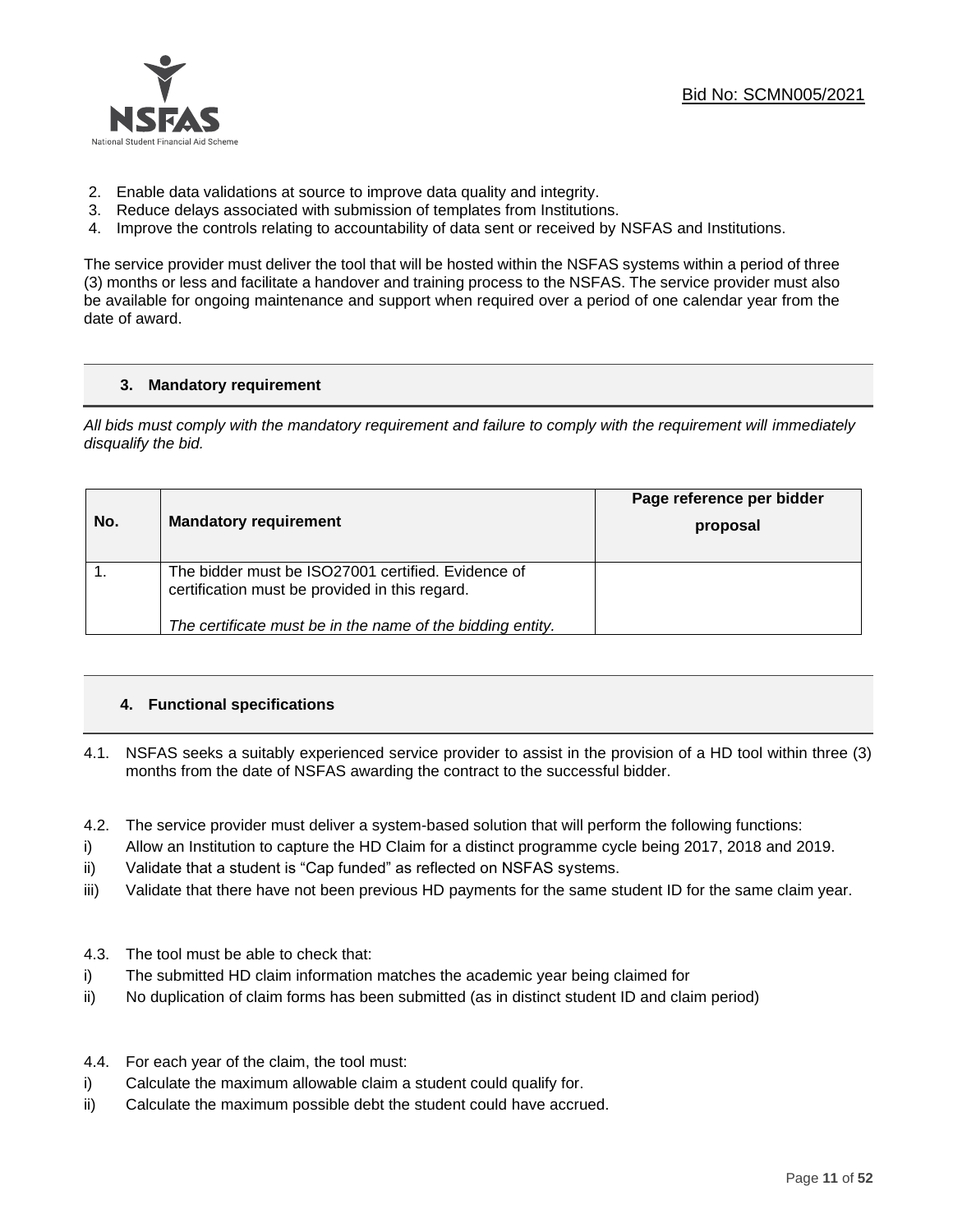

- 2. Enable data validations at source to improve data quality and integrity.
- 3. Reduce delays associated with submission of templates from Institutions.
- 4. Improve the controls relating to accountability of data sent or received by NSFAS and Institutions.

The service provider must deliver the tool that will be hosted within the NSFAS systems within a period of three (3) months or less and facilitate a handover and training process to the NSFAS. The service provider must also be available for ongoing maintenance and support when required over a period of one calendar year from the date of award.

## **3. Mandatory requirement**

*All bids must comply with the mandatory requirement and failure to comply with the requirement will immediately disqualify the bid.*

| No. | <b>Mandatory requirement</b>                                                                                                                                       | Page reference per bidder<br>proposal |
|-----|--------------------------------------------------------------------------------------------------------------------------------------------------------------------|---------------------------------------|
|     | The bidder must be ISO27001 certified. Evidence of<br>certification must be provided in this regard.<br>The certificate must be in the name of the bidding entity. |                                       |
|     |                                                                                                                                                                    |                                       |

## **4. Functional specifications**

- 4.1. NSFAS seeks a suitably experienced service provider to assist in the provision of a HD tool within three (3) months from the date of NSFAS awarding the contract to the successful bidder.
- 4.2. The service provider must deliver a system-based solution that will perform the following functions:
- i) Allow an Institution to capture the HD Claim for a distinct programme cycle being 2017, 2018 and 2019.
- ii) Validate that a student is "Cap funded" as reflected on NSFAS systems.
- iii) Validate that there have not been previous HD payments for the same student ID for the same claim year.
- 4.3. The tool must be able to check that:
- i) The submitted HD claim information matches the academic year being claimed for
- ii) No duplication of claim forms has been submitted (as in distinct student ID and claim period)
- 4.4. For each year of the claim, the tool must:
- i) Calculate the maximum allowable claim a student could qualify for.
- ii) Calculate the maximum possible debt the student could have accrued.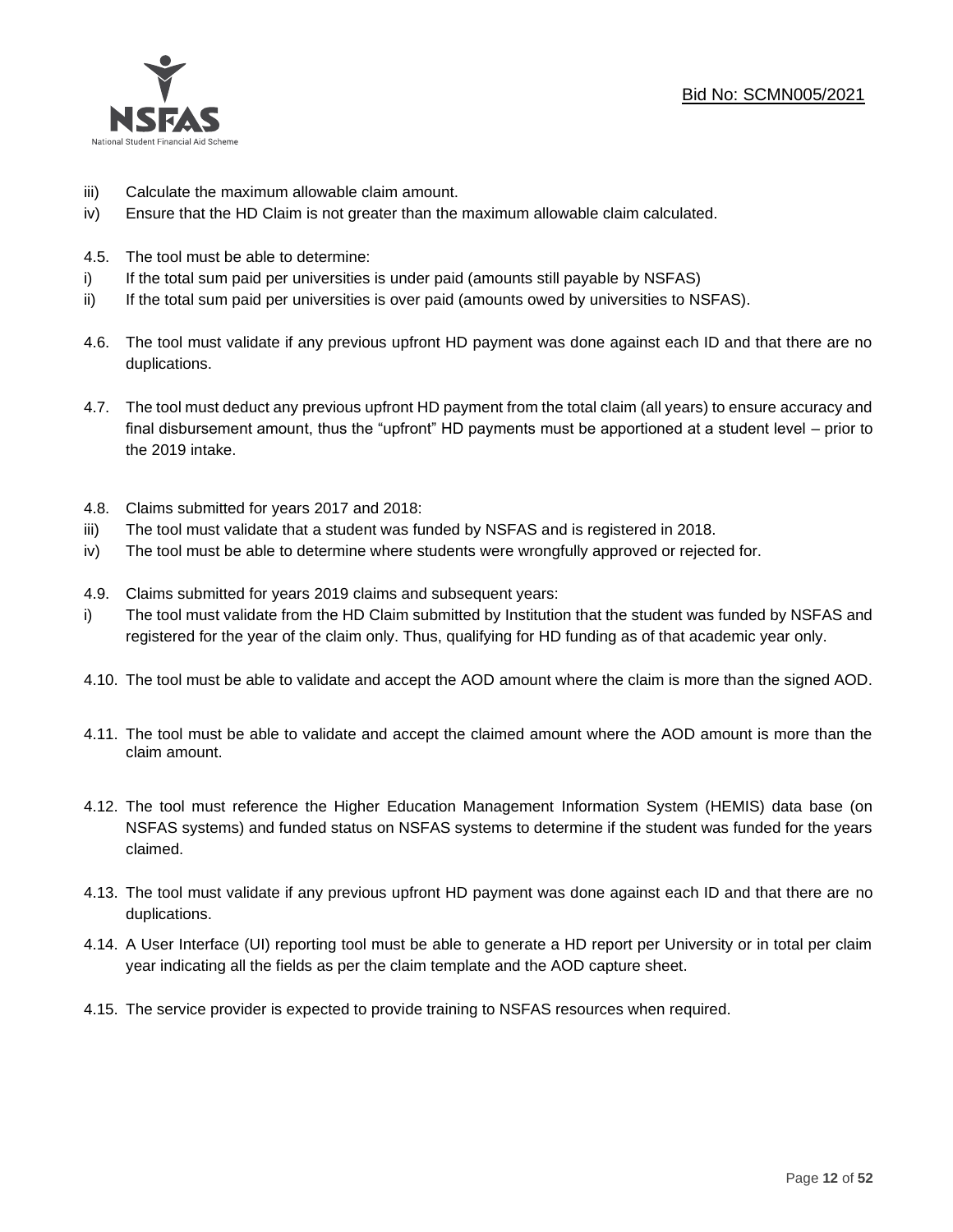

- iii) Calculate the maximum allowable claim amount.
- iv) Ensure that the HD Claim is not greater than the maximum allowable claim calculated.
- 4.5. The tool must be able to determine:
- i) If the total sum paid per universities is under paid (amounts still payable by NSFAS)
- ii) If the total sum paid per universities is over paid (amounts owed by universities to NSFAS).
- 4.6. The tool must validate if any previous upfront HD payment was done against each ID and that there are no duplications.
- 4.7. The tool must deduct any previous upfront HD payment from the total claim (all years) to ensure accuracy and final disbursement amount, thus the "upfront" HD payments must be apportioned at a student level – prior to the 2019 intake.
- 4.8. Claims submitted for years 2017 and 2018:
- iii) The tool must validate that a student was funded by NSFAS and is registered in 2018.
- iv) The tool must be able to determine where students were wrongfully approved or rejected for.
- 4.9. Claims submitted for years 2019 claims and subsequent years:
- i) The tool must validate from the HD Claim submitted by Institution that the student was funded by NSFAS and registered for the year of the claim only. Thus, qualifying for HD funding as of that academic year only.
- 4.10. The tool must be able to validate and accept the AOD amount where the claim is more than the signed AOD.
- 4.11. The tool must be able to validate and accept the claimed amount where the AOD amount is more than the claim amount.
- 4.12. The tool must reference the Higher Education Management Information System (HEMIS) data base (on NSFAS systems) and funded status on NSFAS systems to determine if the student was funded for the years claimed.
- 4.13. The tool must validate if any previous upfront HD payment was done against each ID and that there are no duplications.
- 4.14. A User Interface (UI) reporting tool must be able to generate a HD report per University or in total per claim year indicating all the fields as per the claim template and the AOD capture sheet.
- 4.15. The service provider is expected to provide training to NSFAS resources when required.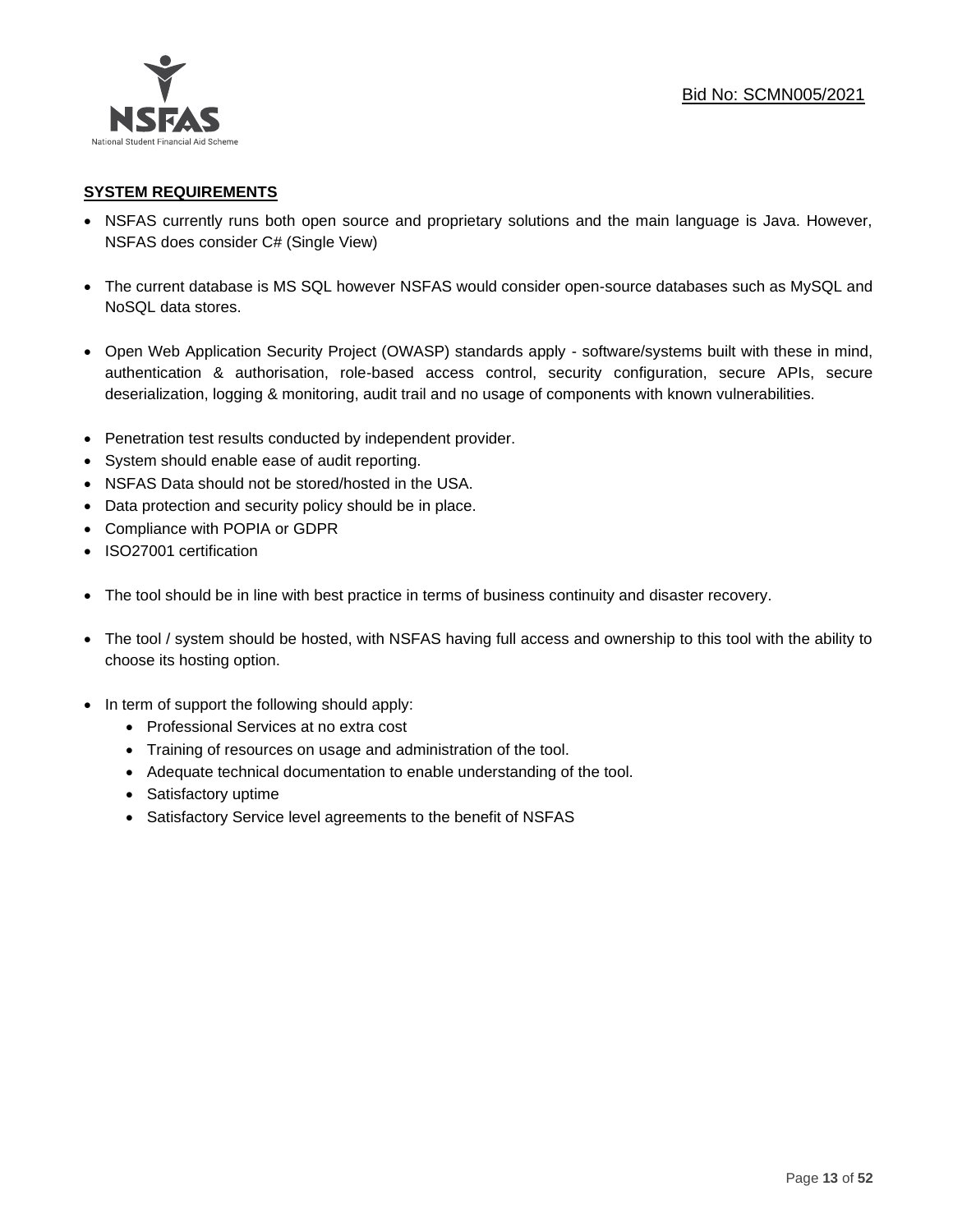

## **SYSTEM REQUIREMENTS**

- NSFAS currently runs both open source and proprietary solutions and the main language is Java. However, NSFAS does consider C# (Single View)
- The current database is MS SQL however NSFAS would consider open-source databases such as MySQL and NoSQL data stores.
- Open Web Application Security Project (OWASP) standards apply software/systems built with these in mind, authentication & authorisation, role-based access control, security configuration, secure APIs, secure deserialization, logging & monitoring, audit trail and no usage of components with known vulnerabilities.
- Penetration test results conducted by independent provider.
- System should enable ease of audit reporting.
- NSFAS Data should not be stored/hosted in the USA.
- Data protection and security policy should be in place.
- Compliance with POPIA or GDPR
- ISO27001 certification
- The tool should be in line with best practice in terms of business continuity and disaster recovery.
- The tool / system should be hosted, with NSFAS having full access and ownership to this tool with the ability to choose its hosting option.
- In term of support the following should apply:
	- Professional Services at no extra cost
	- Training of resources on usage and administration of the tool.
	- Adequate technical documentation to enable understanding of the tool.
	- Satisfactory uptime
	- Satisfactory Service level agreements to the benefit of NSFAS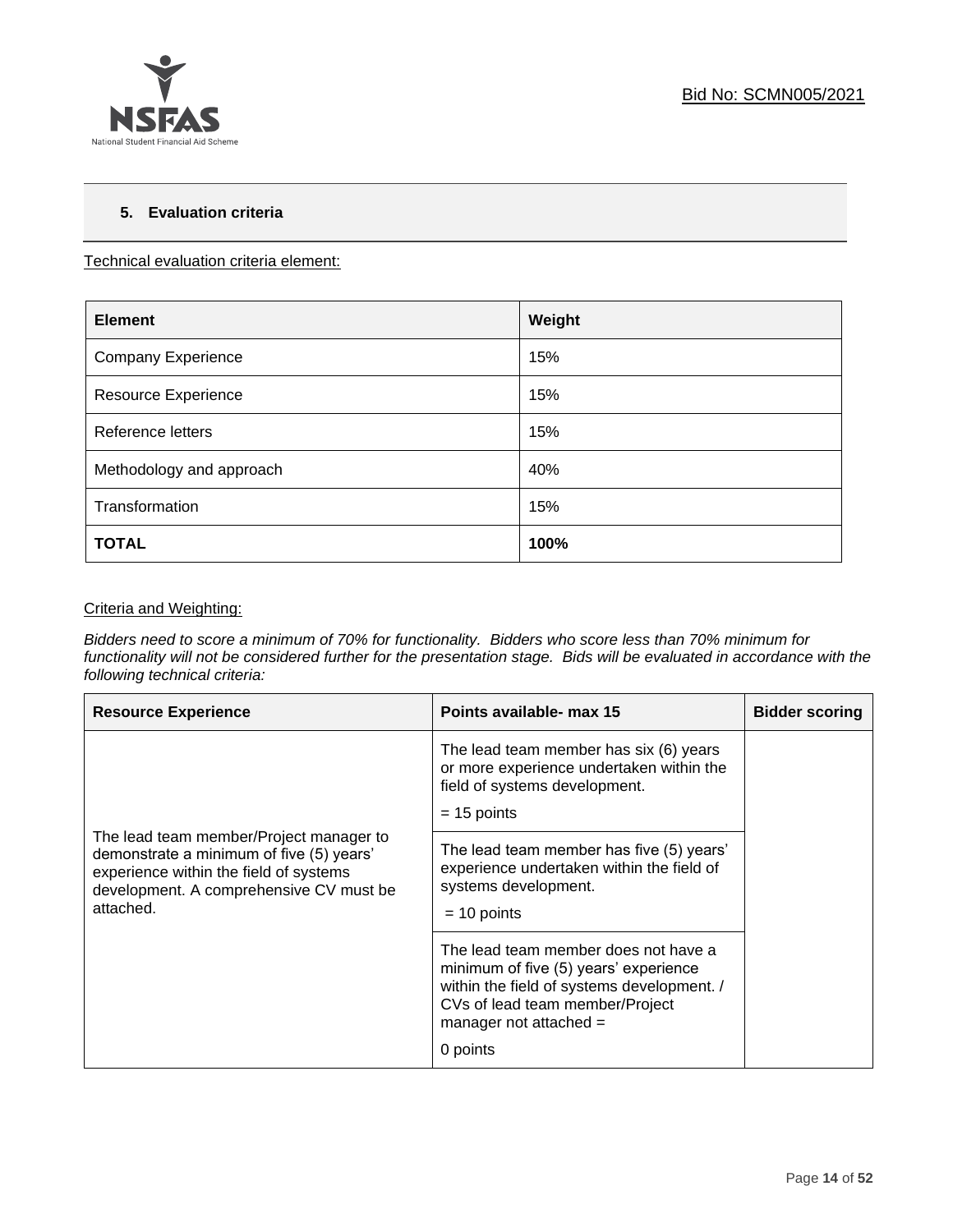

## **5. Evaluation criteria**

Technical evaluation criteria element:

| <b>Element</b>             | Weight |
|----------------------------|--------|
| <b>Company Experience</b>  | 15%    |
| <b>Resource Experience</b> | 15%    |
| Reference letters          | 15%    |
| Methodology and approach   | 40%    |
| Transformation             | 15%    |
| <b>TOTAL</b>               | 100%   |

## Criteria and Weighting:

*Bidders need to score a minimum of 70% for functionality. Bidders who score less than 70% minimum for functionality will not be considered further for the presentation stage. Bids will be evaluated in accordance with the following technical criteria:*

| <b>Resource Experience</b>                                                                                                                                                            | Points available- max 15                                                                                                                                                                               | <b>Bidder scoring</b> |
|---------------------------------------------------------------------------------------------------------------------------------------------------------------------------------------|--------------------------------------------------------------------------------------------------------------------------------------------------------------------------------------------------------|-----------------------|
|                                                                                                                                                                                       | The lead team member has six (6) years<br>or more experience undertaken within the<br>field of systems development.<br>$= 15$ points                                                                   |                       |
| The lead team member/Project manager to<br>demonstrate a minimum of five (5) years'<br>experience within the field of systems<br>development. A comprehensive CV must be<br>attached. | The lead team member has five (5) years'<br>experience undertaken within the field of<br>systems development.<br>$= 10$ points                                                                         |                       |
|                                                                                                                                                                                       | The lead team member does not have a<br>minimum of five (5) years' experience<br>within the field of systems development. /<br>CVs of lead team member/Project<br>manager not attached $=$<br>0 points |                       |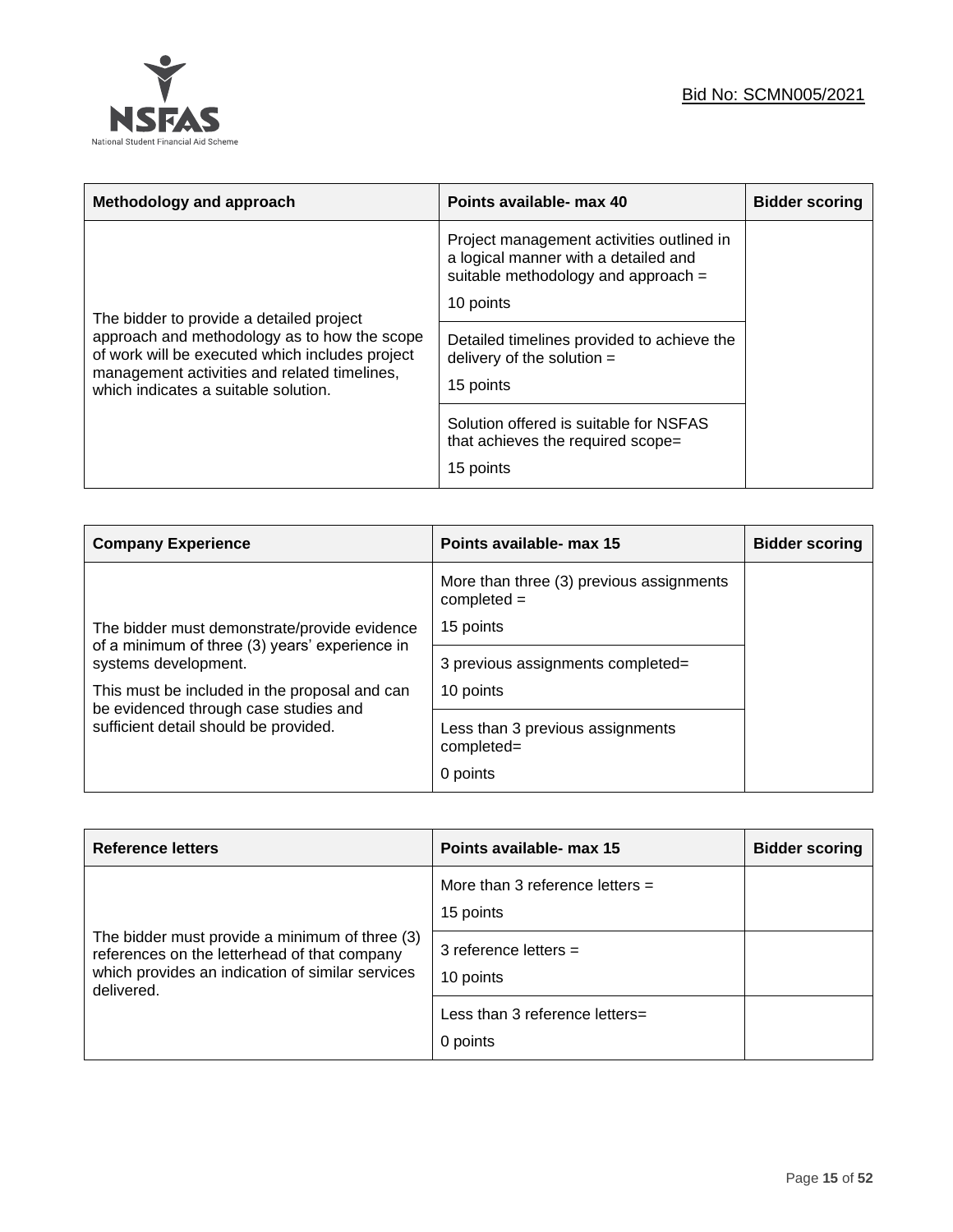

| Methodology and approach                                                                                                                                                                                                            | Points available- max 40                                                                                                              | <b>Bidder scoring</b> |
|-------------------------------------------------------------------------------------------------------------------------------------------------------------------------------------------------------------------------------------|---------------------------------------------------------------------------------------------------------------------------------------|-----------------------|
| The bidder to provide a detailed project<br>approach and methodology as to how the scope<br>of work will be executed which includes project<br>management activities and related timelines,<br>which indicates a suitable solution. | Project management activities outlined in<br>a logical manner with a detailed and<br>suitable methodology and approach =<br>10 points |                       |
|                                                                                                                                                                                                                                     | Detailed timelines provided to achieve the<br>delivery of the solution $=$<br>15 points                                               |                       |
|                                                                                                                                                                                                                                     | Solution offered is suitable for NSFAS<br>that achieves the required scope=<br>15 points                                              |                       |

| <b>Company Experience</b>                                                              | Points available- max 15                                  | <b>Bidder scoring</b> |
|----------------------------------------------------------------------------------------|-----------------------------------------------------------|-----------------------|
|                                                                                        | More than three (3) previous assignments<br>$completed =$ |                       |
| The bidder must demonstrate/provide evidence                                           | 15 points                                                 |                       |
| of a minimum of three (3) years' experience in<br>systems development.                 | 3 previous assignments completed=                         |                       |
| This must be included in the proposal and can<br>be evidenced through case studies and | 10 points                                                 |                       |
| sufficient detail should be provided.                                                  | Less than 3 previous assignments<br>completed=            |                       |
|                                                                                        | 0 points                                                  |                       |

| <b>Reference letters</b>                                                                                                                                         | Points available- max 15                       | <b>Bidder scoring</b> |
|------------------------------------------------------------------------------------------------------------------------------------------------------------------|------------------------------------------------|-----------------------|
|                                                                                                                                                                  | More than 3 reference letters $=$<br>15 points |                       |
| The bidder must provide a minimum of three (3)<br>references on the letterhead of that company<br>which provides an indication of similar services<br>delivered. | 3 reference letters $=$<br>10 points           |                       |
|                                                                                                                                                                  | Less than 3 reference letters=<br>0 points     |                       |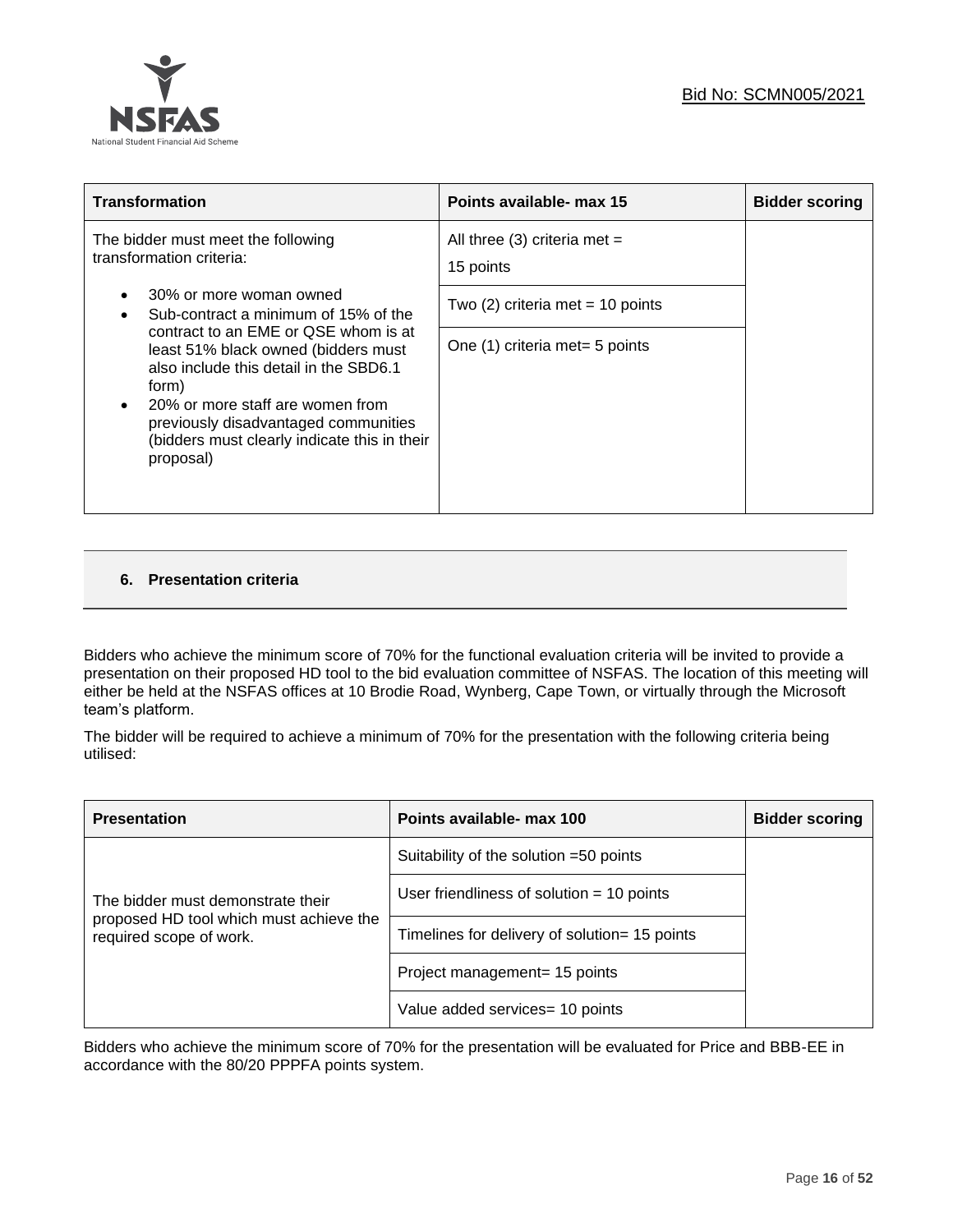

| Points available- max 15                    | <b>Bidder scoring</b> |
|---------------------------------------------|-----------------------|
| All three (3) criteria met $=$<br>15 points |                       |
| Two $(2)$ criteria met = 10 points          |                       |
| One (1) criteria met = 5 points             |                       |
|                                             |                       |

## **6. Presentation criteria**

Bidders who achieve the minimum score of 70% for the functional evaluation criteria will be invited to provide a presentation on their proposed HD tool to the bid evaluation committee of NSFAS. The location of this meeting will either be held at the NSFAS offices at 10 Brodie Road, Wynberg, Cape Town, or virtually through the Microsoft team's platform.

The bidder will be required to achieve a minimum of 70% for the presentation with the following criteria being utilised:

| <b>Presentation</b>                                                | Points available- max 100                     | <b>Bidder scoring</b> |
|--------------------------------------------------------------------|-----------------------------------------------|-----------------------|
|                                                                    | Suitability of the solution =50 points        |                       |
| The bidder must demonstrate their                                  | User friendliness of solution $=$ 10 points   |                       |
| proposed HD tool which must achieve the<br>required scope of work. | Timelines for delivery of solution= 15 points |                       |
|                                                                    | Project management= 15 points                 |                       |
|                                                                    | Value added services = 10 points              |                       |

Bidders who achieve the minimum score of 70% for the presentation will be evaluated for Price and BBB-EE in accordance with the 80/20 PPPFA points system.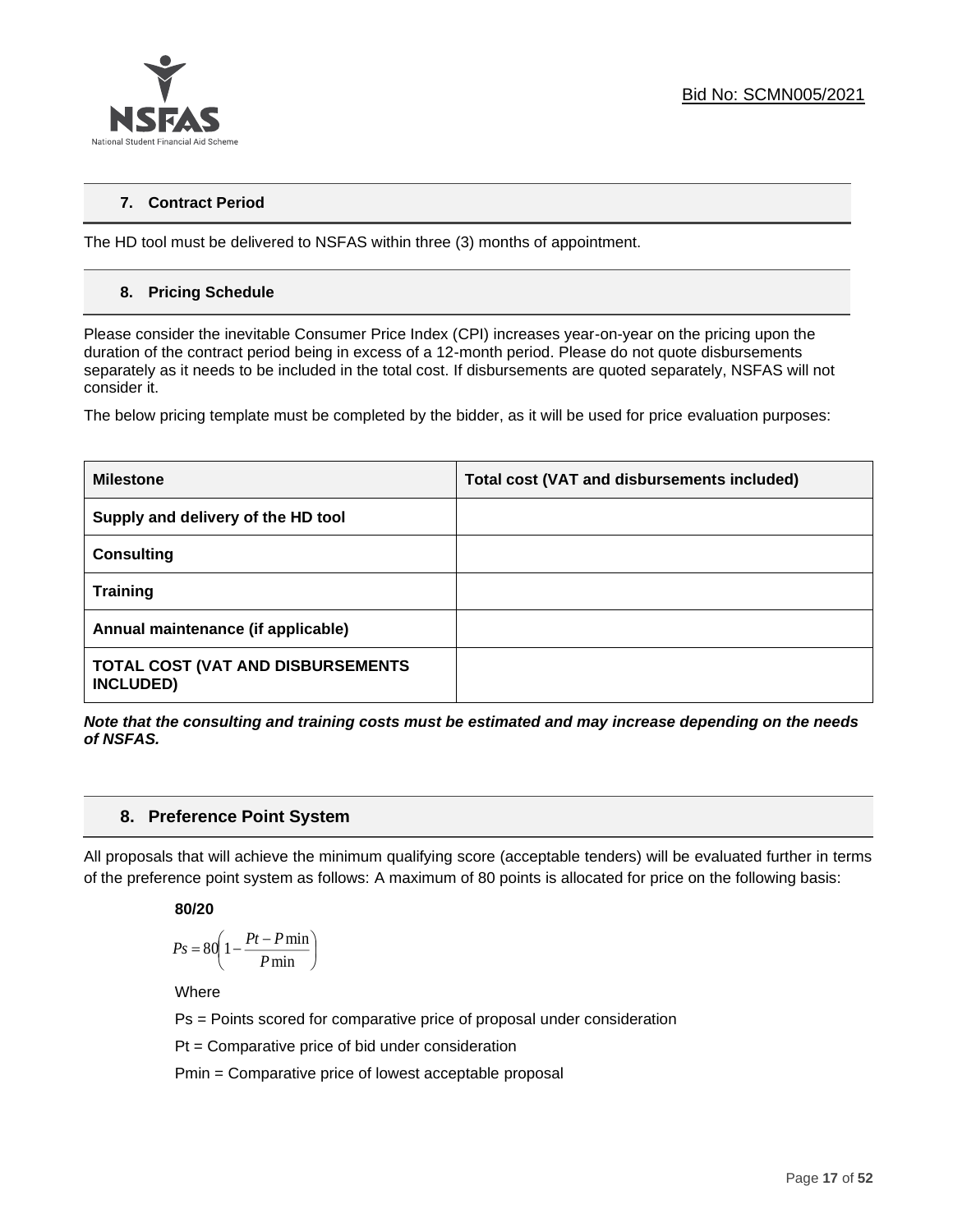

## **7. Contract Period**

The HD tool must be delivered to NSFAS within three (3) months of appointment.

## **8. Pricing Schedule**

Please consider the inevitable Consumer Price Index (CPI) increases year-on-year on the pricing upon the duration of the contract period being in excess of a 12-month period. Please do not quote disbursements separately as it needs to be included in the total cost. If disbursements are quoted separately, NSFAS will not consider it.

The below pricing template must be completed by the bidder, as it will be used for price evaluation purposes:

| <b>Milestone</b>                                      | Total cost (VAT and disbursements included) |
|-------------------------------------------------------|---------------------------------------------|
| Supply and delivery of the HD tool                    |                                             |
| <b>Consulting</b>                                     |                                             |
| <b>Training</b>                                       |                                             |
| Annual maintenance (if applicable)                    |                                             |
| TOTAL COST (VAT AND DISBURSEMENTS<br><b>INCLUDED)</b> |                                             |

*Note that the consulting and training costs must be estimated and may increase depending on the needs of NSFAS.* 

## **8. Preference Point System**

All proposals that will achieve the minimum qualifying score (acceptable tenders) will be evaluated further in terms of the preference point system as follows: A maximum of 80 points is allocated for price on the following basis:

## **80/20**

$$
Ps = 80 \left( 1 - \frac{Pt - P \min}{P \min} \right)
$$

Where

Ps = Points scored for comparative price of proposal under consideration

Pt = Comparative price of bid under consideration

Pmin = Comparative price of lowest acceptable proposal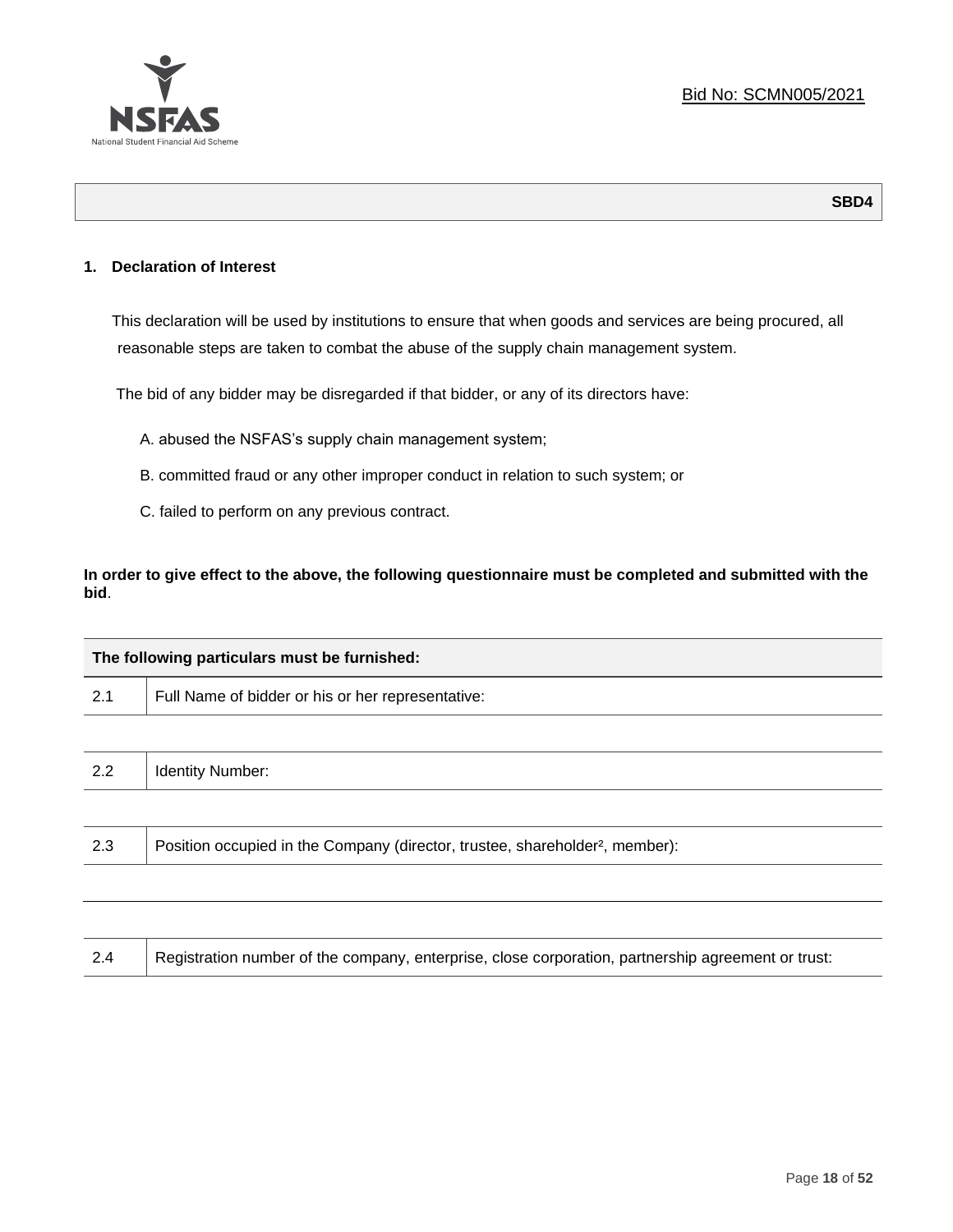

**SBD4**

## **1. Declaration of Interest**

This declaration will be used by institutions to ensure that when goods and services are being procured, all reasonable steps are taken to combat the abuse of the supply chain management system.

The bid of any bidder may be disregarded if that bidder, or any of its directors have:

- A. abused the NSFAS's supply chain management system;
- B. committed fraud or any other improper conduct in relation to such system; or
- C. failed to perform on any previous contract.

**In order to give effect to the above, the following questionnaire must be completed and submitted with the bid**.

| The following particulars must be furnished: |                                                                                          |  |  |  |  |  |
|----------------------------------------------|------------------------------------------------------------------------------------------|--|--|--|--|--|
| 2.1                                          | Full Name of bidder or his or her representative:                                        |  |  |  |  |  |
|                                              |                                                                                          |  |  |  |  |  |
| 2.2                                          | <b>Identity Number:</b>                                                                  |  |  |  |  |  |
|                                              |                                                                                          |  |  |  |  |  |
| 2.3                                          | Position occupied in the Company (director, trustee, shareholder <sup>2</sup> , member): |  |  |  |  |  |
|                                              |                                                                                          |  |  |  |  |  |

| Registration number of the company, enterprise, close corporation, partnership agreement or trust:<br>2.4 |
|-----------------------------------------------------------------------------------------------------------|
|-----------------------------------------------------------------------------------------------------------|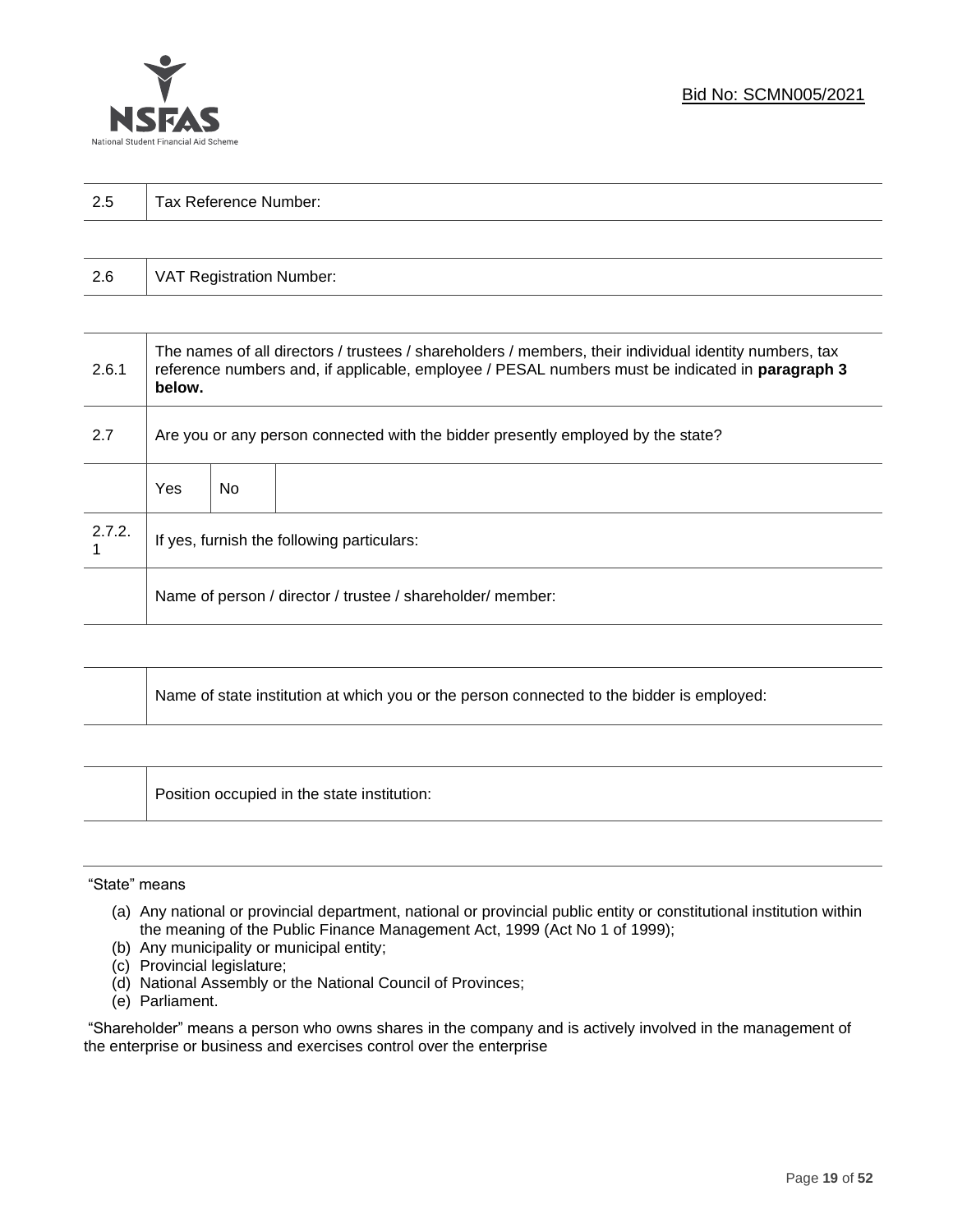

| 2.5 | Tax Reference Number: |
|-----|-----------------------|
|     |                       |

| 2.6 | VAT Registration Number: |
|-----|--------------------------|
|-----|--------------------------|

| 2.6.1  | The names of all directors / trustees / shareholders / members, their individual identity numbers, tax<br>reference numbers and, if applicable, employee / PESAL numbers must be indicated in paragraph 3<br>below. |     |  |  |  |
|--------|---------------------------------------------------------------------------------------------------------------------------------------------------------------------------------------------------------------------|-----|--|--|--|
| 2.7    | Are you or any person connected with the bidder presently employed by the state?                                                                                                                                    |     |  |  |  |
|        | Yes                                                                                                                                                                                                                 | No. |  |  |  |
| 2.7.2. | If yes, furnish the following particulars:                                                                                                                                                                          |     |  |  |  |
|        | Name of person / director / trustee / shareholder/ member:                                                                                                                                                          |     |  |  |  |

| Name of state institution at which you or the person connected to the bidder is employed: |
|-------------------------------------------------------------------------------------------|
|                                                                                           |

Position occupied in the state institution:

#### "State" means

┱

- (a) Any national or provincial department, national or provincial public entity or constitutional institution within the meaning of the Public Finance Management Act, 1999 (Act No 1 of 1999);
- (b) Any municipality or municipal entity;
- (c) Provincial legislature;
- (d) National Assembly or the National Council of Provinces;
- (e) Parliament.

"Shareholder" means a person who owns shares in the company and is actively involved in the management of the enterprise or business and exercises control over the enterprise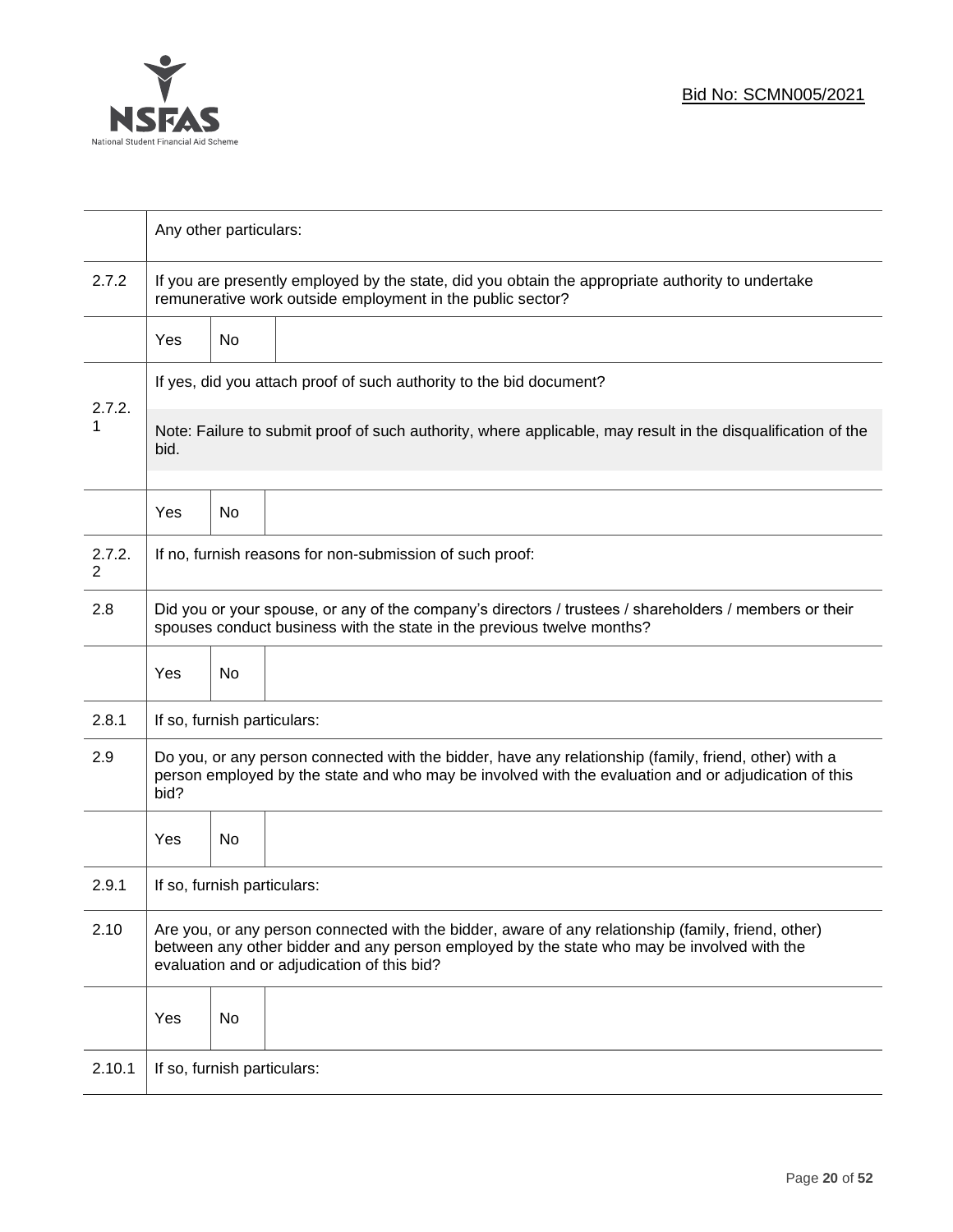

|             | Any other particulars:                                                                                                                                                                                                                           |    |                                                          |  |  |  |
|-------------|--------------------------------------------------------------------------------------------------------------------------------------------------------------------------------------------------------------------------------------------------|----|----------------------------------------------------------|--|--|--|
| 2.7.2       | If you are presently employed by the state, did you obtain the appropriate authority to undertake<br>remunerative work outside employment in the public sector?                                                                                  |    |                                                          |  |  |  |
|             | No<br><b>Yes</b>                                                                                                                                                                                                                                 |    |                                                          |  |  |  |
|             | If yes, did you attach proof of such authority to the bid document?                                                                                                                                                                              |    |                                                          |  |  |  |
| 2.7.2.<br>1 | Note: Failure to submit proof of such authority, where applicable, may result in the disqualification of the<br>bid.                                                                                                                             |    |                                                          |  |  |  |
|             | Yes                                                                                                                                                                                                                                              | No |                                                          |  |  |  |
| 2.7.2.<br>2 |                                                                                                                                                                                                                                                  |    | If no, furnish reasons for non-submission of such proof: |  |  |  |
| 2.8         | Did you or your spouse, or any of the company's directors / trustees / shareholders / members or their<br>spouses conduct business with the state in the previous twelve months?                                                                 |    |                                                          |  |  |  |
|             | Yes                                                                                                                                                                                                                                              | No |                                                          |  |  |  |
| 2.8.1       | If so, furnish particulars:                                                                                                                                                                                                                      |    |                                                          |  |  |  |
| 2.9         | Do you, or any person connected with the bidder, have any relationship (family, friend, other) with a<br>person employed by the state and who may be involved with the evaluation and or adjudication of this<br>bid?                            |    |                                                          |  |  |  |
|             | Yes                                                                                                                                                                                                                                              | No |                                                          |  |  |  |
| 2.9.1       | If so, furnish particulars:                                                                                                                                                                                                                      |    |                                                          |  |  |  |
| 2.10        | Are you, or any person connected with the bidder, aware of any relationship (family, friend, other)<br>between any other bidder and any person employed by the state who may be involved with the<br>evaluation and or adjudication of this bid? |    |                                                          |  |  |  |
|             | Yes                                                                                                                                                                                                                                              | No |                                                          |  |  |  |
| 2.10.1      | If so, furnish particulars:                                                                                                                                                                                                                      |    |                                                          |  |  |  |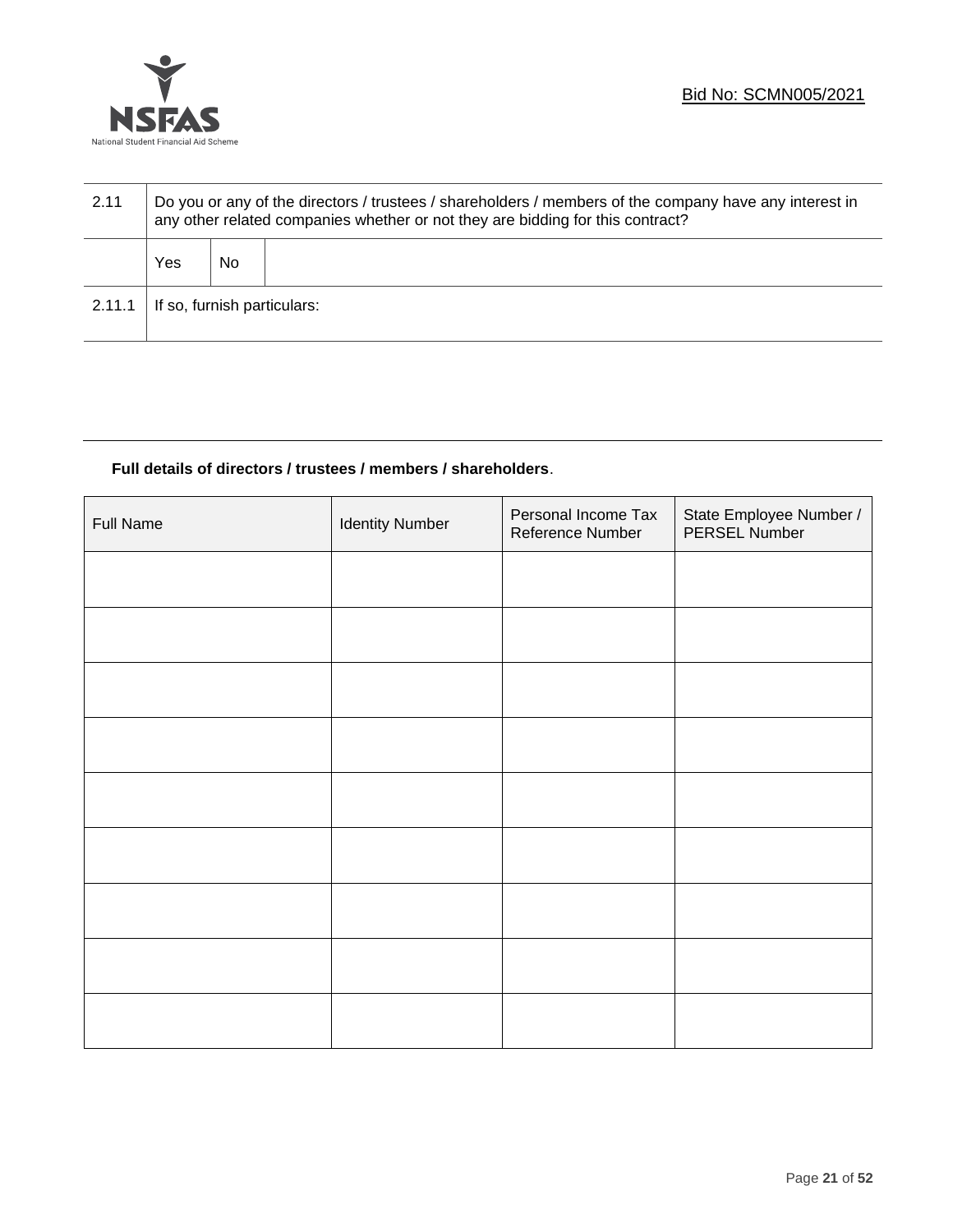

| 2.11   | Do you or any of the directors / trustees / shareholders / members of the company have any interest in<br>any other related companies whether or not they are bidding for this contract? |    |  |  |  |
|--------|------------------------------------------------------------------------------------------------------------------------------------------------------------------------------------------|----|--|--|--|
|        | Yes                                                                                                                                                                                      | No |  |  |  |
| 2.11.1 | If so, furnish particulars:                                                                                                                                                              |    |  |  |  |

## **Full details of directors / trustees / members / shareholders**.

| <b>Full Name</b> | <b>Identity Number</b> | Personal Income Tax<br>Reference Number | State Employee Number /<br>PERSEL Number |
|------------------|------------------------|-----------------------------------------|------------------------------------------|
|                  |                        |                                         |                                          |
|                  |                        |                                         |                                          |
|                  |                        |                                         |                                          |
|                  |                        |                                         |                                          |
|                  |                        |                                         |                                          |
|                  |                        |                                         |                                          |
|                  |                        |                                         |                                          |
|                  |                        |                                         |                                          |
|                  |                        |                                         |                                          |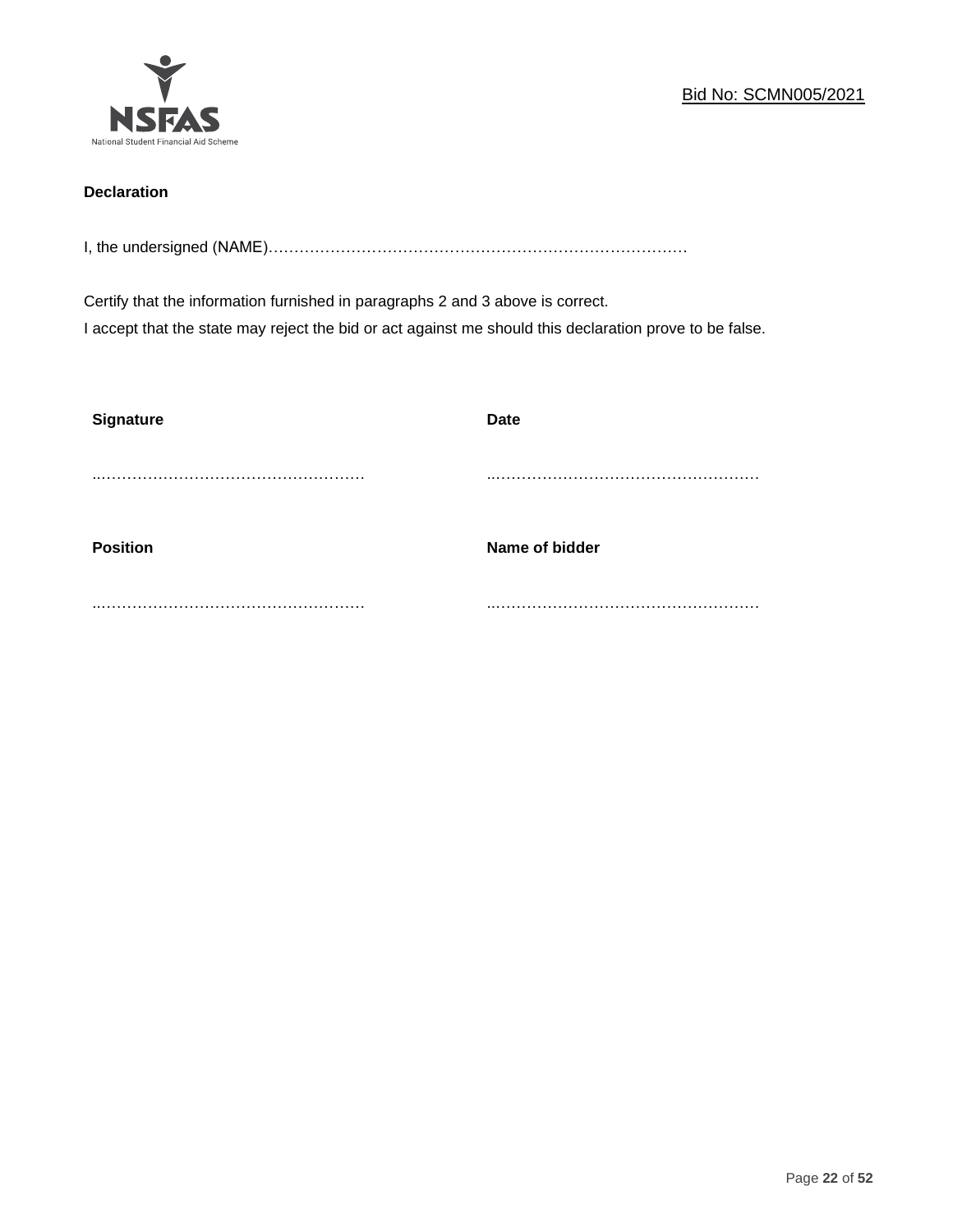

## **Declaration**

I, the undersigned (NAME)………………………………………………………………………

Certify that the information furnished in paragraphs 2 and 3 above is correct. I accept that the state may reject the bid or act against me should this declaration prove to be false.

| <b>Signature</b> | <b>Date</b>    |
|------------------|----------------|
|                  |                |
| <b>Position</b>  | Name of bidder |
|                  |                |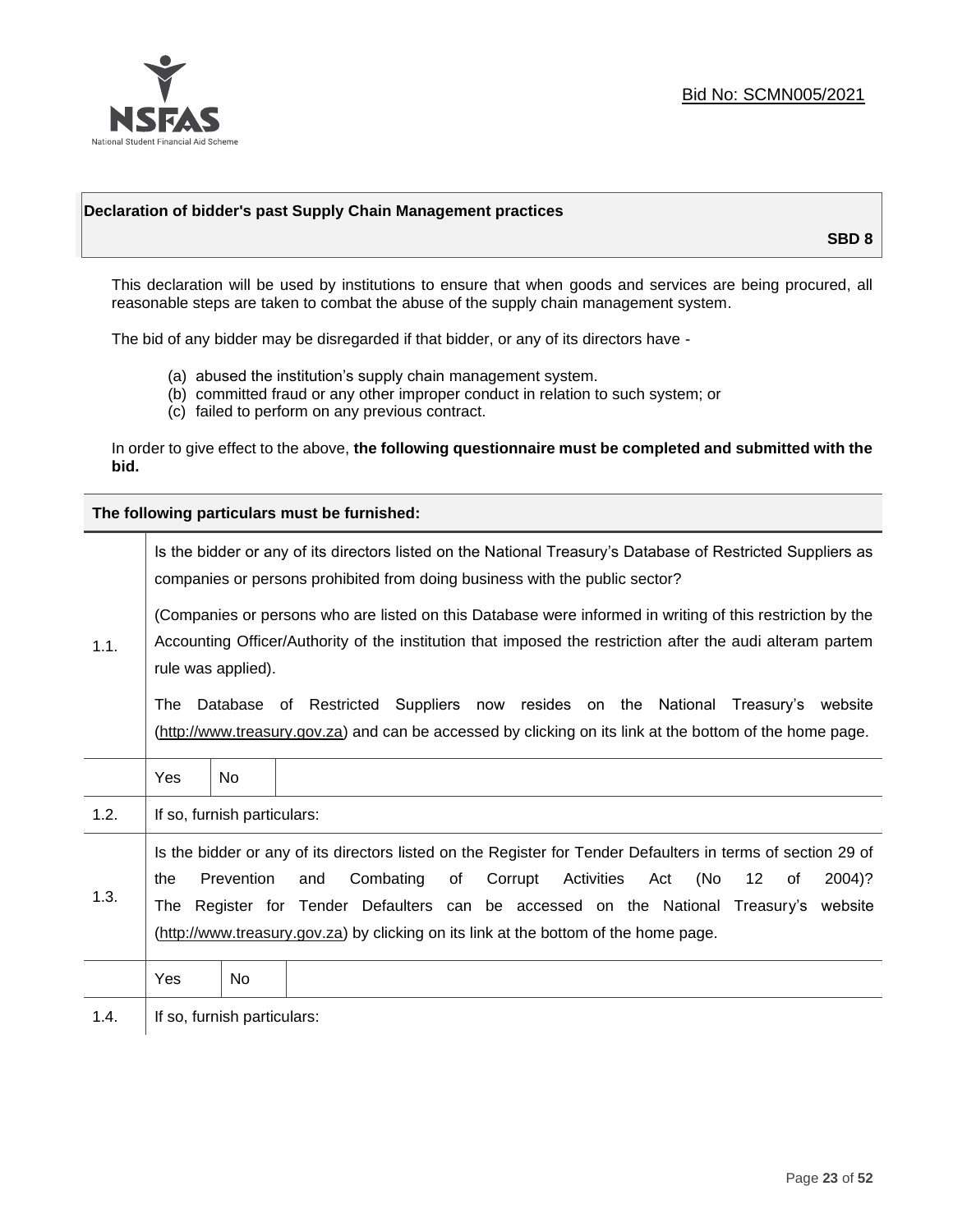

## **Declaration of bidder's past Supply Chain Management practices**

**SBD 8**

This declaration will be used by institutions to ensure that when goods and services are being procured, all reasonable steps are taken to combat the abuse of the supply chain management system.

The bid of any bidder may be disregarded if that bidder, or any of its directors have -

- (a) abused the institution's supply chain management system.
- (b) committed fraud or any other improper conduct in relation to such system; or
- (c) failed to perform on any previous contract.

In order to give effect to the above, **the following questionnaire must be completed and submitted with the bid.**

**The following particulars must be furnished:**

|      | Is the bidder or any of its directors listed on the National Treasury's Database of Restricted Suppliers as<br>companies or persons prohibited from doing business with the public sector?                                                                                                                                                                                                                |                             |  |  |
|------|-----------------------------------------------------------------------------------------------------------------------------------------------------------------------------------------------------------------------------------------------------------------------------------------------------------------------------------------------------------------------------------------------------------|-----------------------------|--|--|
| 1.1. | (Companies or persons who are listed on this Database were informed in writing of this restriction by the<br>Accounting Officer/Authority of the institution that imposed the restriction after the audi alteram partem<br>rule was applied).                                                                                                                                                             |                             |  |  |
|      | Database of Restricted Suppliers now resides on the National<br>Treasury's website<br>The<br>(http://www.treasury.gov.za) and can be accessed by clicking on its link at the bottom of the home page.                                                                                                                                                                                                     |                             |  |  |
|      | Yes                                                                                                                                                                                                                                                                                                                                                                                                       | <b>No</b>                   |  |  |
| 1.2. |                                                                                                                                                                                                                                                                                                                                                                                                           | If so, furnish particulars: |  |  |
| 1.3. | Is the bidder or any of its directors listed on the Register for Tender Defaulters in terms of section 29 of<br>Prevention<br>Activities<br>(No<br>Combating<br>of<br>Corrupt<br>12<br>2004)?<br>the<br>and<br>Act<br>of<br>The Register for Tender Defaulters can be accessed on the National Treasury's website<br>(http://www.treasury.gov.za) by clicking on its link at the bottom of the home page. |                             |  |  |
|      | Yes                                                                                                                                                                                                                                                                                                                                                                                                       | No                          |  |  |
| 1.4. |                                                                                                                                                                                                                                                                                                                                                                                                           | If so, furnish particulars: |  |  |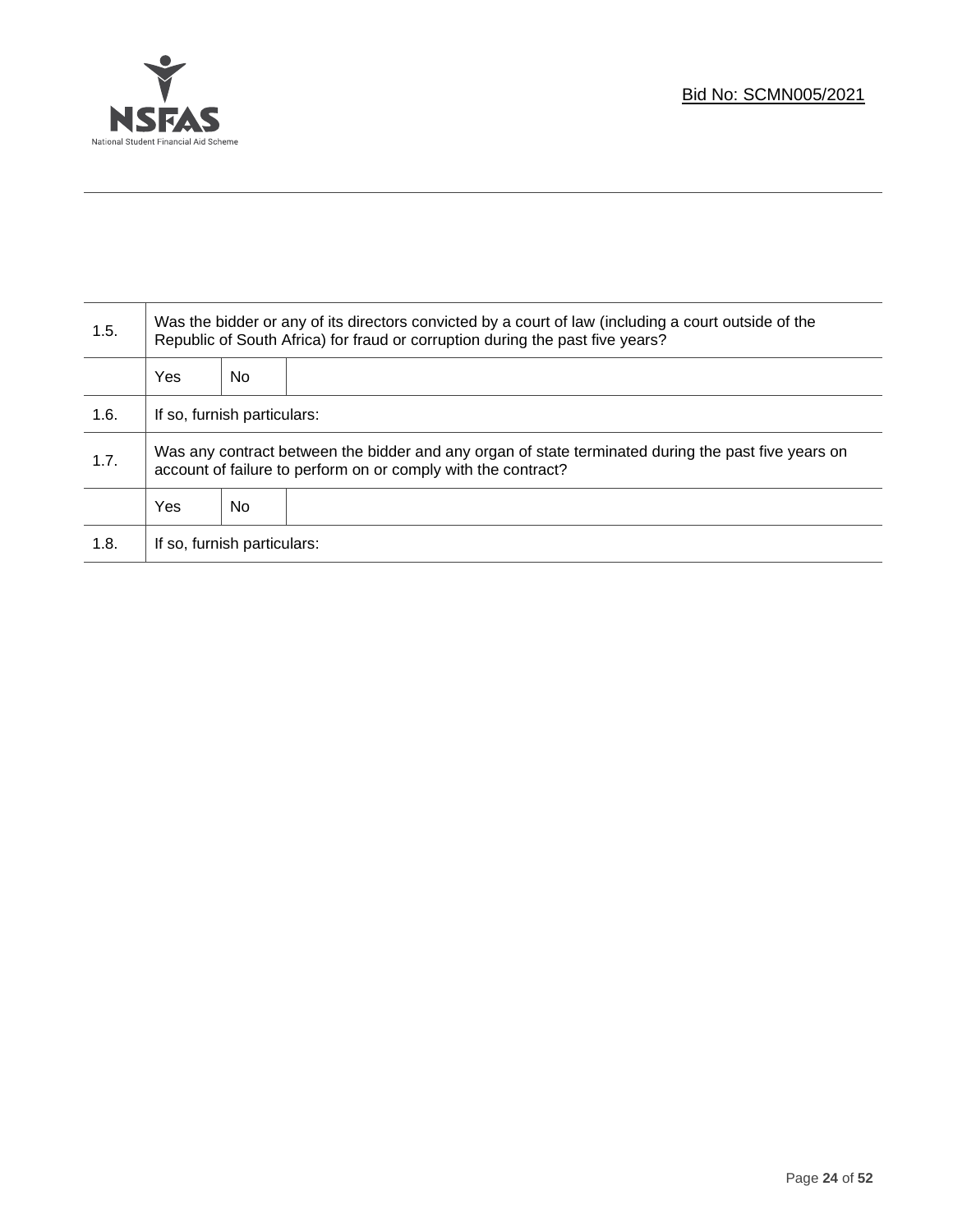

T

| 1.5. | Was the bidder or any of its directors convicted by a court of law (including a court outside of the<br>Republic of South Africa) for fraud or corruption during the past five years? |    |  |
|------|---------------------------------------------------------------------------------------------------------------------------------------------------------------------------------------|----|--|
|      | <b>Yes</b>                                                                                                                                                                            | No |  |
| 1.6. | If so, furnish particulars:                                                                                                                                                           |    |  |
| 1.7. | Was any contract between the bidder and any organ of state terminated during the past five years on<br>account of failure to perform on or comply with the contract?                  |    |  |
|      | <b>Yes</b>                                                                                                                                                                            | No |  |
| 1.8. | If so, furnish particulars:                                                                                                                                                           |    |  |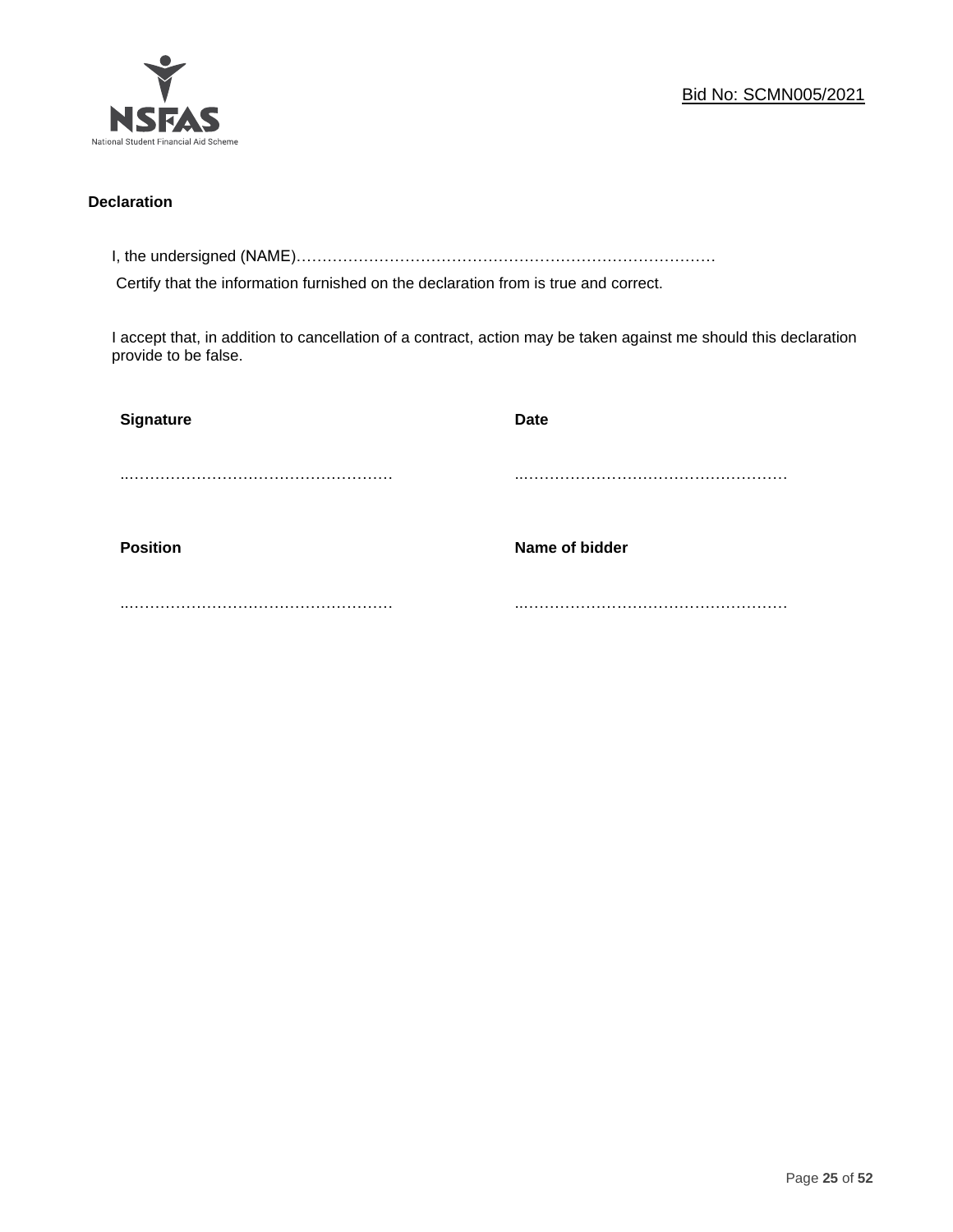

## **Declaration**

I, the undersigned (NAME)………………………………………………………………………

Certify that the information furnished on the declaration from is true and correct.

I accept that, in addition to cancellation of a contract, action may be taken against me should this declaration provide to be false.

| Signature       | <b>Date</b>    |
|-----------------|----------------|
|                 |                |
|                 |                |
| <b>Position</b> | Name of bidder |
|                 |                |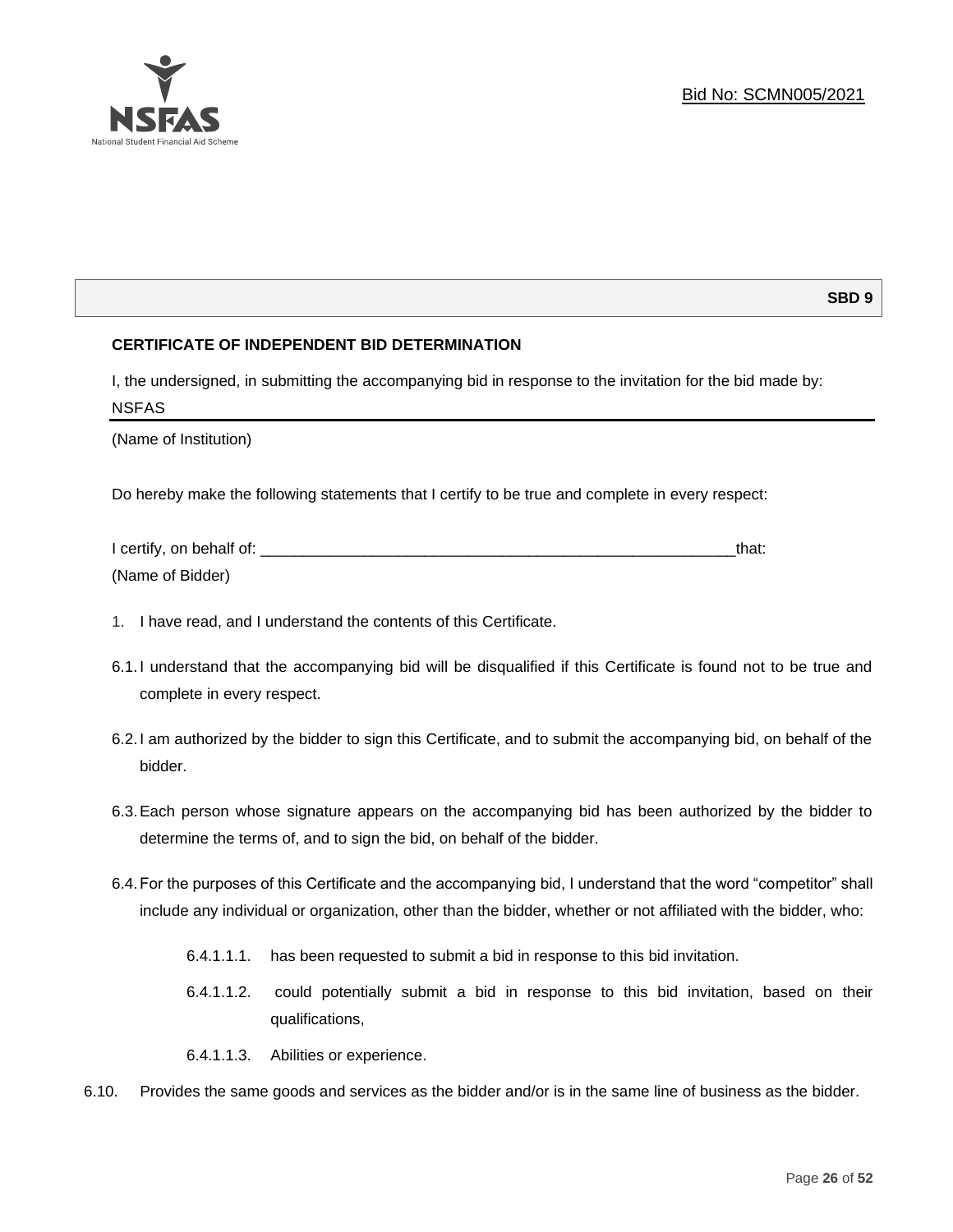

## **SBD 9**

## **CERTIFICATE OF INDEPENDENT BID DETERMINATION**

I, the undersigned, in submitting the accompanying bid in response to the invitation for the bid made by: NSFAS

(Name of Institution)

Do hereby make the following statements that I certify to be true and complete in every respect:

| I certify, on behalf of: |  |
|--------------------------|--|
| (Name of Bidder)         |  |

- 1. I have read, and I understand the contents of this Certificate.
- 6.1.I understand that the accompanying bid will be disqualified if this Certificate is found not to be true and complete in every respect.
- 6.2.I am authorized by the bidder to sign this Certificate, and to submit the accompanying bid, on behalf of the bidder.
- 6.3.Each person whose signature appears on the accompanying bid has been authorized by the bidder to determine the terms of, and to sign the bid, on behalf of the bidder.
- 6.4.For the purposes of this Certificate and the accompanying bid, I understand that the word "competitor" shall include any individual or organization, other than the bidder, whether or not affiliated with the bidder, who:
	- 6.4.1.1.1. has been requested to submit a bid in response to this bid invitation.
	- 6.4.1.1.2. could potentially submit a bid in response to this bid invitation, based on their qualifications,
	- 6.4.1.1.3. Abilities or experience.
- 6.10. Provides the same goods and services as the bidder and/or is in the same line of business as the bidder.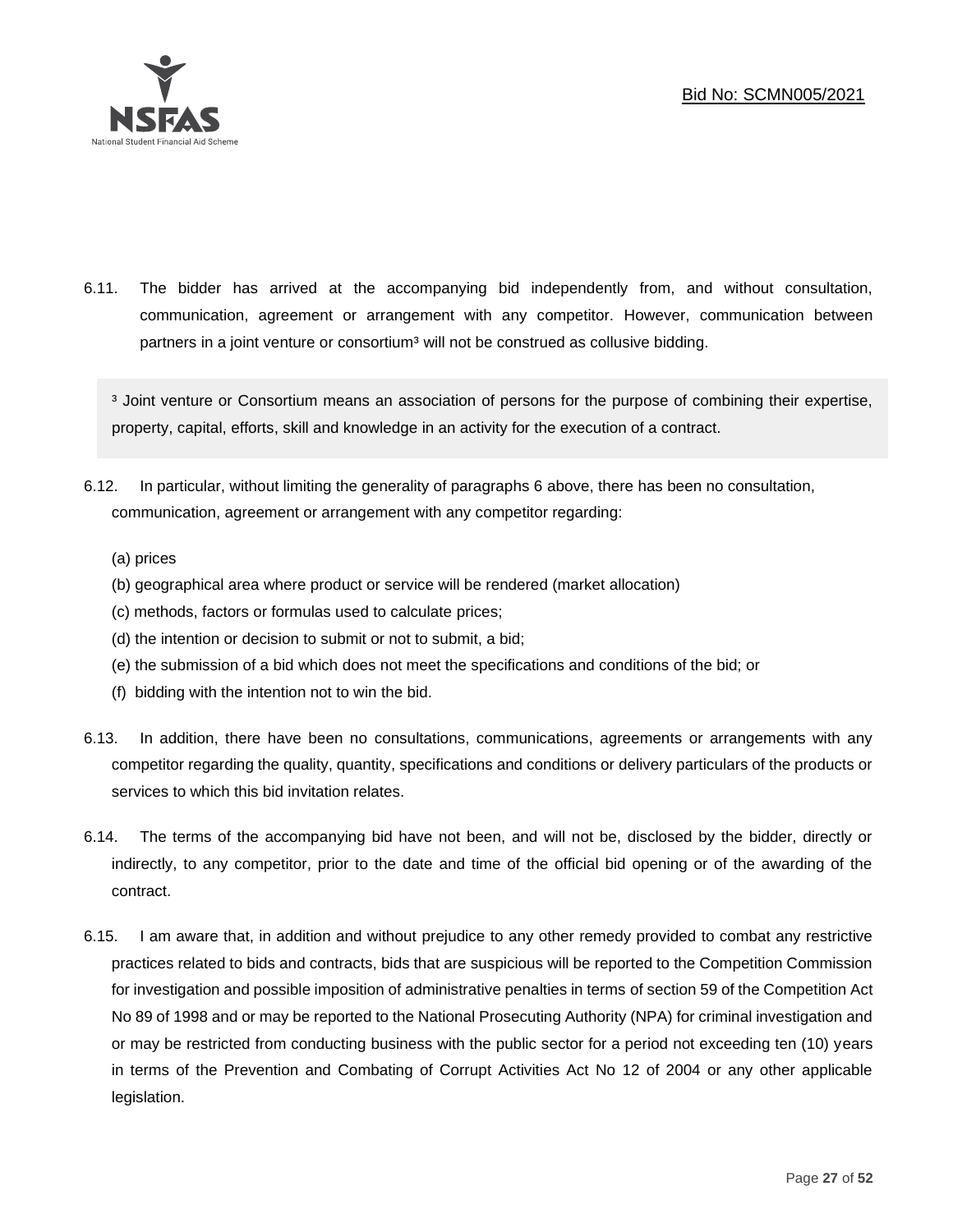

6.11. The bidder has arrived at the accompanying bid independently from, and without consultation, communication, agreement or arrangement with any competitor. However, communication between partners in a joint venture or consortium<sup>3</sup> will not be construed as collusive bidding.

<sup>3</sup> Joint venture or Consortium means an association of persons for the purpose of combining their expertise, property, capital, efforts, skill and knowledge in an activity for the execution of a contract.

- 6.12. In particular, without limiting the generality of paragraphs 6 above, there has been no consultation, communication, agreement or arrangement with any competitor regarding:
	- (a) prices
	- (b) geographical area where product or service will be rendered (market allocation)
	- (c) methods, factors or formulas used to calculate prices;
	- (d) the intention or decision to submit or not to submit, a bid;
	- (e) the submission of a bid which does not meet the specifications and conditions of the bid; or
	- (f) bidding with the intention not to win the bid.
- 6.13. In addition, there have been no consultations, communications, agreements or arrangements with any competitor regarding the quality, quantity, specifications and conditions or delivery particulars of the products or services to which this bid invitation relates.
- 6.14. The terms of the accompanying bid have not been, and will not be, disclosed by the bidder, directly or indirectly, to any competitor, prior to the date and time of the official bid opening or of the awarding of the contract.
- 6.15. I am aware that, in addition and without prejudice to any other remedy provided to combat any restrictive practices related to bids and contracts, bids that are suspicious will be reported to the Competition Commission for investigation and possible imposition of administrative penalties in terms of section 59 of the Competition Act No 89 of 1998 and or may be reported to the National Prosecuting Authority (NPA) for criminal investigation and or may be restricted from conducting business with the public sector for a period not exceeding ten (10) years in terms of the Prevention and Combating of Corrupt Activities Act No 12 of 2004 or any other applicable legislation.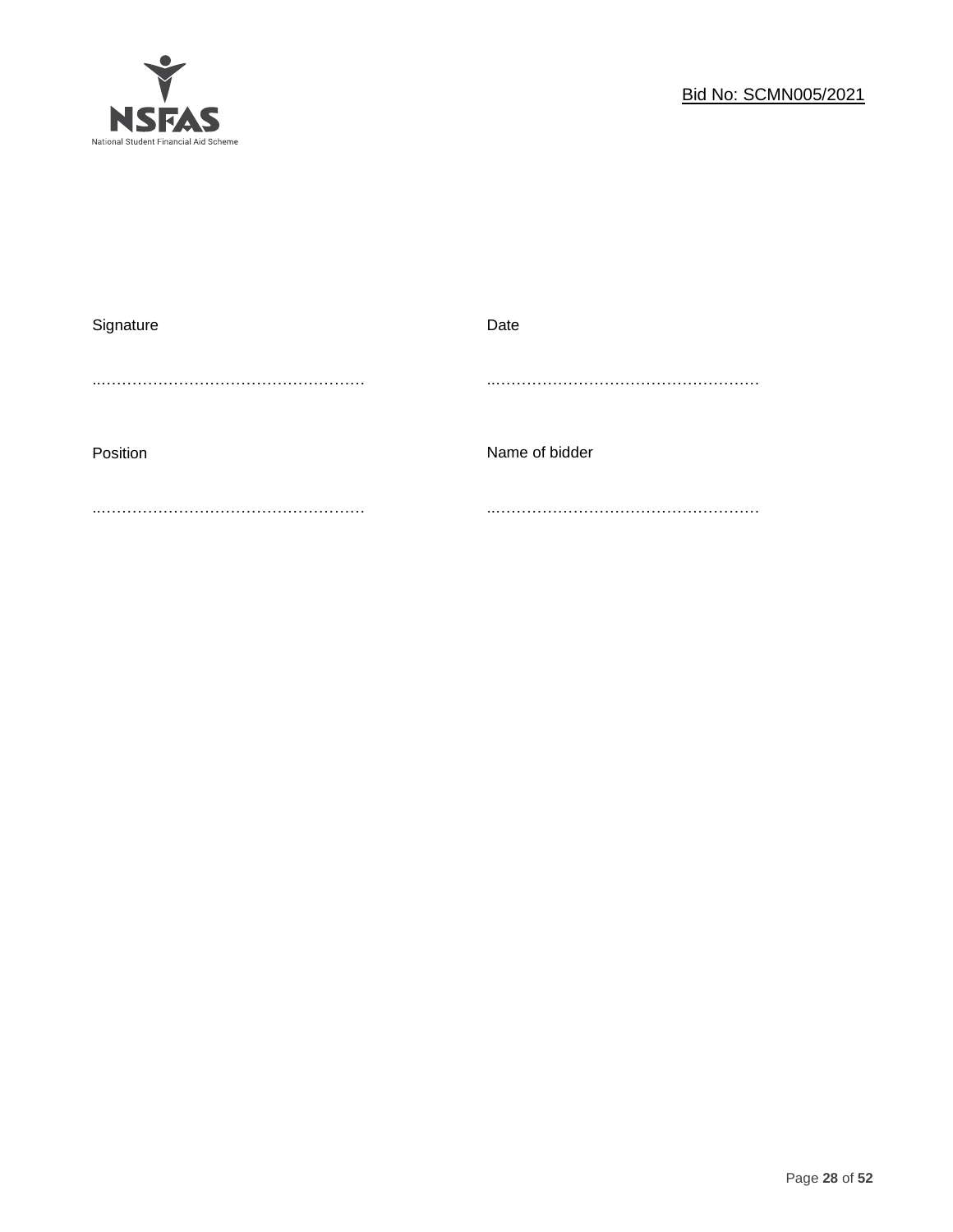

| Signature | Date           |
|-----------|----------------|
|           |                |
| Position  | Name of bidder |
|           |                |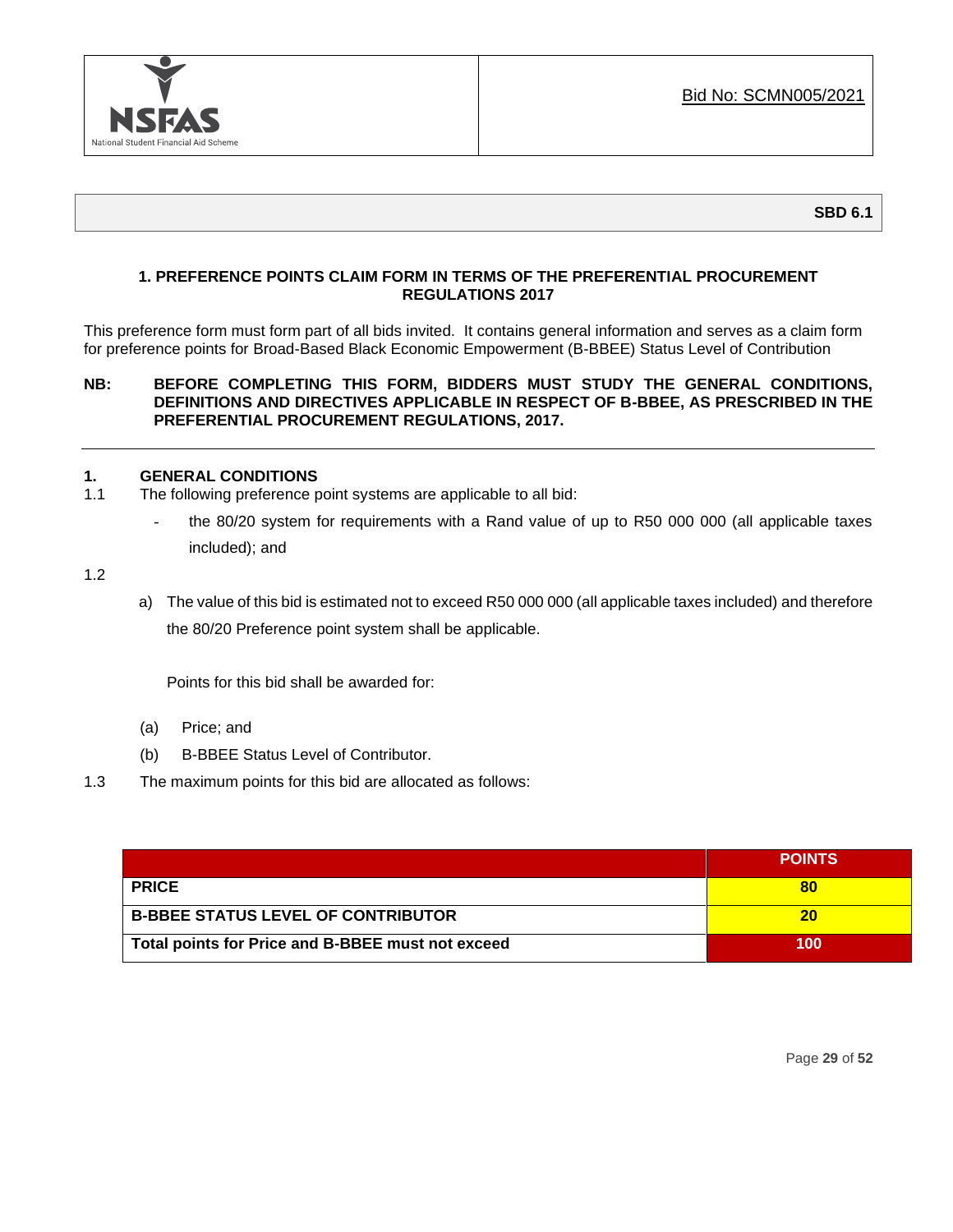

## **1. PREFERENCE POINTS CLAIM FORM IN TERMS OF THE PREFERENTIAL PROCUREMENT REGULATIONS 2017**

This preference form must form part of all bids invited. It contains general information and serves as a claim form for preference points for Broad-Based Black Economic Empowerment (B-BBEE) Status Level of Contribution

## **NB: BEFORE COMPLETING THIS FORM, BIDDERS MUST STUDY THE GENERAL CONDITIONS, DEFINITIONS AND DIRECTIVES APPLICABLE IN RESPECT OF B-BBEE, AS PRESCRIBED IN THE PREFERENTIAL PROCUREMENT REGULATIONS, 2017.**

## **1. GENERAL CONDITIONS**

- 1.1 The following preference point systems are applicable to all bid:
	- the 80/20 system for requirements with a Rand value of up to R50 000 000 (all applicable taxes included); and

1.2

a) The value of this bid is estimated not to exceed R50 000 000 (all applicable taxes included) and therefore the 80/20 Preference point system shall be applicable.

Points for this bid shall be awarded for:

- (a) Price; and
- (b) B-BBEE Status Level of Contributor.
- 1.3 The maximum points for this bid are allocated as follows:

|                                                   | <b>POINTS</b> |
|---------------------------------------------------|---------------|
| <b>PRICE</b>                                      |               |
| <b>B-BBEE STATUS LEVEL OF CONTRIBUTOR</b>         | 20            |
| Total points for Price and B-BBEE must not exceed | 100           |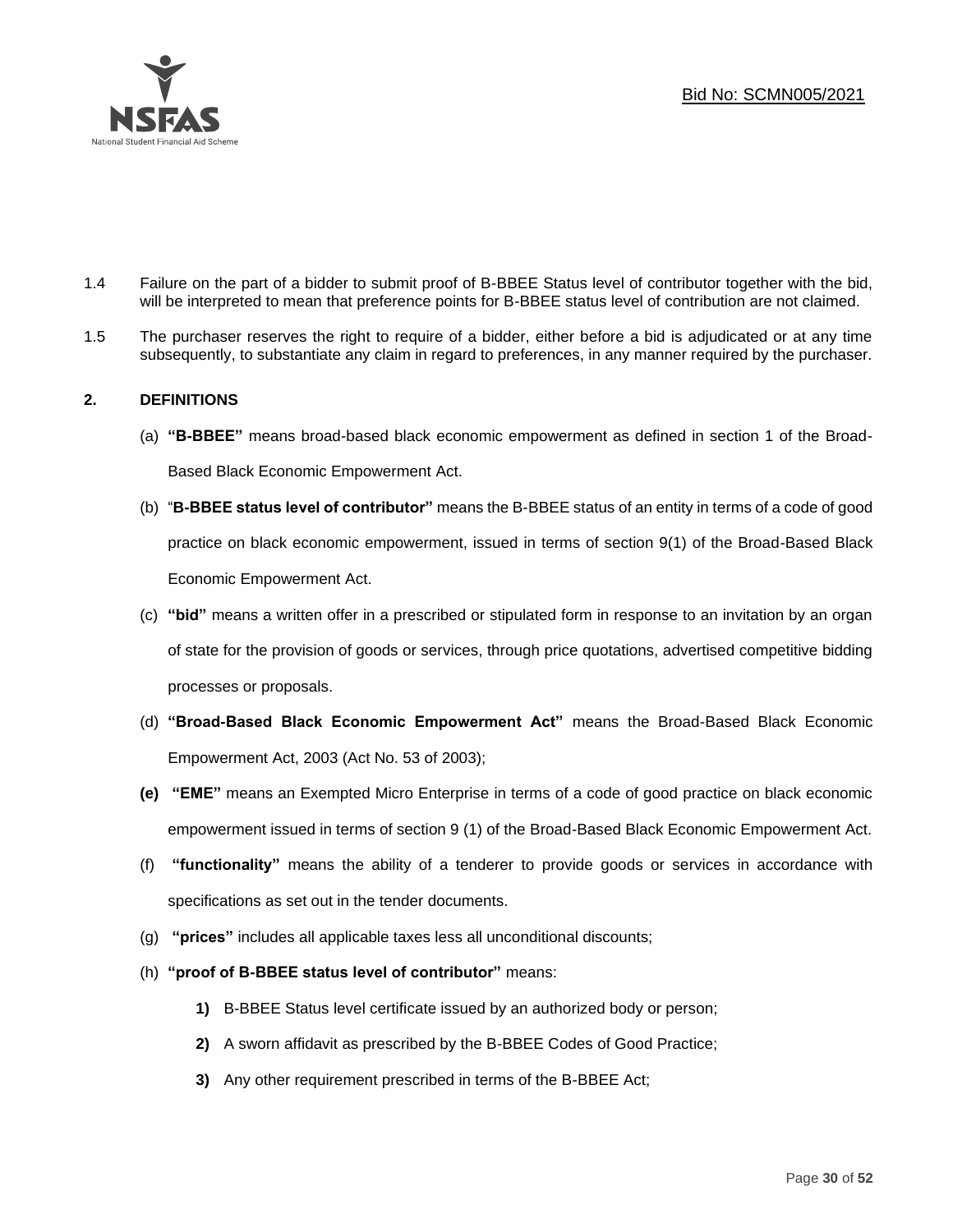

- 1.4 Failure on the part of a bidder to submit proof of B-BBEE Status level of contributor together with the bid, will be interpreted to mean that preference points for B-BBEE status level of contribution are not claimed.
- 1.5 The purchaser reserves the right to require of a bidder, either before a bid is adjudicated or at any time subsequently, to substantiate any claim in regard to preferences, in any manner required by the purchaser.

## **2. DEFINITIONS**

- (a) **"B-BBEE"** means broad-based black economic empowerment as defined in section 1 of the Broad-Based Black Economic Empowerment Act.
- (b) "**B-BBEE status level of contributor"** means the B-BBEE status of an entity in terms of a code of good practice on black economic empowerment, issued in terms of section 9(1) of the Broad-Based Black Economic Empowerment Act.
- (c) **"bid"** means a written offer in a prescribed or stipulated form in response to an invitation by an organ of state for the provision of goods or services, through price quotations, advertised competitive bidding processes or proposals.
- (d) **"Broad-Based Black Economic Empowerment Act"** means the Broad-Based Black Economic Empowerment Act, 2003 (Act No. 53 of 2003);
- **(e) "EME"** means an Exempted Micro Enterprise in terms of a code of good practice on black economic empowerment issued in terms of section 9 (1) of the Broad-Based Black Economic Empowerment Act.
- (f) **"functionality"** means the ability of a tenderer to provide goods or services in accordance with specifications as set out in the tender documents.
- (g) **"prices"** includes all applicable taxes less all unconditional discounts;
- (h) **"proof of B-BBEE status level of contributor"** means:
	- **1)** B-BBEE Status level certificate issued by an authorized body or person;
	- **2)** A sworn affidavit as prescribed by the B-BBEE Codes of Good Practice;
	- **3)** Any other requirement prescribed in terms of the B-BBEE Act;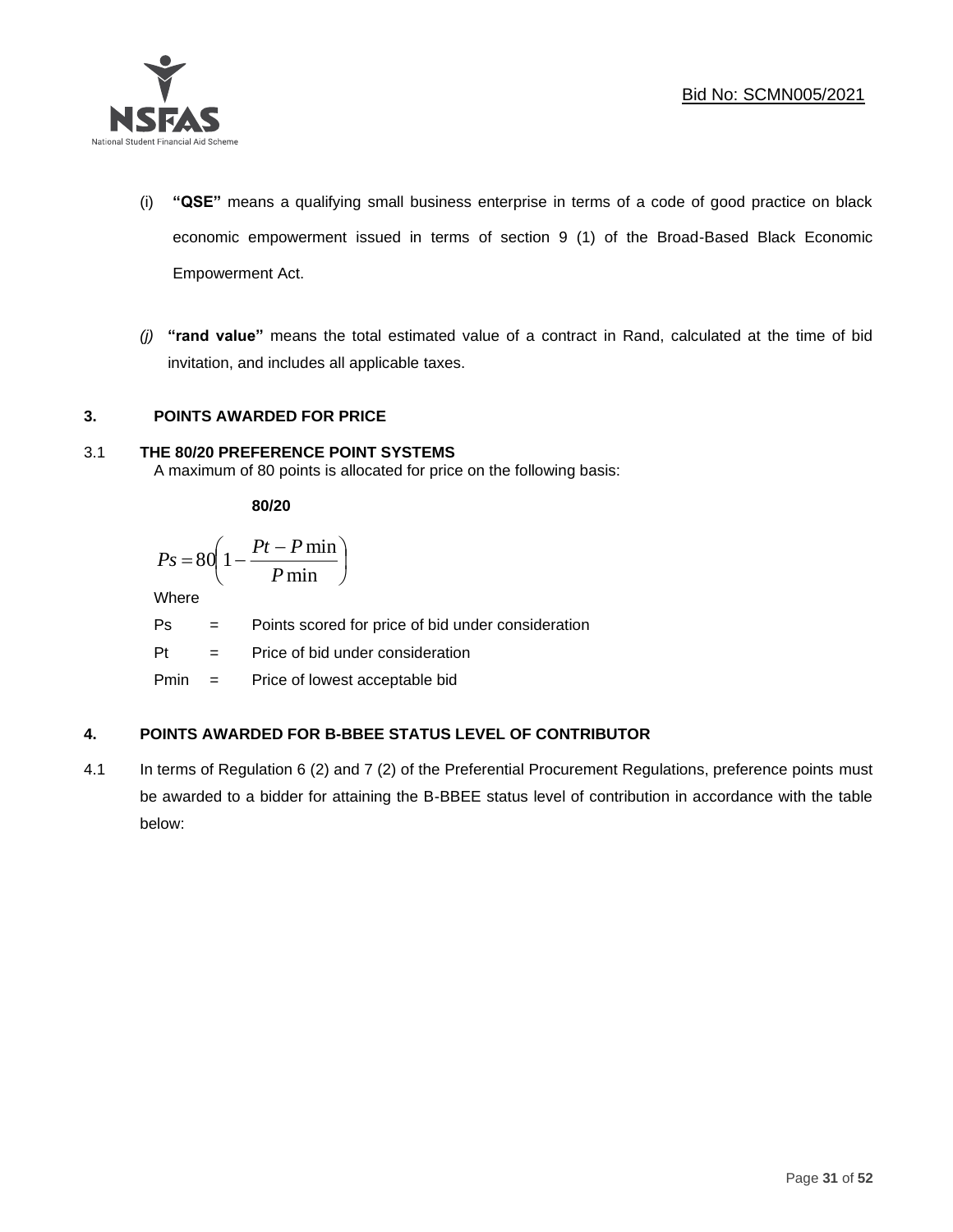

- (i) **"QSE"** means a qualifying small business enterprise in terms of a code of good practice on black economic empowerment issued in terms of section 9 (1) of the Broad-Based Black Economic Empowerment Act.
- *(j)* **"rand value"** means the total estimated value of a contract in Rand, calculated at the time of bid invitation, and includes all applicable taxes.

## **3. POINTS AWARDED FOR PRICE**

## 3.1 **THE 80/20 PREFERENCE POINT SYSTEMS**

A maximum of 80 points is allocated for price on the following basis:

**80/20**

$$
Ps = 80 \left( 1 - \frac{Pt - P \min}{P \min} \right)
$$

Where

Ps = Points scored for price of bid under consideration

l

Pt = Price of bid under consideration

Pmin = Price of lowest acceptable bid

## **4. POINTS AWARDED FOR B-BBEE STATUS LEVEL OF CONTRIBUTOR**

4.1 In terms of Regulation 6 (2) and 7 (2) of the Preferential Procurement Regulations, preference points must be awarded to a bidder for attaining the B-BBEE status level of contribution in accordance with the table below: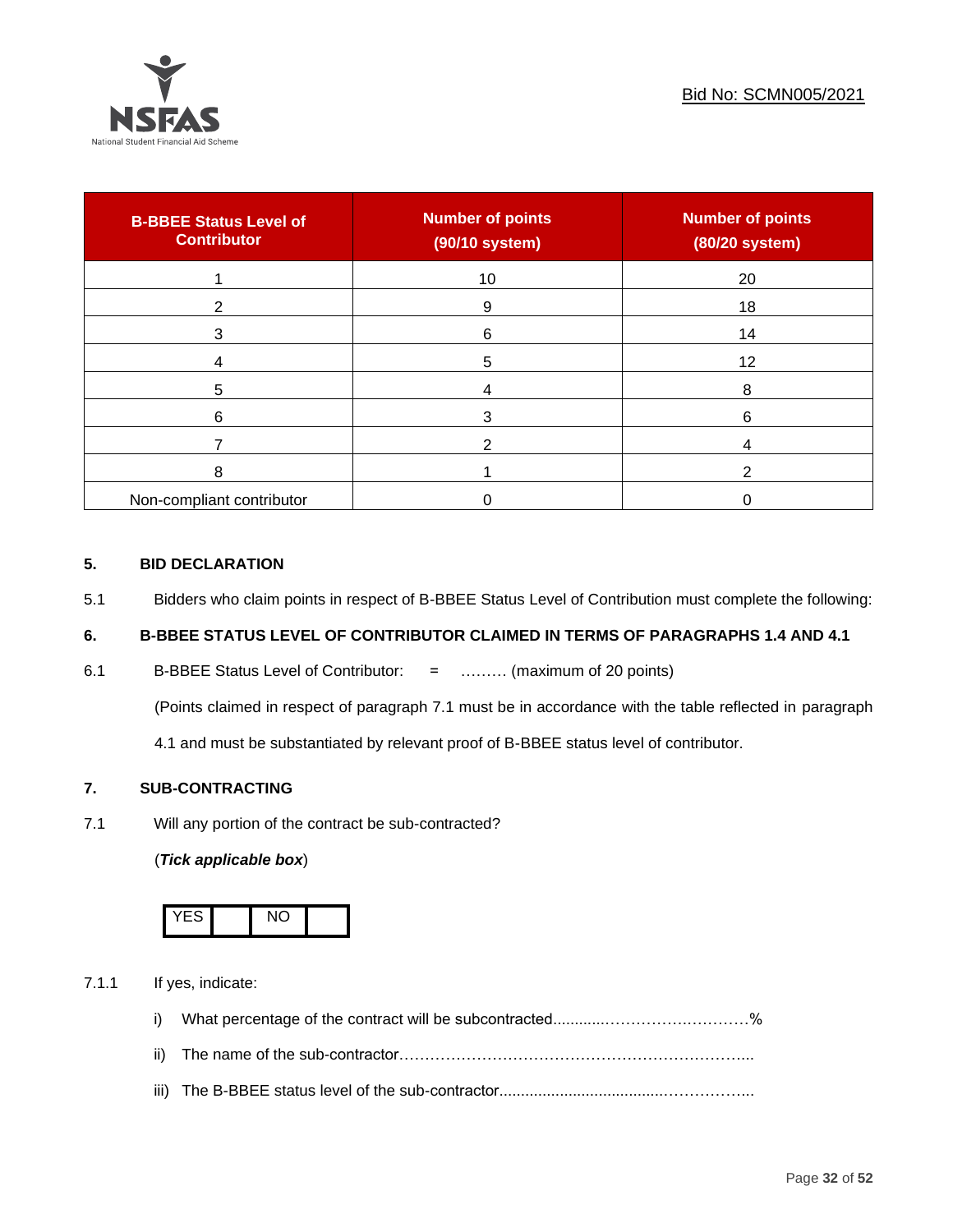

| <b>B-BBEE Status Level of</b><br><b>Contributor</b> | <b>Number of points</b><br>(90/10 system) | <b>Number of points</b><br>(80/20 system) |
|-----------------------------------------------------|-------------------------------------------|-------------------------------------------|
|                                                     | 10                                        | 20                                        |
| 2                                                   | 9                                         | 18                                        |
| 3                                                   | 6                                         | 14                                        |
|                                                     | 5                                         | 12                                        |
| 5                                                   |                                           | 8                                         |
| 6                                                   |                                           | 6                                         |
|                                                     |                                           |                                           |
| 8                                                   |                                           | ◠                                         |
| Non-compliant contributor                           |                                           |                                           |

## **5. BID DECLARATION**

5.1 Bidders who claim points in respect of B-BBEE Status Level of Contribution must complete the following:

## **6. B-BBEE STATUS LEVEL OF CONTRIBUTOR CLAIMED IN TERMS OF PARAGRAPHS 1.4 AND 4.1**

6.1 B-BBEE Status Level of Contributor: = ……… (maximum of 20 points)

(Points claimed in respect of paragraph 7.1 must be in accordance with the table reflected in paragraph

4.1 and must be substantiated by relevant proof of B-BBEE status level of contributor.

## **7. SUB-CONTRACTING**

7.1 Will any portion of the contract be sub-contracted?

## (*Tick applicable box*)



7.1.1 If yes, indicate:

- i) What percentage of the contract will be subcontracted............…………….…………%
- ii) The name of the sub-contractor…………………………………………………………...
- iii) The B-BBEE status level of the sub-contractor......................................……………...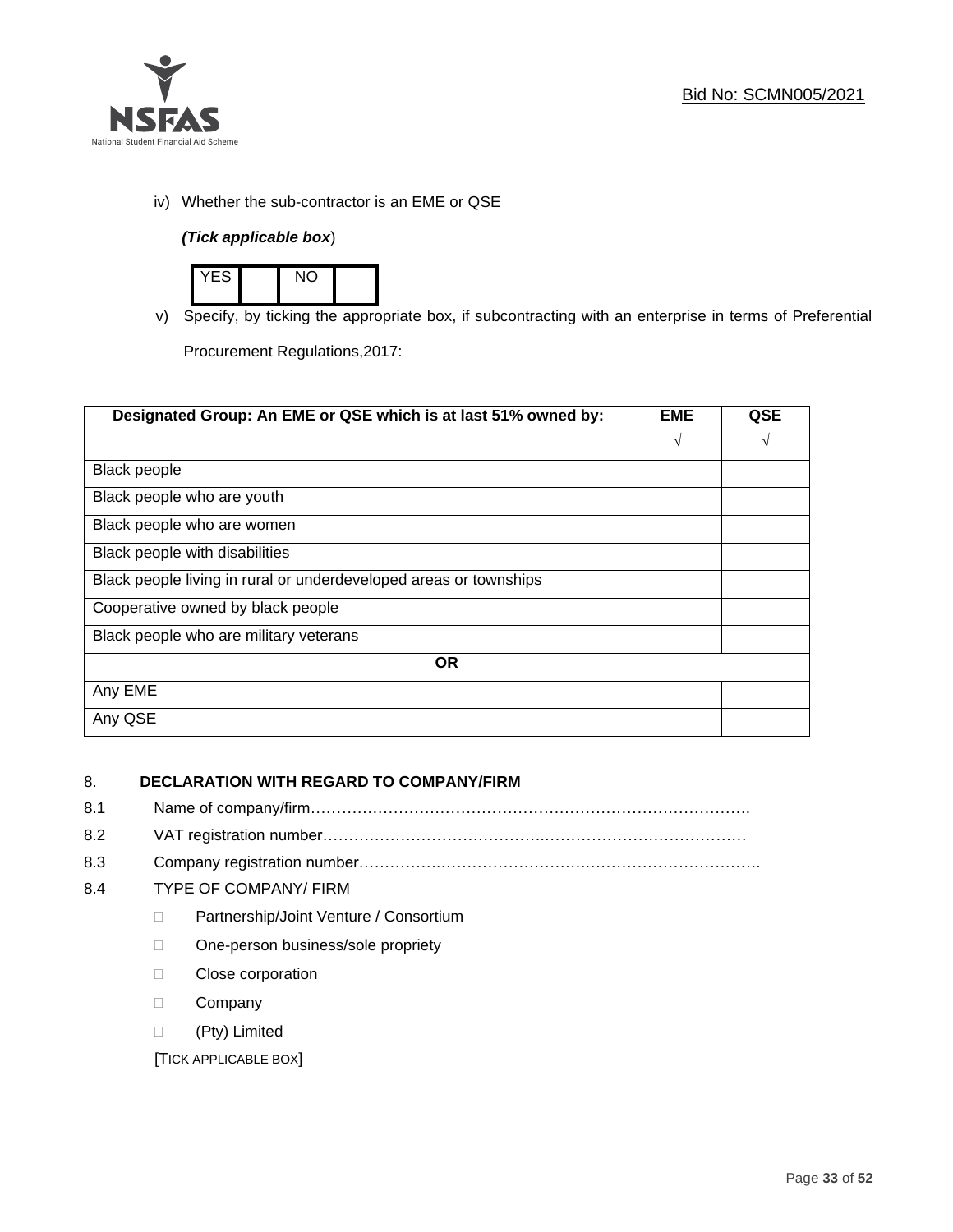

iv) Whether the sub-contractor is an EME or QSE

## *(Tick applicable box*)



v) Specify, by ticking the appropriate box, if subcontracting with an enterprise in terms of Preferential

Procurement Regulations,2017:

| Designated Group: An EME or QSE which is at last 51% owned by:    | <b>EME</b> | QSE |
|-------------------------------------------------------------------|------------|-----|
|                                                                   | $\sqrt{ }$ | V   |
| <b>Black people</b>                                               |            |     |
| Black people who are youth                                        |            |     |
| Black people who are women                                        |            |     |
| Black people with disabilities                                    |            |     |
| Black people living in rural or underdeveloped areas or townships |            |     |
| Cooperative owned by black people                                 |            |     |
| Black people who are military veterans                            |            |     |
| <b>OR</b>                                                         |            |     |
| Any EME                                                           |            |     |
| Any QSE                                                           |            |     |

## 8. **DECLARATION WITH REGARD TO COMPANY/FIRM**

- 8.1 Name of company/firm………………………………………………………………………….
- 8.2 VAT registration number…………………………………….…………………………………
- 8.3 Company registration number…………….……………………….…………………………….

## 8.4 TYPE OF COMPANY/ FIRM

- D Partnership/Joint Venture / Consortium
- □ One-person business/sole propriety
- D Close corporation
- D Company
- (Pty) Limited

[TICK APPLICABLE BOX]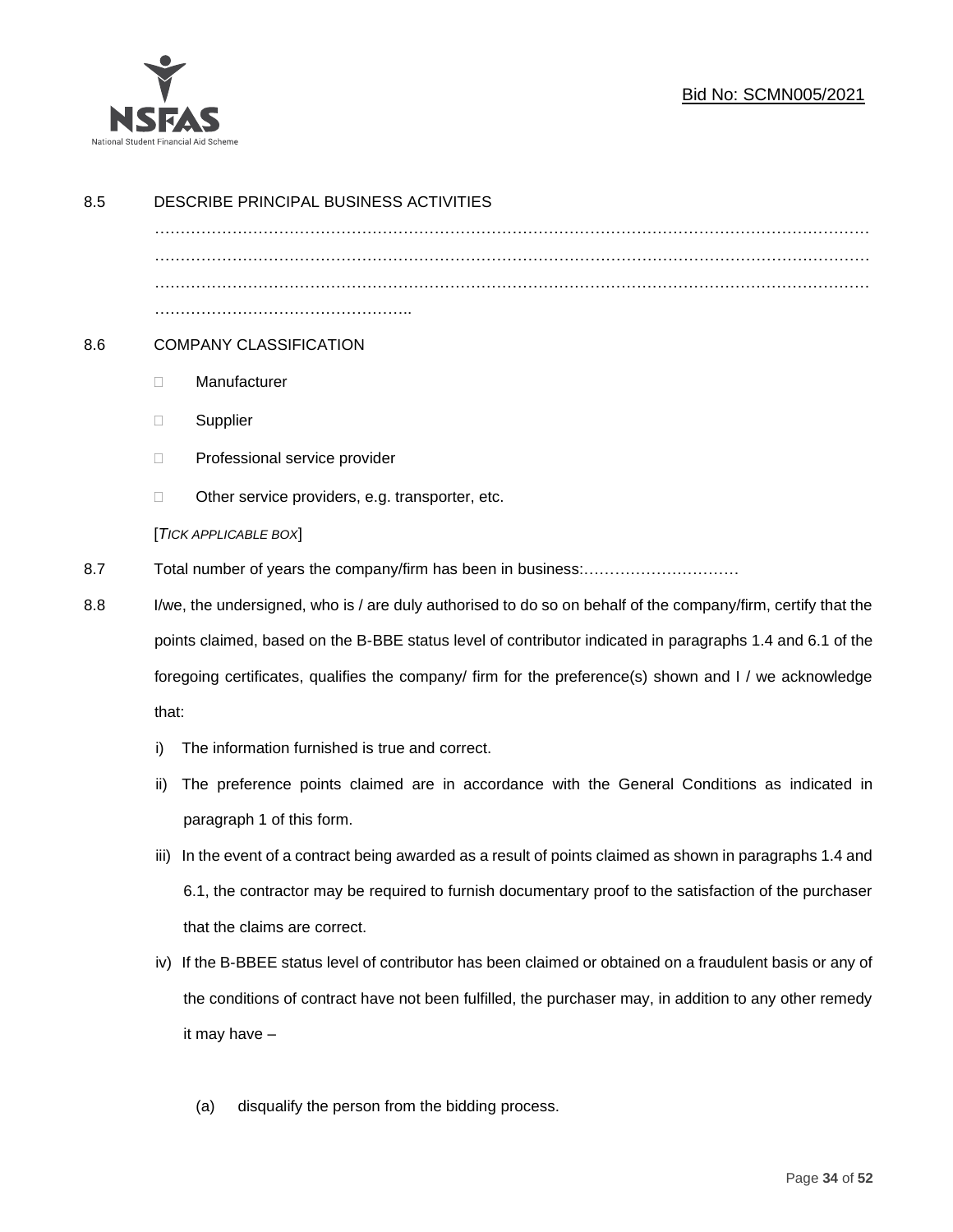

## Bid No: SCMN005/2021

| 8.5 | DESCRIBE PRINCIPAL BUSINESS ACTIVITIES                                                                       |                                                                                                            |  |
|-----|--------------------------------------------------------------------------------------------------------------|------------------------------------------------------------------------------------------------------------|--|
|     |                                                                                                              |                                                                                                            |  |
|     |                                                                                                              |                                                                                                            |  |
|     |                                                                                                              |                                                                                                            |  |
|     |                                                                                                              |                                                                                                            |  |
| 8.6 |                                                                                                              | <b>COMPANY CLASSIFICATION</b>                                                                              |  |
|     | $\Box$                                                                                                       | Manufacturer                                                                                               |  |
|     | $\Box$                                                                                                       | Supplier                                                                                                   |  |
|     | $\Box$                                                                                                       | Professional service provider                                                                              |  |
|     | $\Box$                                                                                                       | Other service providers, e.g. transporter, etc.                                                            |  |
|     |                                                                                                              | [TICK APPLICABLE BOX]                                                                                      |  |
| 8.7 |                                                                                                              |                                                                                                            |  |
| 8.8 | I/we, the undersigned, who is / are duly authorised to do so on behalf of the company/firm, certify that the |                                                                                                            |  |
|     |                                                                                                              | points claimed, based on the B-BBE status level of contributor indicated in paragraphs 1.4 and 6.1 of the  |  |
|     | foregoing certificates, qualifies the company/ firm for the preference(s) shown and I / we acknowledge       |                                                                                                            |  |
|     | that:                                                                                                        |                                                                                                            |  |
|     | i)                                                                                                           | The information furnished is true and correct.                                                             |  |
|     | ii)                                                                                                          | The preference points claimed are in accordance with the General Conditions as indicated in                |  |
|     |                                                                                                              | paragraph 1 of this form.                                                                                  |  |
|     | iii)                                                                                                         | In the event of a contract being awarded as a result of points claimed as shown in paragraphs 1.4 and      |  |
|     |                                                                                                              | 6.1, the contractor may be required to furnish documentary proof to the satisfaction of the purchaser      |  |
|     |                                                                                                              | that the claims are correct.                                                                               |  |
|     |                                                                                                              | iv) If the B-BBEE status level of contributor has been claimed or obtained on a fraudulent basis or any of |  |
|     |                                                                                                              | the conditions of contract have not been fulfilled, the purchaser may, in addition to any other remedy     |  |
|     |                                                                                                              | it may have -                                                                                              |  |
|     |                                                                                                              |                                                                                                            |  |
|     |                                                                                                              | disqualify the person from the bidding process.<br>(a)                                                     |  |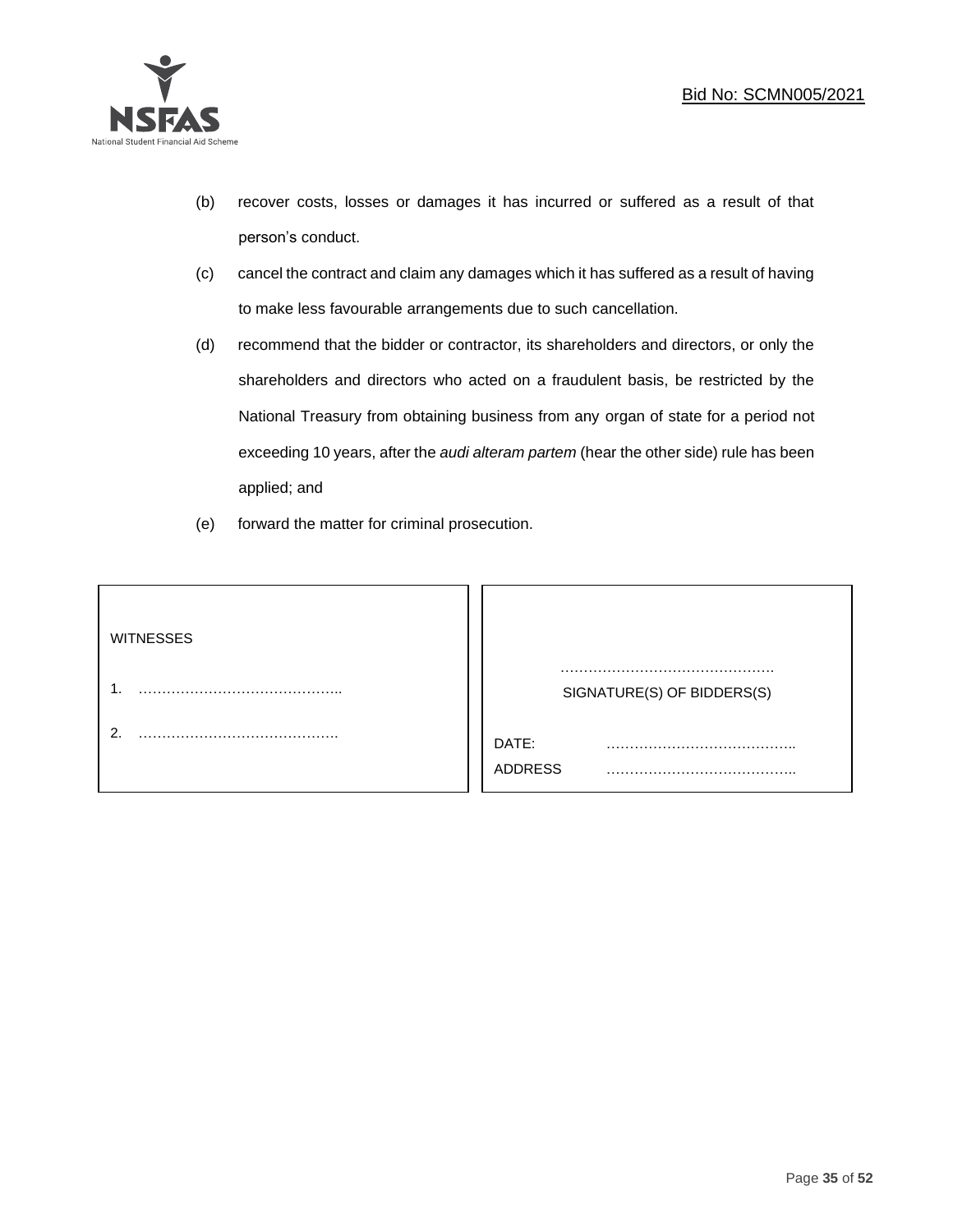

- (b) recover costs, losses or damages it has incurred or suffered as a result of that person's conduct.
- (c) cancel the contract and claim any damages which it has suffered as a result of having to make less favourable arrangements due to such cancellation.
- (d) recommend that the bidder or contractor, its shareholders and directors, or only the shareholders and directors who acted on a fraudulent basis, be restricted by the National Treasury from obtaining business from any organ of state for a period not exceeding 10 years, after the *audi alteram partem* (hear the other side) rule has been applied; and
- (e) forward the matter for criminal prosecution.

| <b>WITNESSES</b> |                              |
|------------------|------------------------------|
|                  | SIGNATURE(S) OF BIDDERS(S)   |
|                  | DATE:<br>.<br><b>ADDRESS</b> |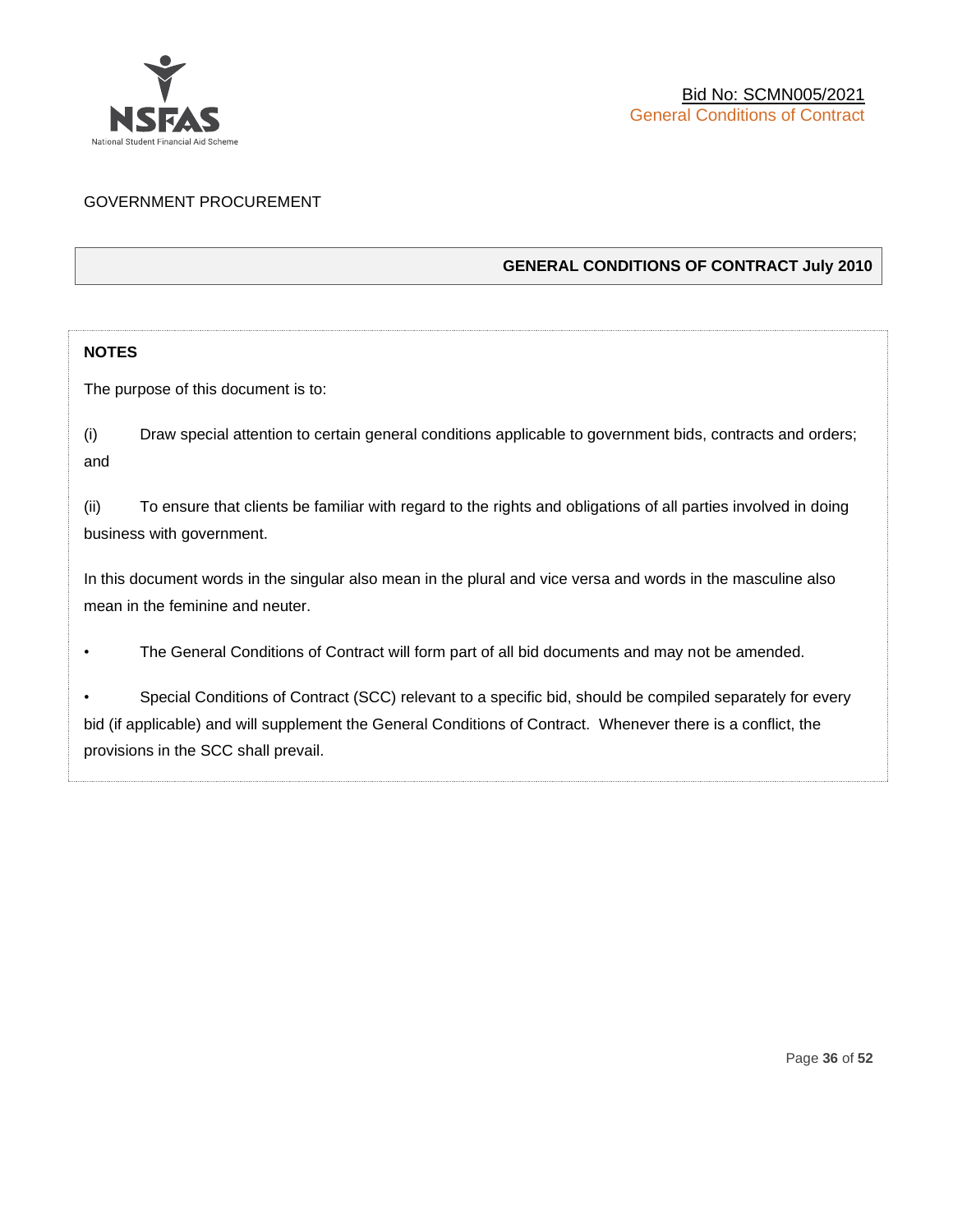

## GOVERNMENT PROCUREMENT

## **GENERAL CONDITIONS OF CONTRACT July 2010**

## **NOTES**

The purpose of this document is to:

(i) Draw special attention to certain general conditions applicable to government bids, contracts and orders; and

(ii) To ensure that clients be familiar with regard to the rights and obligations of all parties involved in doing business with government.

In this document words in the singular also mean in the plural and vice versa and words in the masculine also mean in the feminine and neuter.

• The General Conditions of Contract will form part of all bid documents and may not be amended.

Special Conditions of Contract (SCC) relevant to a specific bid, should be compiled separately for every bid (if applicable) and will supplement the General Conditions of Contract. Whenever there is a conflict, the provisions in the SCC shall prevail.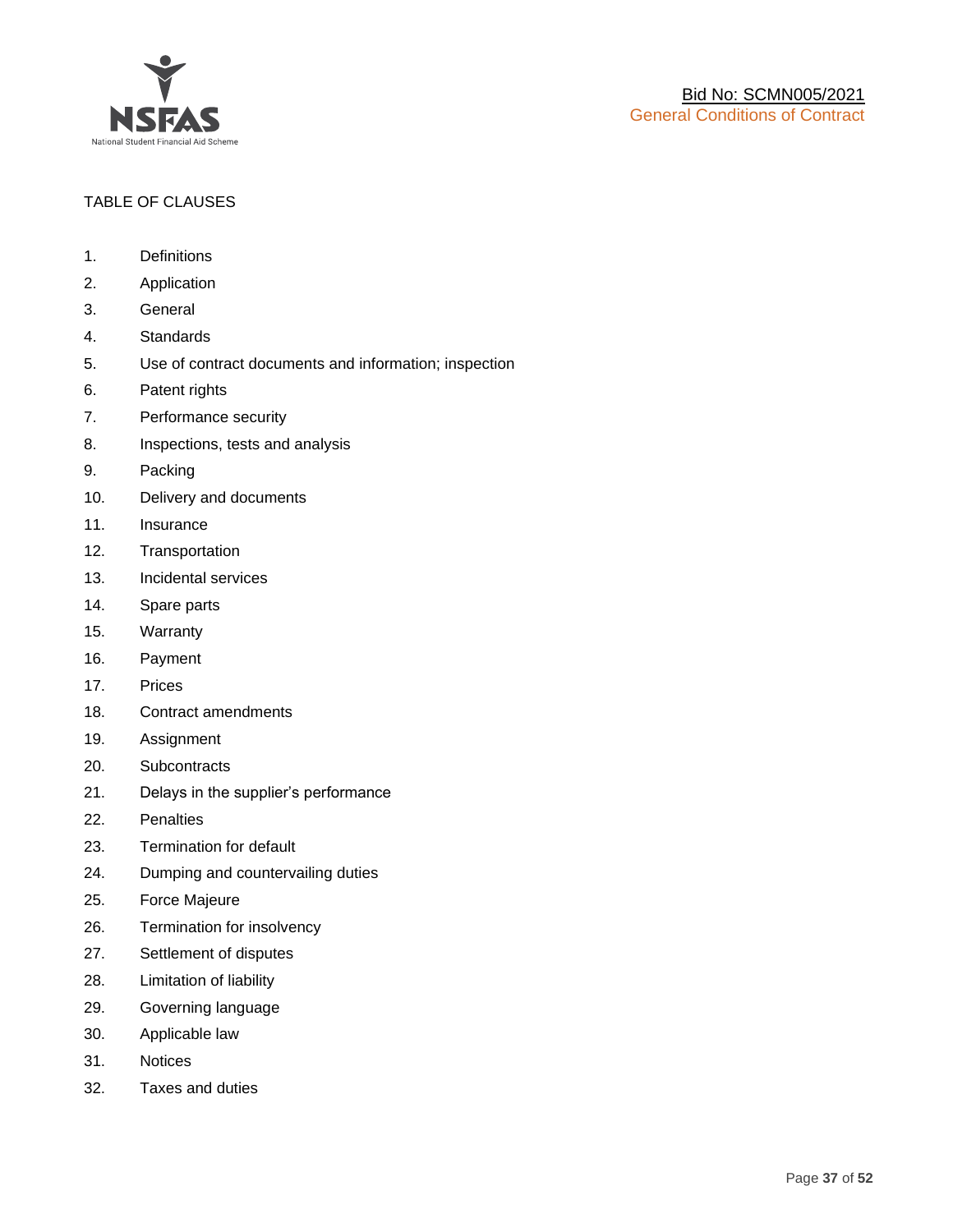

## TABLE OF CLAUSES

- 1. Definitions
- 2. Application
- 3. General
- 4. Standards
- 5. Use of contract documents and information; inspection
- 6. Patent rights
- 7. Performance security
- 8. Inspections, tests and analysis
- 9. Packing
- 10. Delivery and documents
- 11. Insurance
- 12. Transportation
- 13. Incidental services
- 14. Spare parts
- 15. Warranty
- 16. Payment
- 17. Prices
- 18. Contract amendments
- 19. Assignment
- 20. Subcontracts
- 21. Delays in the supplier's performance
- 22. Penalties
- 23. Termination for default
- 24. Dumping and countervailing duties
- 25. Force Majeure
- 26. Termination for insolvency
- 27. Settlement of disputes
- 28. Limitation of liability
- 29. Governing language
- 30. Applicable law
- 31. Notices
- 32. Taxes and duties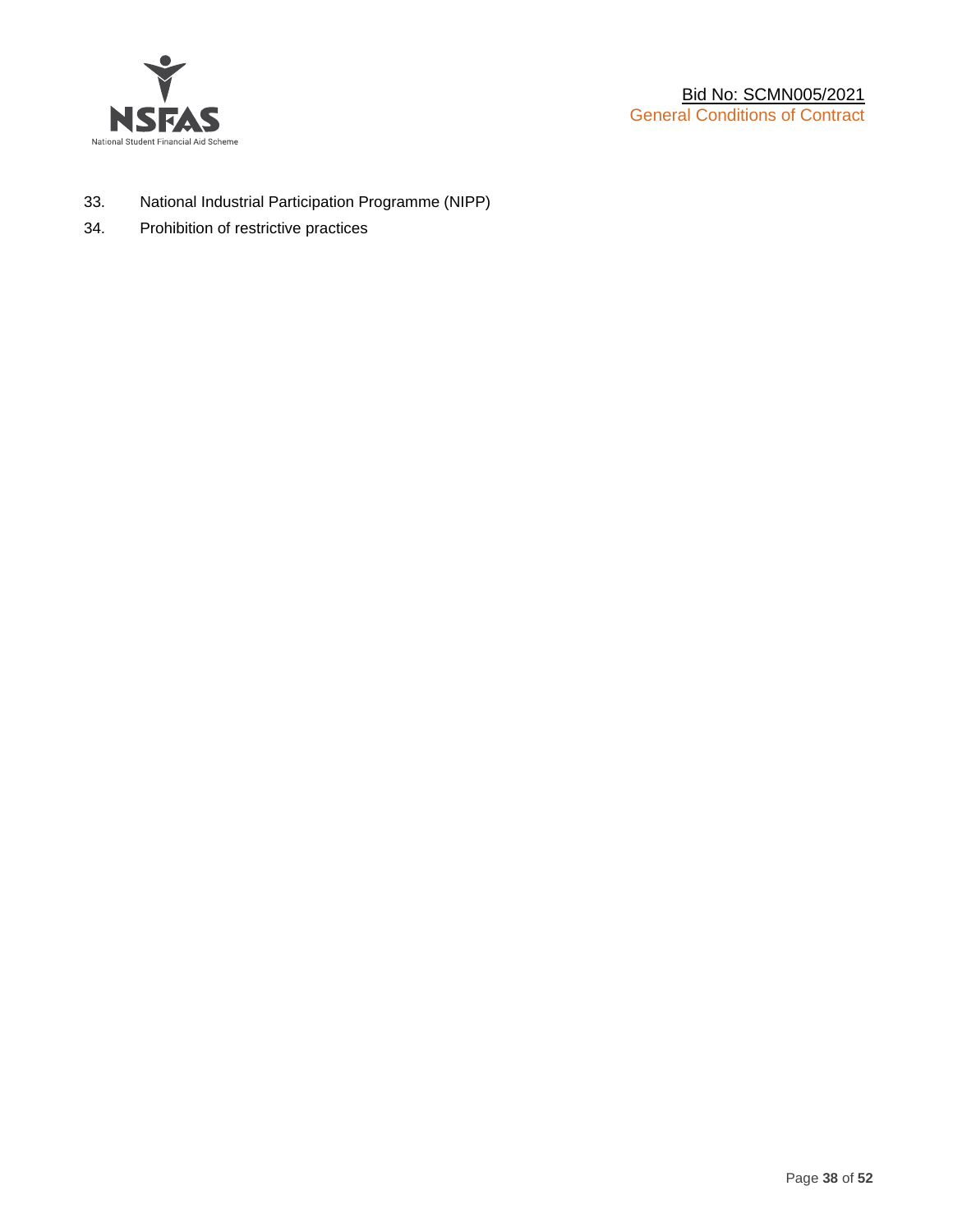

- 33. National Industrial Participation Programme (NIPP)
- 34. Prohibition of restrictive practices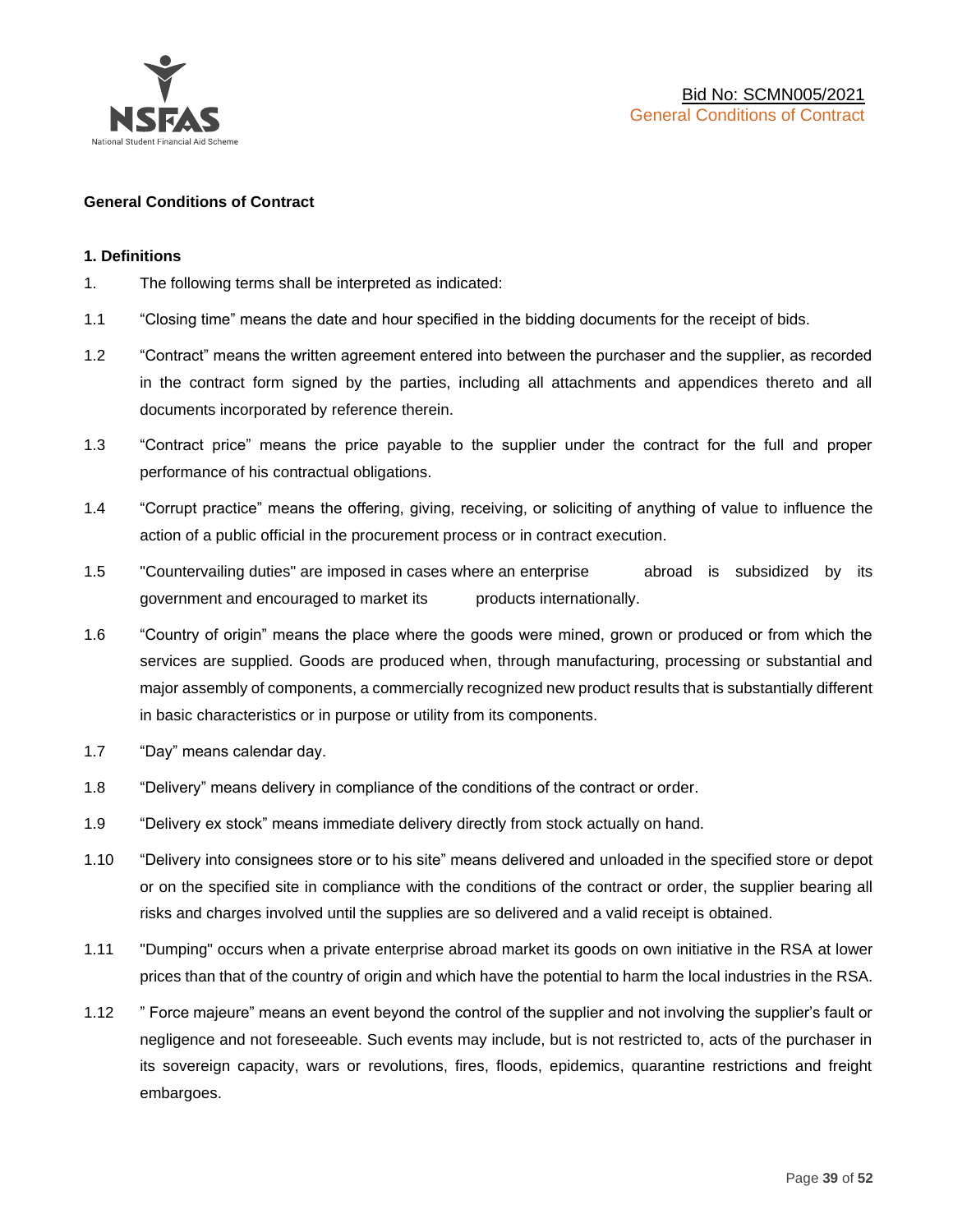

#### **General Conditions of Contract**

#### **1. Definitions**

- 1. The following terms shall be interpreted as indicated:
- 1.1 "Closing time" means the date and hour specified in the bidding documents for the receipt of bids.
- 1.2 "Contract" means the written agreement entered into between the purchaser and the supplier, as recorded in the contract form signed by the parties, including all attachments and appendices thereto and all documents incorporated by reference therein.
- 1.3 "Contract price" means the price payable to the supplier under the contract for the full and proper performance of his contractual obligations.
- 1.4 "Corrupt practice" means the offering, giving, receiving, or soliciting of anything of value to influence the action of a public official in the procurement process or in contract execution.
- 1.5 "Countervailing duties" are imposed in cases where an enterprise abroad is subsidized by its government and encouraged to market its products internationally.
- 1.6 "Country of origin" means the place where the goods were mined, grown or produced or from which the services are supplied. Goods are produced when, through manufacturing, processing or substantial and major assembly of components, a commercially recognized new product results that is substantially different in basic characteristics or in purpose or utility from its components.
- 1.7 "Day" means calendar day.
- 1.8 "Delivery" means delivery in compliance of the conditions of the contract or order.
- 1.9 "Delivery ex stock" means immediate delivery directly from stock actually on hand.
- 1.10 "Delivery into consignees store or to his site" means delivered and unloaded in the specified store or depot or on the specified site in compliance with the conditions of the contract or order, the supplier bearing all risks and charges involved until the supplies are so delivered and a valid receipt is obtained.
- 1.11 "Dumping" occurs when a private enterprise abroad market its goods on own initiative in the RSA at lower prices than that of the country of origin and which have the potential to harm the local industries in the RSA.
- 1.12 " Force majeure" means an event beyond the control of the supplier and not involving the supplier's fault or negligence and not foreseeable. Such events may include, but is not restricted to, acts of the purchaser in its sovereign capacity, wars or revolutions, fires, floods, epidemics, quarantine restrictions and freight embargoes.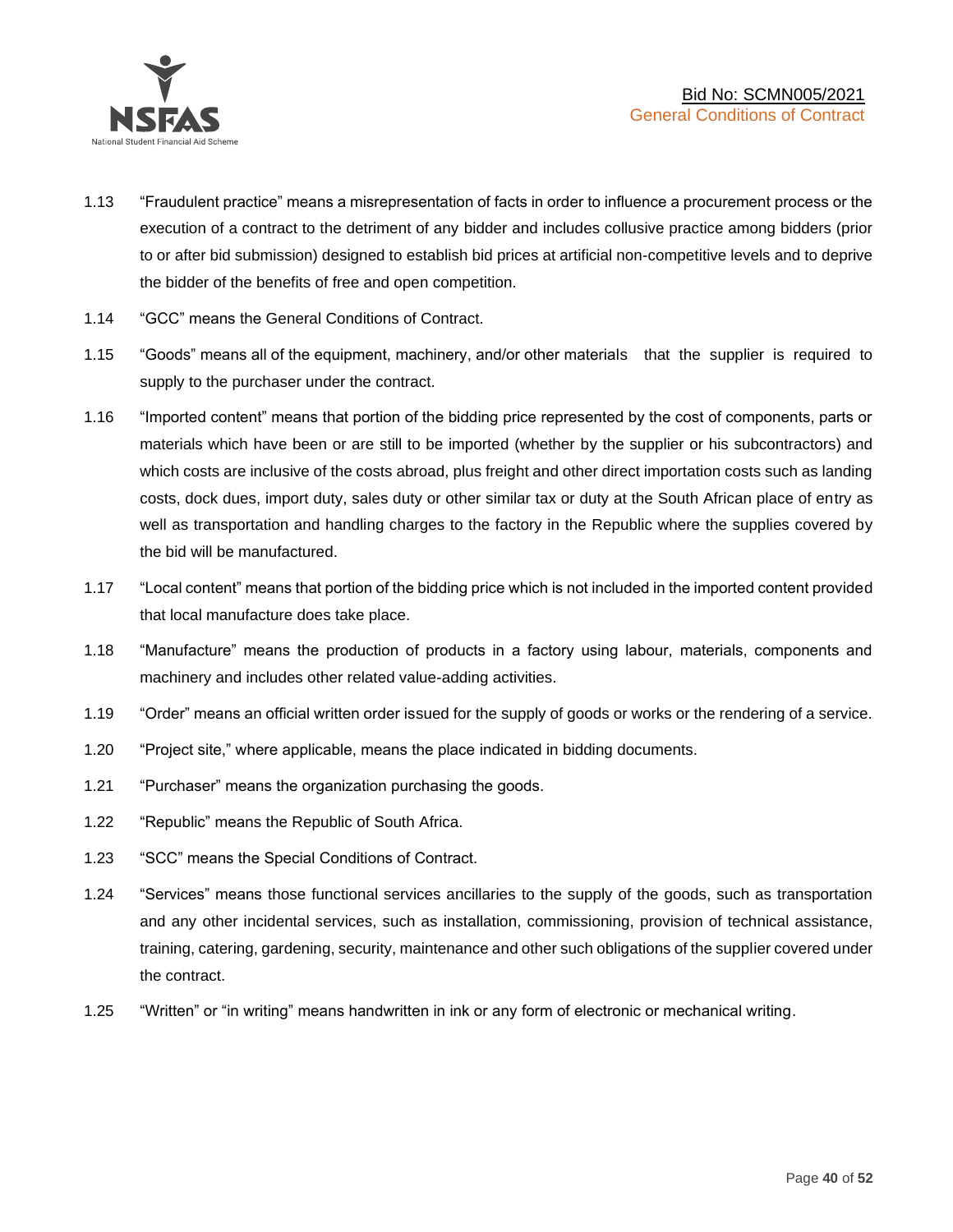

- 1.13 "Fraudulent practice" means a misrepresentation of facts in order to influence a procurement process or the execution of a contract to the detriment of any bidder and includes collusive practice among bidders (prior to or after bid submission) designed to establish bid prices at artificial non-competitive levels and to deprive the bidder of the benefits of free and open competition.
- 1.14 "GCC" means the General Conditions of Contract.
- 1.15 "Goods" means all of the equipment, machinery, and/or other materials that the supplier is required to supply to the purchaser under the contract.
- 1.16 "Imported content" means that portion of the bidding price represented by the cost of components, parts or materials which have been or are still to be imported (whether by the supplier or his subcontractors) and which costs are inclusive of the costs abroad, plus freight and other direct importation costs such as landing costs, dock dues, import duty, sales duty or other similar tax or duty at the South African place of entry as well as transportation and handling charges to the factory in the Republic where the supplies covered by the bid will be manufactured.
- 1.17 "Local content" means that portion of the bidding price which is not included in the imported content provided that local manufacture does take place.
- 1.18 "Manufacture" means the production of products in a factory using labour, materials, components and machinery and includes other related value-adding activities.
- 1.19 "Order" means an official written order issued for the supply of goods or works or the rendering of a service.
- 1.20 "Project site," where applicable, means the place indicated in bidding documents.
- 1.21 "Purchaser" means the organization purchasing the goods.
- 1.22 "Republic" means the Republic of South Africa.
- 1.23 "SCC" means the Special Conditions of Contract.
- 1.24 "Services" means those functional services ancillaries to the supply of the goods, such as transportation and any other incidental services, such as installation, commissioning, provision of technical assistance, training, catering, gardening, security, maintenance and other such obligations of the supplier covered under the contract.
- 1.25 "Written" or "in writing" means handwritten in ink or any form of electronic or mechanical writing.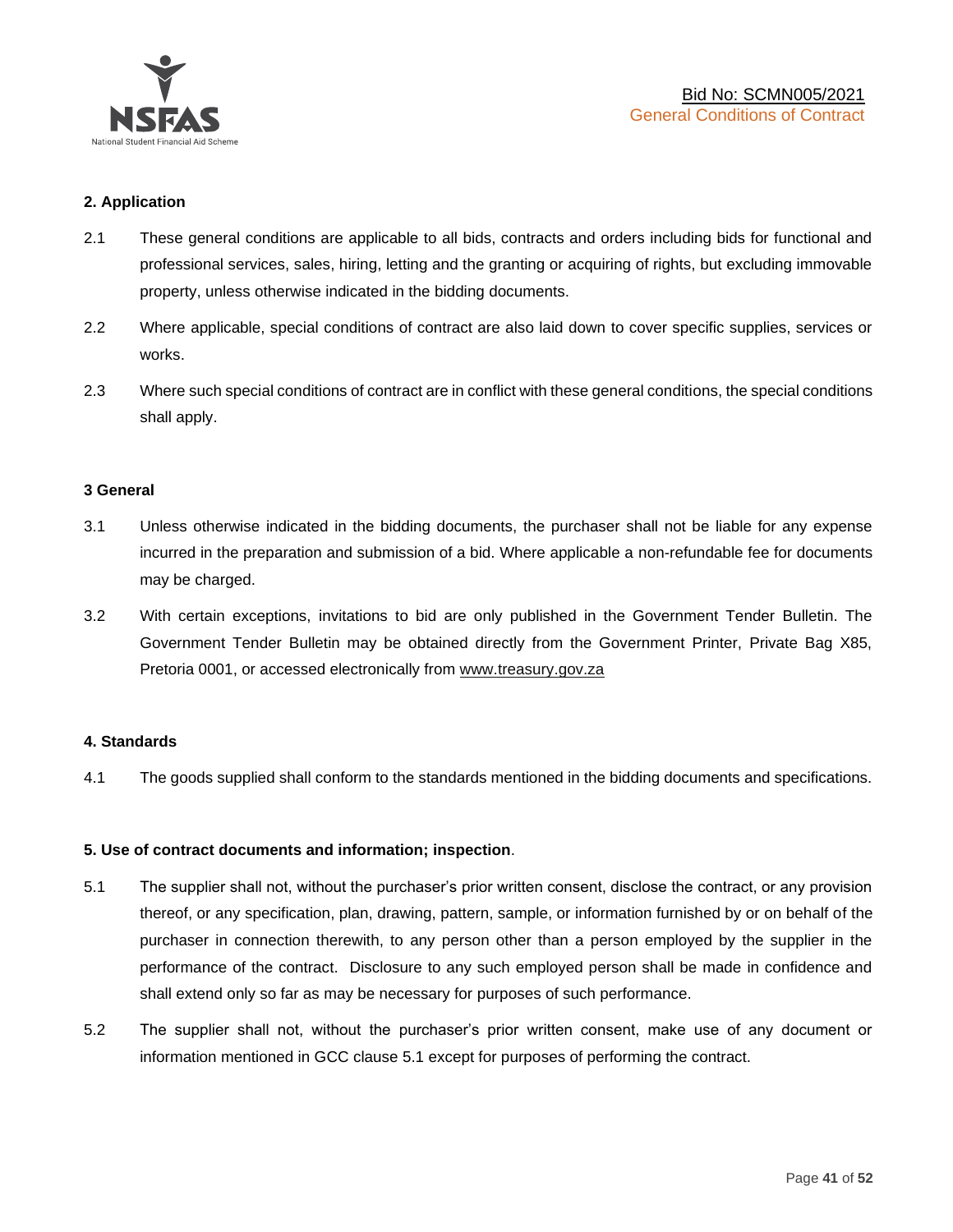

## **2. Application**

- 2.1 These general conditions are applicable to all bids, contracts and orders including bids for functional and professional services, sales, hiring, letting and the granting or acquiring of rights, but excluding immovable property, unless otherwise indicated in the bidding documents.
- 2.2 Where applicable, special conditions of contract are also laid down to cover specific supplies, services or works.
- 2.3 Where such special conditions of contract are in conflict with these general conditions, the special conditions shall apply.

#### **3 General**

- 3.1 Unless otherwise indicated in the bidding documents, the purchaser shall not be liable for any expense incurred in the preparation and submission of a bid. Where applicable a non-refundable fee for documents may be charged.
- 3.2 With certain exceptions, invitations to bid are only published in the Government Tender Bulletin. The Government Tender Bulletin may be obtained directly from the Government Printer, Private Bag X85, Pretoria 0001, or accessed electronically from [www.treasury.gov.za](http://www.treasury.gov.za/)

#### **4. Standards**

4.1 The goods supplied shall conform to the standards mentioned in the bidding documents and specifications.

#### **5. Use of contract documents and information; inspection**.

- 5.1 The supplier shall not, without the purchaser's prior written consent, disclose the contract, or any provision thereof, or any specification, plan, drawing, pattern, sample, or information furnished by or on behalf of the purchaser in connection therewith, to any person other than a person employed by the supplier in the performance of the contract. Disclosure to any such employed person shall be made in confidence and shall extend only so far as may be necessary for purposes of such performance.
- 5.2 The supplier shall not, without the purchaser's prior written consent, make use of any document or information mentioned in GCC clause 5.1 except for purposes of performing the contract.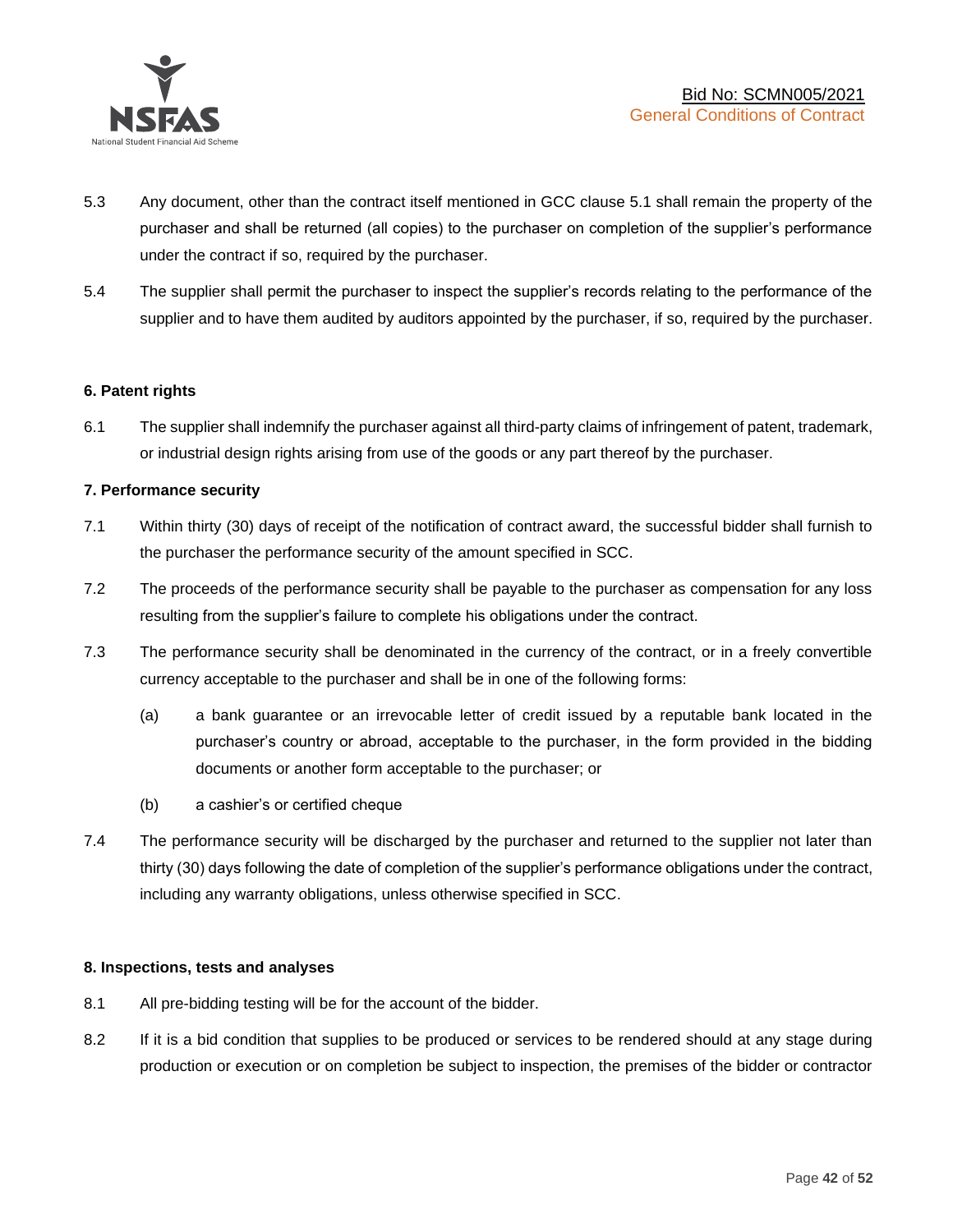

- 5.3 Any document, other than the contract itself mentioned in GCC clause 5.1 shall remain the property of the purchaser and shall be returned (all copies) to the purchaser on completion of the supplier's performance under the contract if so, required by the purchaser.
- 5.4 The supplier shall permit the purchaser to inspect the supplier's records relating to the performance of the supplier and to have them audited by auditors appointed by the purchaser, if so, required by the purchaser.

#### **6. Patent rights**

6.1 The supplier shall indemnify the purchaser against all third-party claims of infringement of patent, trademark, or industrial design rights arising from use of the goods or any part thereof by the purchaser.

## **7. Performance security**

- 7.1 Within thirty (30) days of receipt of the notification of contract award, the successful bidder shall furnish to the purchaser the performance security of the amount specified in SCC.
- 7.2 The proceeds of the performance security shall be payable to the purchaser as compensation for any loss resulting from the supplier's failure to complete his obligations under the contract.
- 7.3 The performance security shall be denominated in the currency of the contract, or in a freely convertible currency acceptable to the purchaser and shall be in one of the following forms:
	- (a) a bank guarantee or an irrevocable letter of credit issued by a reputable bank located in the purchaser's country or abroad, acceptable to the purchaser, in the form provided in the bidding documents or another form acceptable to the purchaser; or
	- (b) a cashier's or certified cheque
- 7.4 The performance security will be discharged by the purchaser and returned to the supplier not later than thirty (30) days following the date of completion of the supplier's performance obligations under the contract, including any warranty obligations, unless otherwise specified in SCC.

#### **8. Inspections, tests and analyses**

- 8.1 All pre-bidding testing will be for the account of the bidder.
- 8.2 If it is a bid condition that supplies to be produced or services to be rendered should at any stage during production or execution or on completion be subject to inspection, the premises of the bidder or contractor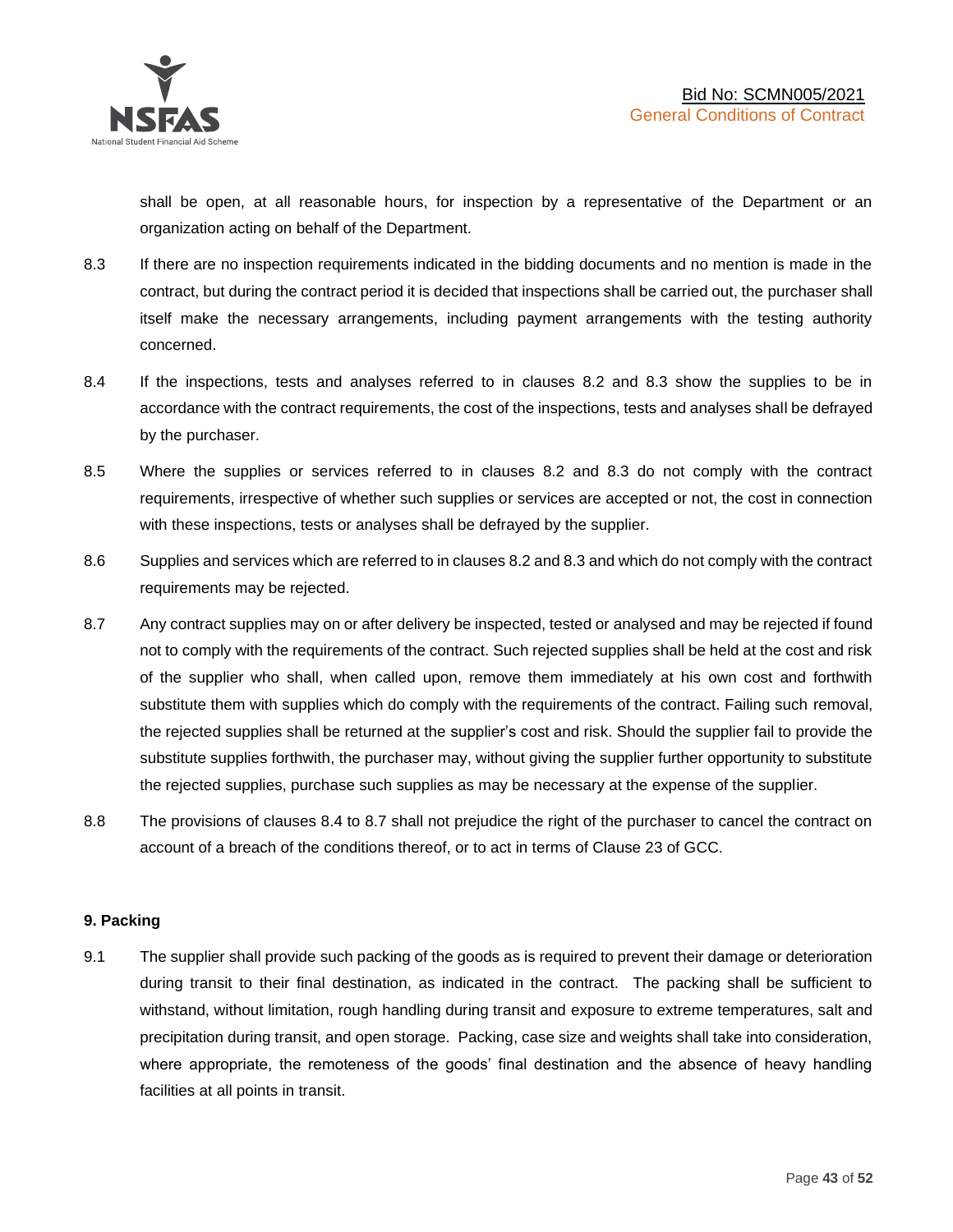shall be open, at all reasonable hours, for inspection by a representative of the Department or an organization acting on behalf of the Department.

- 8.3 If there are no inspection requirements indicated in the bidding documents and no mention is made in the contract, but during the contract period it is decided that inspections shall be carried out, the purchaser shall itself make the necessary arrangements, including payment arrangements with the testing authority concerned.
- 8.4 If the inspections, tests and analyses referred to in clauses 8.2 and 8.3 show the supplies to be in accordance with the contract requirements, the cost of the inspections, tests and analyses shall be defrayed by the purchaser.
- 8.5 Where the supplies or services referred to in clauses 8.2 and 8.3 do not comply with the contract requirements, irrespective of whether such supplies or services are accepted or not, the cost in connection with these inspections, tests or analyses shall be defrayed by the supplier.
- 8.6 Supplies and services which are referred to in clauses 8.2 and 8.3 and which do not comply with the contract requirements may be rejected.
- 8.7 Any contract supplies may on or after delivery be inspected, tested or analysed and may be rejected if found not to comply with the requirements of the contract. Such rejected supplies shall be held at the cost and risk of the supplier who shall, when called upon, remove them immediately at his own cost and forthwith substitute them with supplies which do comply with the requirements of the contract. Failing such removal, the rejected supplies shall be returned at the supplier's cost and risk. Should the supplier fail to provide the substitute supplies forthwith, the purchaser may, without giving the supplier further opportunity to substitute the rejected supplies, purchase such supplies as may be necessary at the expense of the supplier.
- 8.8 The provisions of clauses 8.4 to 8.7 shall not prejudice the right of the purchaser to cancel the contract on account of a breach of the conditions thereof, or to act in terms of Clause 23 of GCC.

## **9. Packing**

9.1 The supplier shall provide such packing of the goods as is required to prevent their damage or deterioration during transit to their final destination, as indicated in the contract. The packing shall be sufficient to withstand, without limitation, rough handling during transit and exposure to extreme temperatures, salt and precipitation during transit, and open storage. Packing, case size and weights shall take into consideration, where appropriate, the remoteness of the goods' final destination and the absence of heavy handling facilities at all points in transit.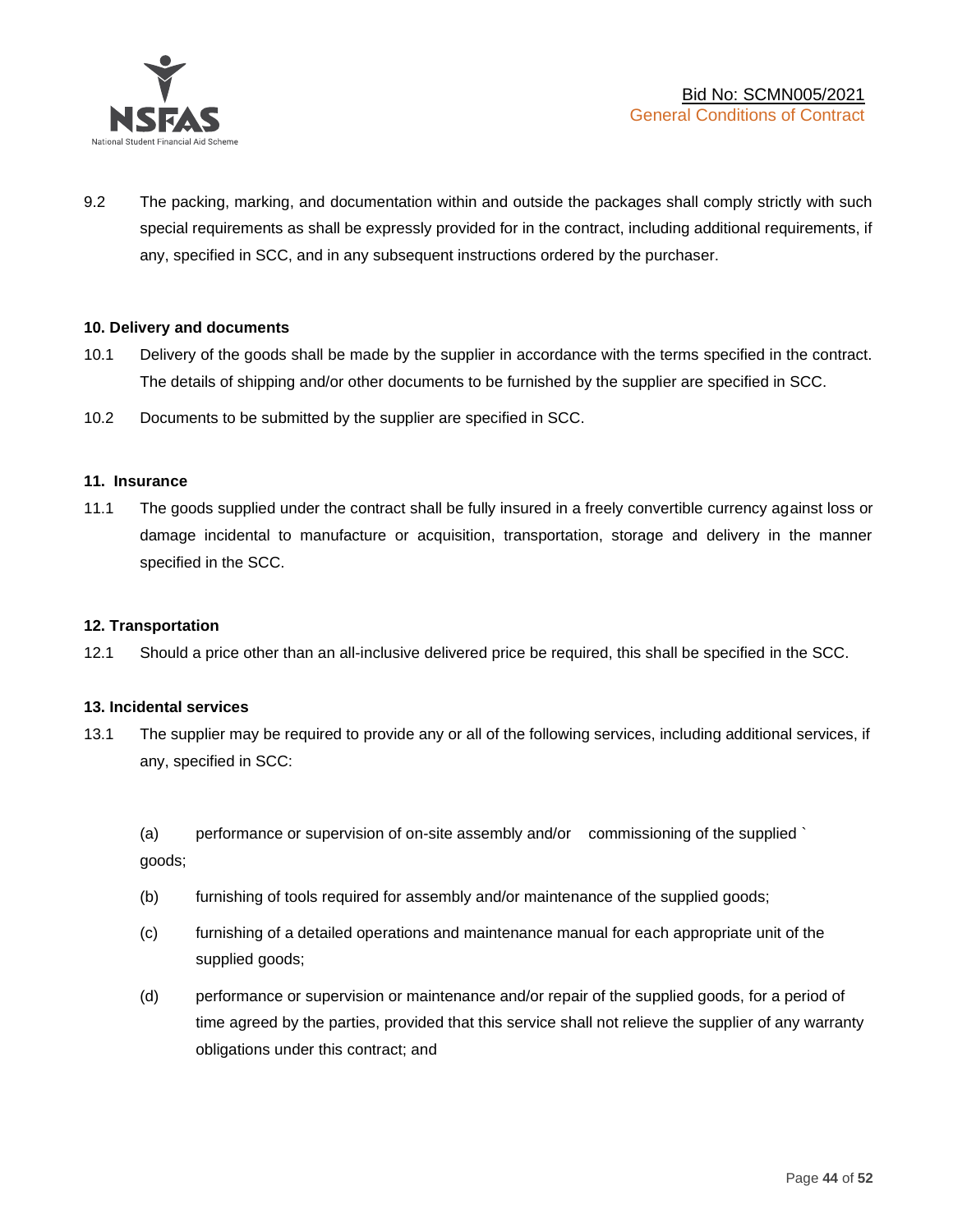

9.2 The packing, marking, and documentation within and outside the packages shall comply strictly with such special requirements as shall be expressly provided for in the contract, including additional requirements, if any, specified in SCC, and in any subsequent instructions ordered by the purchaser.

#### **10. Delivery and documents**

- 10.1 Delivery of the goods shall be made by the supplier in accordance with the terms specified in the contract. The details of shipping and/or other documents to be furnished by the supplier are specified in SCC.
- 10.2 Documents to be submitted by the supplier are specified in SCC.

#### **11. Insurance**

11.1 The goods supplied under the contract shall be fully insured in a freely convertible currency against loss or damage incidental to manufacture or acquisition, transportation, storage and delivery in the manner specified in the SCC.

#### **12. Transportation**

12.1 Should a price other than an all-inclusive delivered price be required, this shall be specified in the SCC.

#### **13. Incidental services**

13.1 The supplier may be required to provide any or all of the following services, including additional services, if any, specified in SCC:

(a) performance or supervision of on-site assembly and/or commissioning of the supplied ` goods;

- (b) furnishing of tools required for assembly and/or maintenance of the supplied goods;
- (c) furnishing of a detailed operations and maintenance manual for each appropriate unit of the supplied goods;
- (d) performance or supervision or maintenance and/or repair of the supplied goods, for a period of time agreed by the parties, provided that this service shall not relieve the supplier of any warranty obligations under this contract; and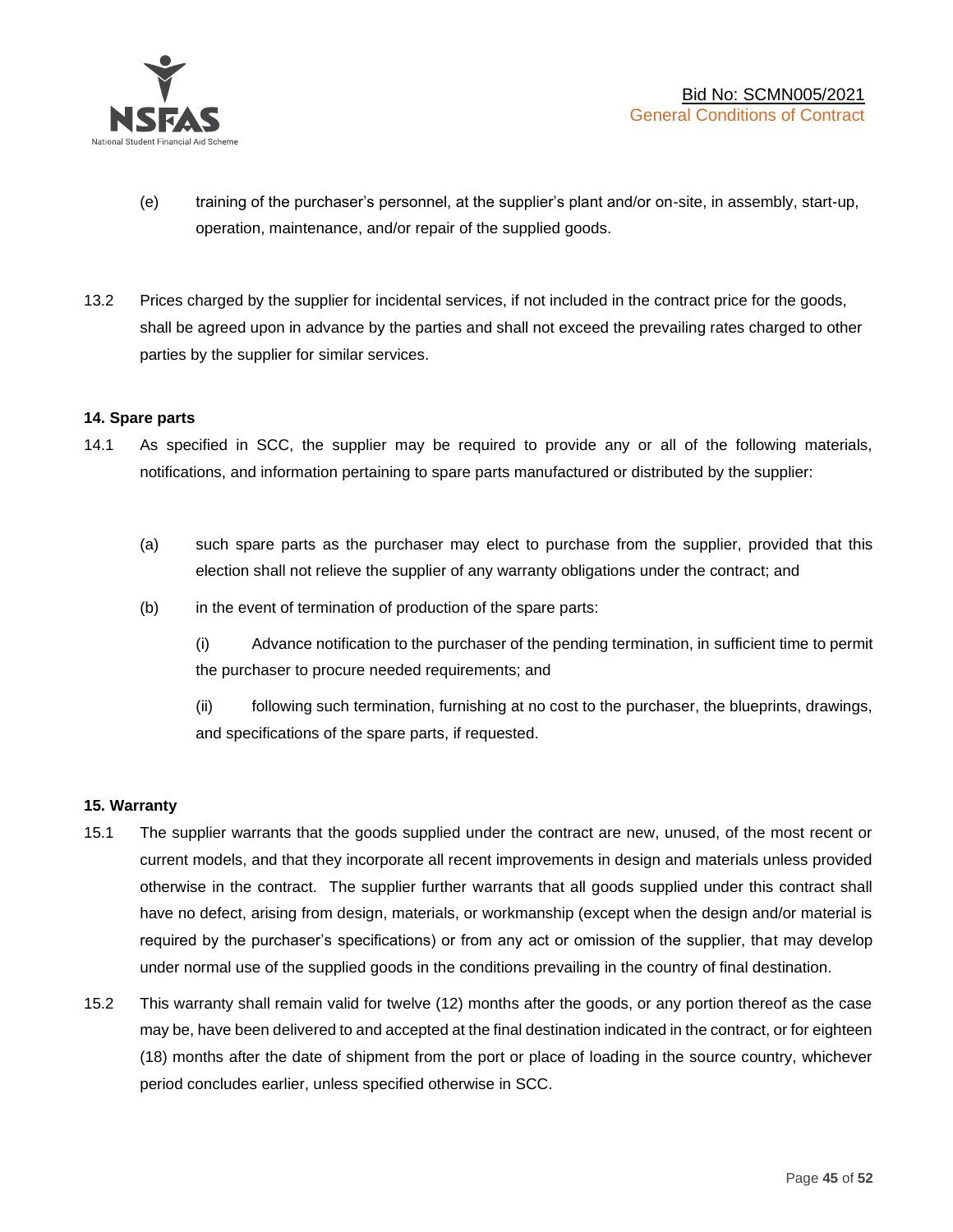

- (e) training of the purchaser's personnel, at the supplier's plant and/or on-site, in assembly, start-up, operation, maintenance, and/or repair of the supplied goods.
- 13.2 Prices charged by the supplier for incidental services, if not included in the contract price for the goods, shall be agreed upon in advance by the parties and shall not exceed the prevailing rates charged to other parties by the supplier for similar services.

## **14. Spare parts**

- 14.1 As specified in SCC, the supplier may be required to provide any or all of the following materials, notifications, and information pertaining to spare parts manufactured or distributed by the supplier:
	- (a) such spare parts as the purchaser may elect to purchase from the supplier, provided that this election shall not relieve the supplier of any warranty obligations under the contract; and
	- (b) in the event of termination of production of the spare parts:

(i) Advance notification to the purchaser of the pending termination, in sufficient time to permit the purchaser to procure needed requirements; and

(ii) following such termination, furnishing at no cost to the purchaser, the blueprints, drawings, and specifications of the spare parts, if requested.

#### **15. Warranty**

- 15.1 The supplier warrants that the goods supplied under the contract are new, unused, of the most recent or current models, and that they incorporate all recent improvements in design and materials unless provided otherwise in the contract. The supplier further warrants that all goods supplied under this contract shall have no defect, arising from design, materials, or workmanship (except when the design and/or material is required by the purchaser's specifications) or from any act or omission of the supplier, that may develop under normal use of the supplied goods in the conditions prevailing in the country of final destination.
- 15.2 This warranty shall remain valid for twelve (12) months after the goods, or any portion thereof as the case may be, have been delivered to and accepted at the final destination indicated in the contract, or for eighteen (18) months after the date of shipment from the port or place of loading in the source country, whichever period concludes earlier, unless specified otherwise in SCC.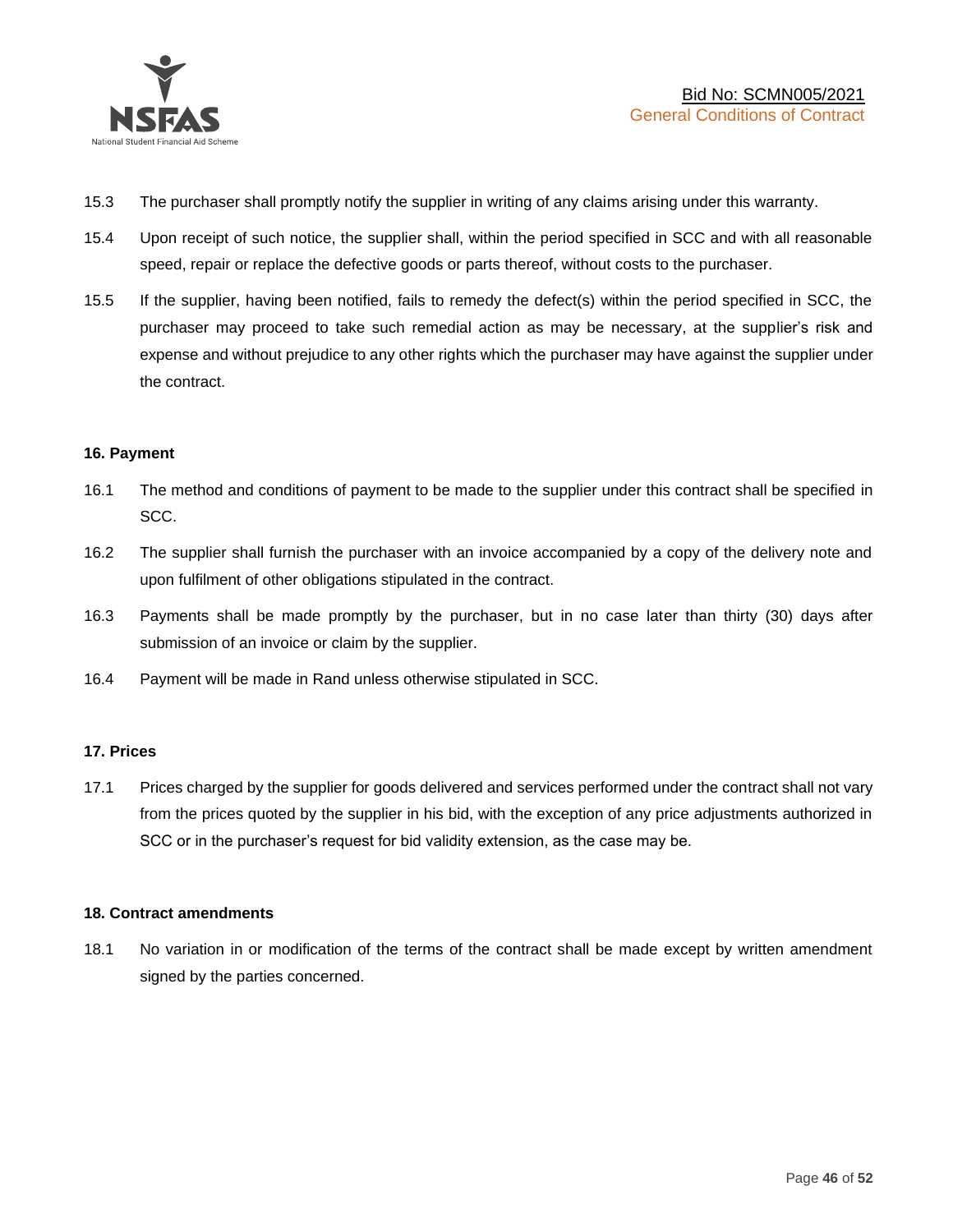

- 15.3 The purchaser shall promptly notify the supplier in writing of any claims arising under this warranty.
- 15.4 Upon receipt of such notice, the supplier shall, within the period specified in SCC and with all reasonable speed, repair or replace the defective goods or parts thereof, without costs to the purchaser.
- 15.5 If the supplier, having been notified, fails to remedy the defect(s) within the period specified in SCC, the purchaser may proceed to take such remedial action as may be necessary, at the supplier's risk and expense and without prejudice to any other rights which the purchaser may have against the supplier under the contract.

## **16. Payment**

- 16.1 The method and conditions of payment to be made to the supplier under this contract shall be specified in SCC.
- 16.2 The supplier shall furnish the purchaser with an invoice accompanied by a copy of the delivery note and upon fulfilment of other obligations stipulated in the contract.
- 16.3 Payments shall be made promptly by the purchaser, but in no case later than thirty (30) days after submission of an invoice or claim by the supplier.
- 16.4 Payment will be made in Rand unless otherwise stipulated in SCC.

#### **17. Prices**

17.1 Prices charged by the supplier for goods delivered and services performed under the contract shall not vary from the prices quoted by the supplier in his bid, with the exception of any price adjustments authorized in SCC or in the purchaser's request for bid validity extension, as the case may be.

#### **18. Contract amendments**

18.1 No variation in or modification of the terms of the contract shall be made except by written amendment signed by the parties concerned.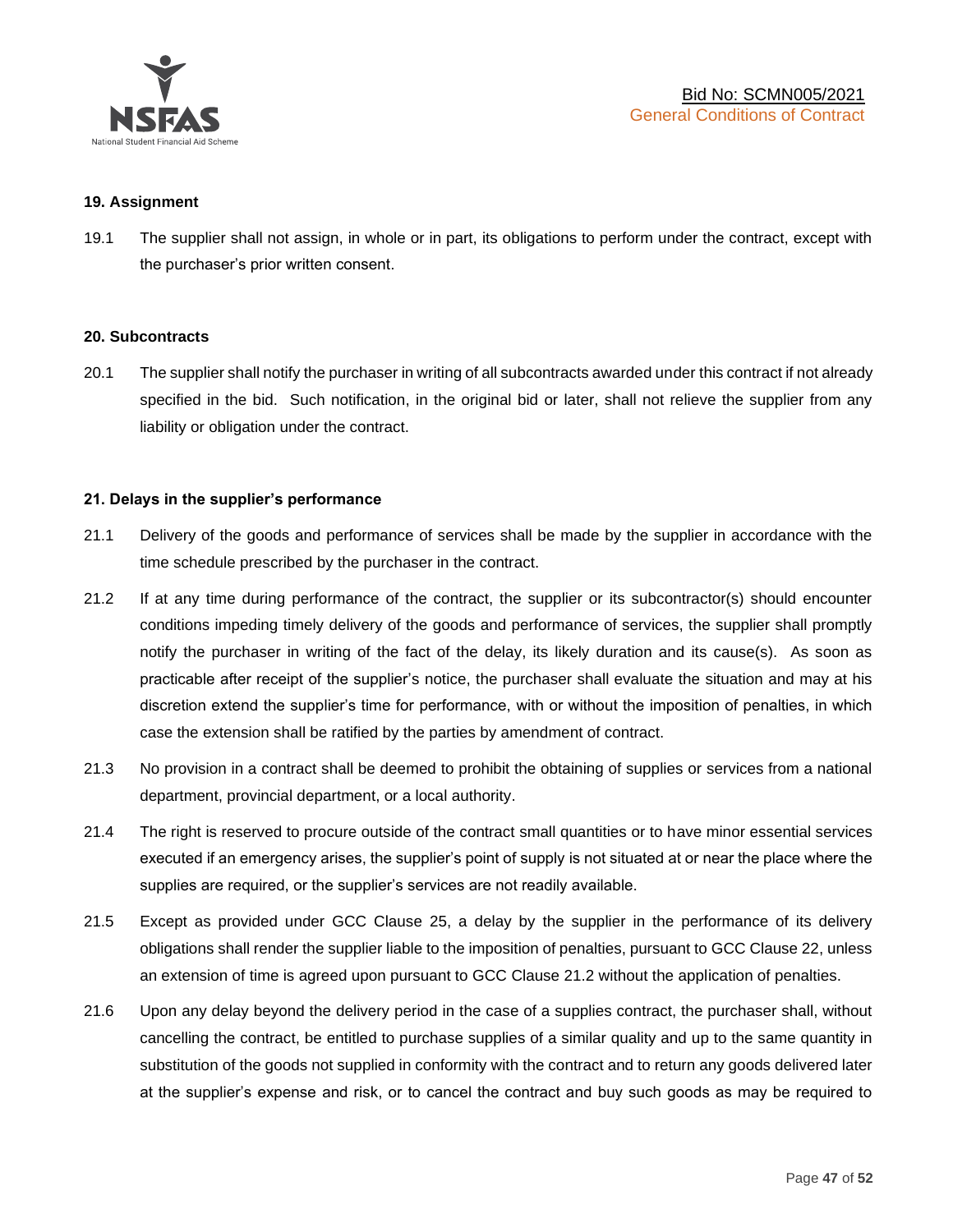

#### **19. Assignment**

19.1 The supplier shall not assign, in whole or in part, its obligations to perform under the contract, except with the purchaser's prior written consent.

#### **20. Subcontracts**

20.1 The supplier shall notify the purchaser in writing of all subcontracts awarded under this contract if not already specified in the bid. Such notification, in the original bid or later, shall not relieve the supplier from any liability or obligation under the contract.

#### **21. Delays in the supplier's performance**

- 21.1 Delivery of the goods and performance of services shall be made by the supplier in accordance with the time schedule prescribed by the purchaser in the contract.
- 21.2 If at any time during performance of the contract, the supplier or its subcontractor(s) should encounter conditions impeding timely delivery of the goods and performance of services, the supplier shall promptly notify the purchaser in writing of the fact of the delay, its likely duration and its cause(s). As soon as practicable after receipt of the supplier's notice, the purchaser shall evaluate the situation and may at his discretion extend the supplier's time for performance, with or without the imposition of penalties, in which case the extension shall be ratified by the parties by amendment of contract.
- 21.3 No provision in a contract shall be deemed to prohibit the obtaining of supplies or services from a national department, provincial department, or a local authority.
- 21.4 The right is reserved to procure outside of the contract small quantities or to have minor essential services executed if an emergency arises, the supplier's point of supply is not situated at or near the place where the supplies are required, or the supplier's services are not readily available.
- 21.5 Except as provided under GCC Clause 25, a delay by the supplier in the performance of its delivery obligations shall render the supplier liable to the imposition of penalties, pursuant to GCC Clause 22, unless an extension of time is agreed upon pursuant to GCC Clause 21.2 without the application of penalties.
- 21.6 Upon any delay beyond the delivery period in the case of a supplies contract, the purchaser shall, without cancelling the contract, be entitled to purchase supplies of a similar quality and up to the same quantity in substitution of the goods not supplied in conformity with the contract and to return any goods delivered later at the supplier's expense and risk, or to cancel the contract and buy such goods as may be required to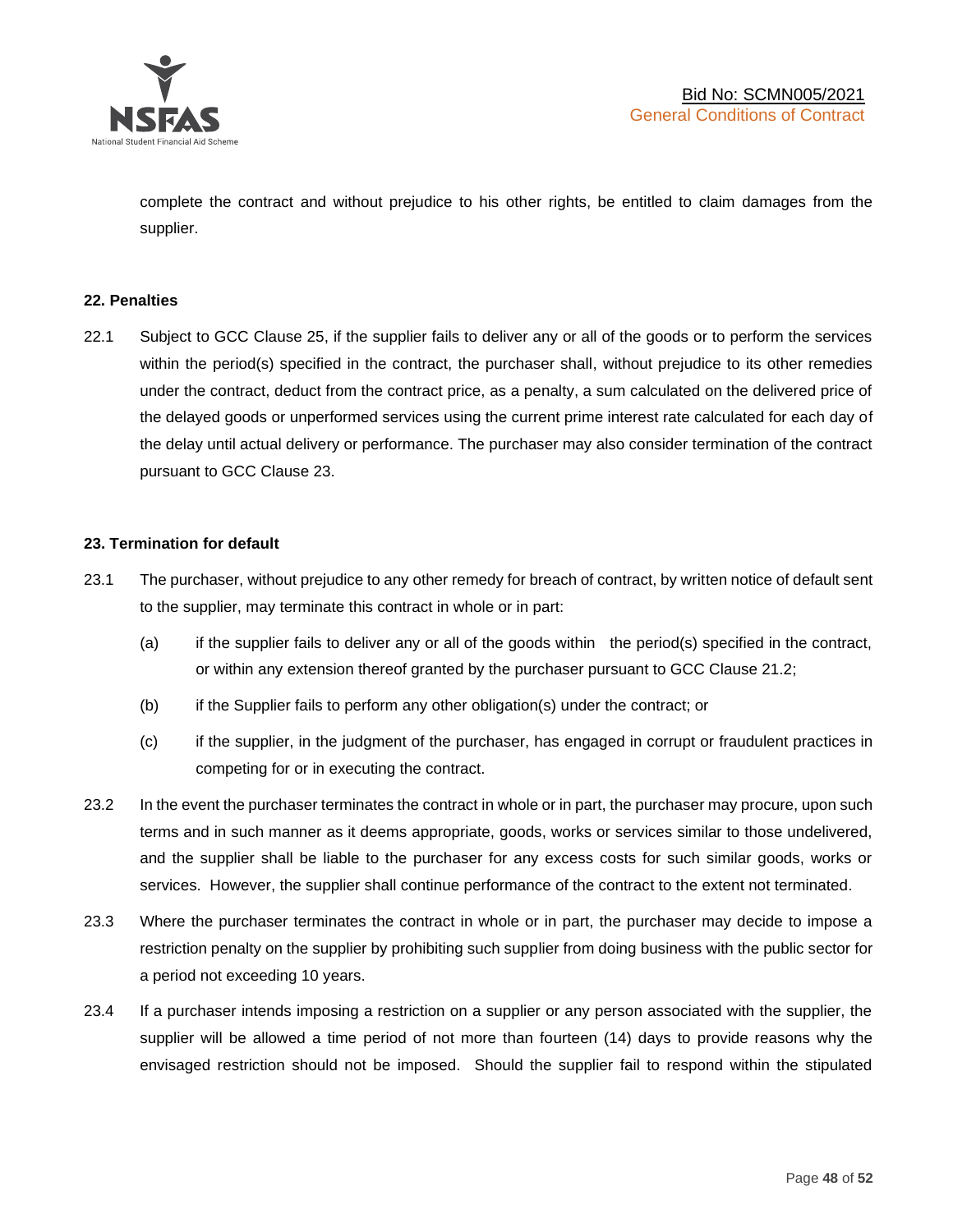

complete the contract and without prejudice to his other rights, be entitled to claim damages from the supplier.

#### **22. Penalties**

22.1 Subject to GCC Clause 25, if the supplier fails to deliver any or all of the goods or to perform the services within the period(s) specified in the contract, the purchaser shall, without prejudice to its other remedies under the contract, deduct from the contract price, as a penalty, a sum calculated on the delivered price of the delayed goods or unperformed services using the current prime interest rate calculated for each day of the delay until actual delivery or performance. The purchaser may also consider termination of the contract pursuant to GCC Clause 23.

## **23. Termination for default**

- 23.1 The purchaser, without prejudice to any other remedy for breach of contract, by written notice of default sent to the supplier, may terminate this contract in whole or in part:
	- (a) if the supplier fails to deliver any or all of the goods within the period(s) specified in the contract, or within any extension thereof granted by the purchaser pursuant to GCC Clause 21.2;
	- (b) if the Supplier fails to perform any other obligation(s) under the contract; or
	- (c) if the supplier, in the judgment of the purchaser, has engaged in corrupt or fraudulent practices in competing for or in executing the contract.
- 23.2 In the event the purchaser terminates the contract in whole or in part, the purchaser may procure, upon such terms and in such manner as it deems appropriate, goods, works or services similar to those undelivered, and the supplier shall be liable to the purchaser for any excess costs for such similar goods, works or services. However, the supplier shall continue performance of the contract to the extent not terminated.
- 23.3 Where the purchaser terminates the contract in whole or in part, the purchaser may decide to impose a restriction penalty on the supplier by prohibiting such supplier from doing business with the public sector for a period not exceeding 10 years.
- 23.4 If a purchaser intends imposing a restriction on a supplier or any person associated with the supplier, the supplier will be allowed a time period of not more than fourteen (14) days to provide reasons why the envisaged restriction should not be imposed. Should the supplier fail to respond within the stipulated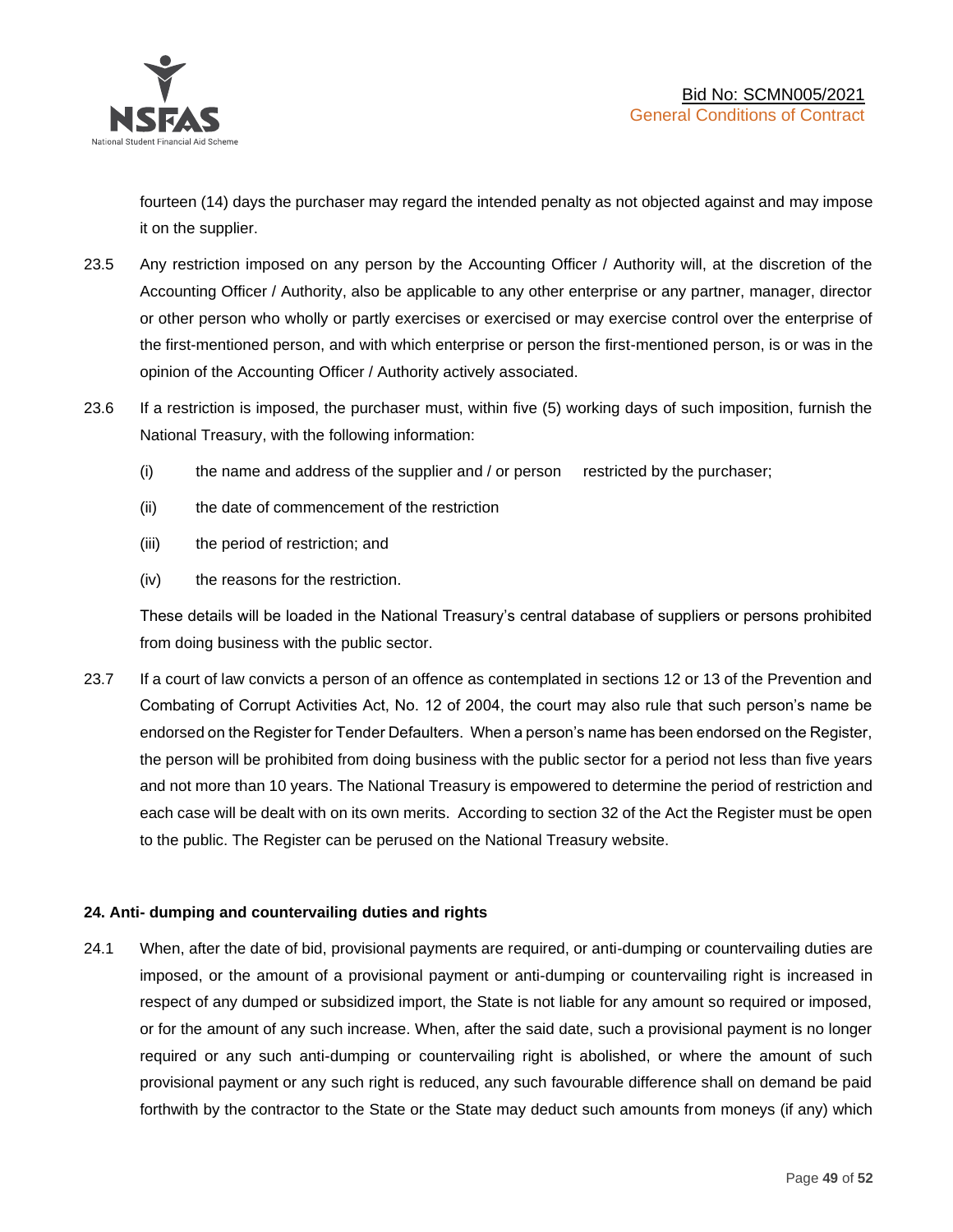

fourteen (14) days the purchaser may regard the intended penalty as not objected against and may impose it on the supplier.

- 23.5 Any restriction imposed on any person by the Accounting Officer / Authority will, at the discretion of the Accounting Officer / Authority, also be applicable to any other enterprise or any partner, manager, director or other person who wholly or partly exercises or exercised or may exercise control over the enterprise of the first-mentioned person, and with which enterprise or person the first-mentioned person, is or was in the opinion of the Accounting Officer / Authority actively associated.
- 23.6 If a restriction is imposed, the purchaser must, within five (5) working days of such imposition, furnish the National Treasury, with the following information:
	- (i) the name and address of the supplier and / or person restricted by the purchaser;
	- (ii) the date of commencement of the restriction
	- (iii) the period of restriction; and
	- (iv) the reasons for the restriction.

These details will be loaded in the National Treasury's central database of suppliers or persons prohibited from doing business with the public sector.

23.7 If a court of law convicts a person of an offence as contemplated in sections 12 or 13 of the Prevention and Combating of Corrupt Activities Act, No. 12 of 2004, the court may also rule that such person's name be endorsed on the Register for Tender Defaulters. When a person's name has been endorsed on the Register, the person will be prohibited from doing business with the public sector for a period not less than five years and not more than 10 years. The National Treasury is empowered to determine the period of restriction and each case will be dealt with on its own merits. According to section 32 of the Act the Register must be open to the public. The Register can be perused on the National Treasury website.

## **24. Anti- dumping and countervailing duties and rights**

24.1 When, after the date of bid, provisional payments are required, or anti-dumping or countervailing duties are imposed, or the amount of a provisional payment or anti-dumping or countervailing right is increased in respect of any dumped or subsidized import, the State is not liable for any amount so required or imposed, or for the amount of any such increase. When, after the said date, such a provisional payment is no longer required or any such anti-dumping or countervailing right is abolished, or where the amount of such provisional payment or any such right is reduced, any such favourable difference shall on demand be paid forthwith by the contractor to the State or the State may deduct such amounts from moneys (if any) which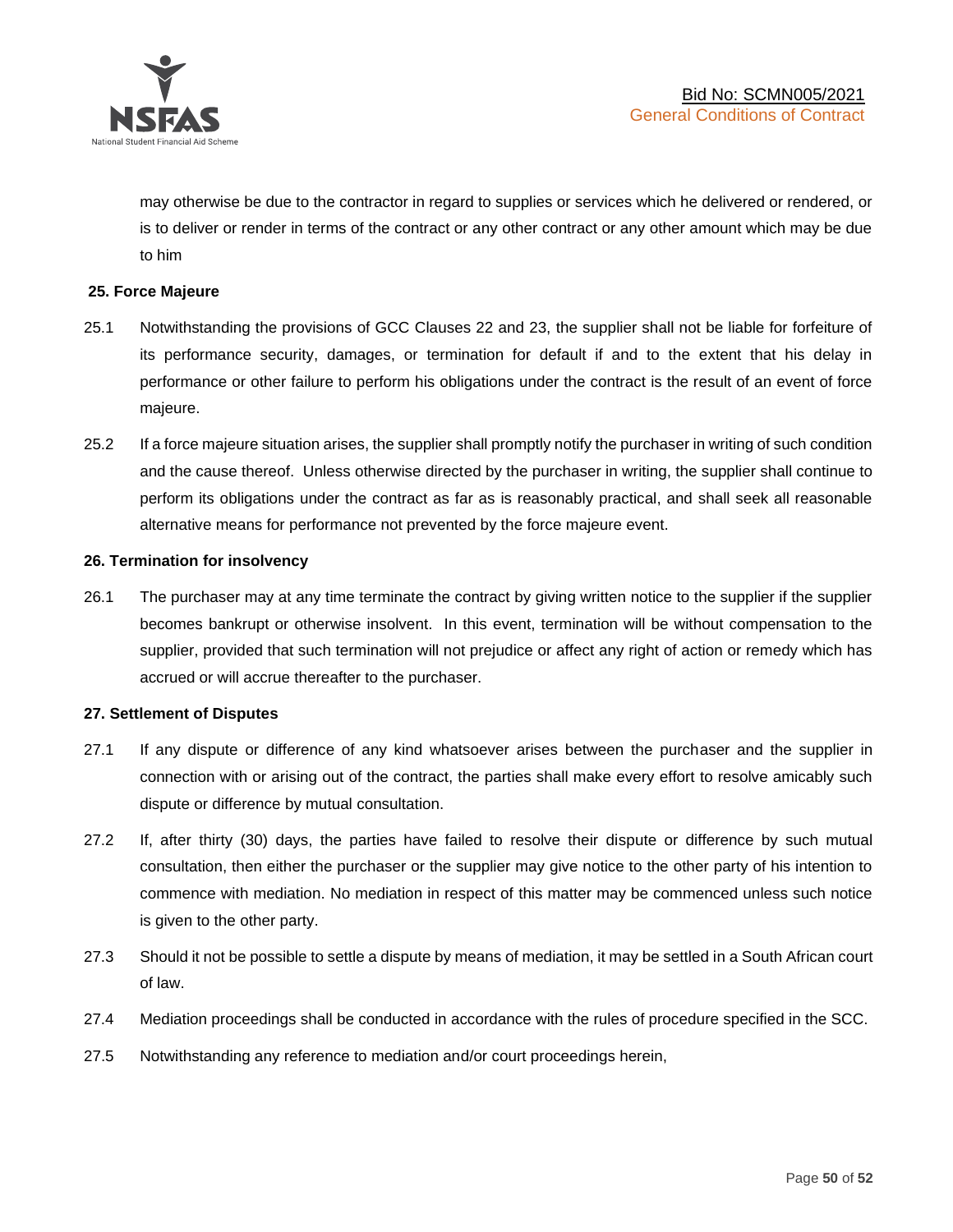

may otherwise be due to the contractor in regard to supplies or services which he delivered or rendered, or is to deliver or render in terms of the contract or any other contract or any other amount which may be due to him

## **25. Force Majeure**

- 25.1 Notwithstanding the provisions of GCC Clauses 22 and 23, the supplier shall not be liable for forfeiture of its performance security, damages, or termination for default if and to the extent that his delay in performance or other failure to perform his obligations under the contract is the result of an event of force majeure.
- 25.2 If a force majeure situation arises, the supplier shall promptly notify the purchaser in writing of such condition and the cause thereof. Unless otherwise directed by the purchaser in writing, the supplier shall continue to perform its obligations under the contract as far as is reasonably practical, and shall seek all reasonable alternative means for performance not prevented by the force majeure event.

#### **26. Termination for insolvency**

26.1 The purchaser may at any time terminate the contract by giving written notice to the supplier if the supplier becomes bankrupt or otherwise insolvent. In this event, termination will be without compensation to the supplier, provided that such termination will not prejudice or affect any right of action or remedy which has accrued or will accrue thereafter to the purchaser.

#### **27. Settlement of Disputes**

- 27.1 If any dispute or difference of any kind whatsoever arises between the purchaser and the supplier in connection with or arising out of the contract, the parties shall make every effort to resolve amicably such dispute or difference by mutual consultation.
- 27.2 If, after thirty (30) days, the parties have failed to resolve their dispute or difference by such mutual consultation, then either the purchaser or the supplier may give notice to the other party of his intention to commence with mediation. No mediation in respect of this matter may be commenced unless such notice is given to the other party.
- 27.3 Should it not be possible to settle a dispute by means of mediation, it may be settled in a South African court of law.
- 27.4 Mediation proceedings shall be conducted in accordance with the rules of procedure specified in the SCC.
- 27.5 Notwithstanding any reference to mediation and/or court proceedings herein,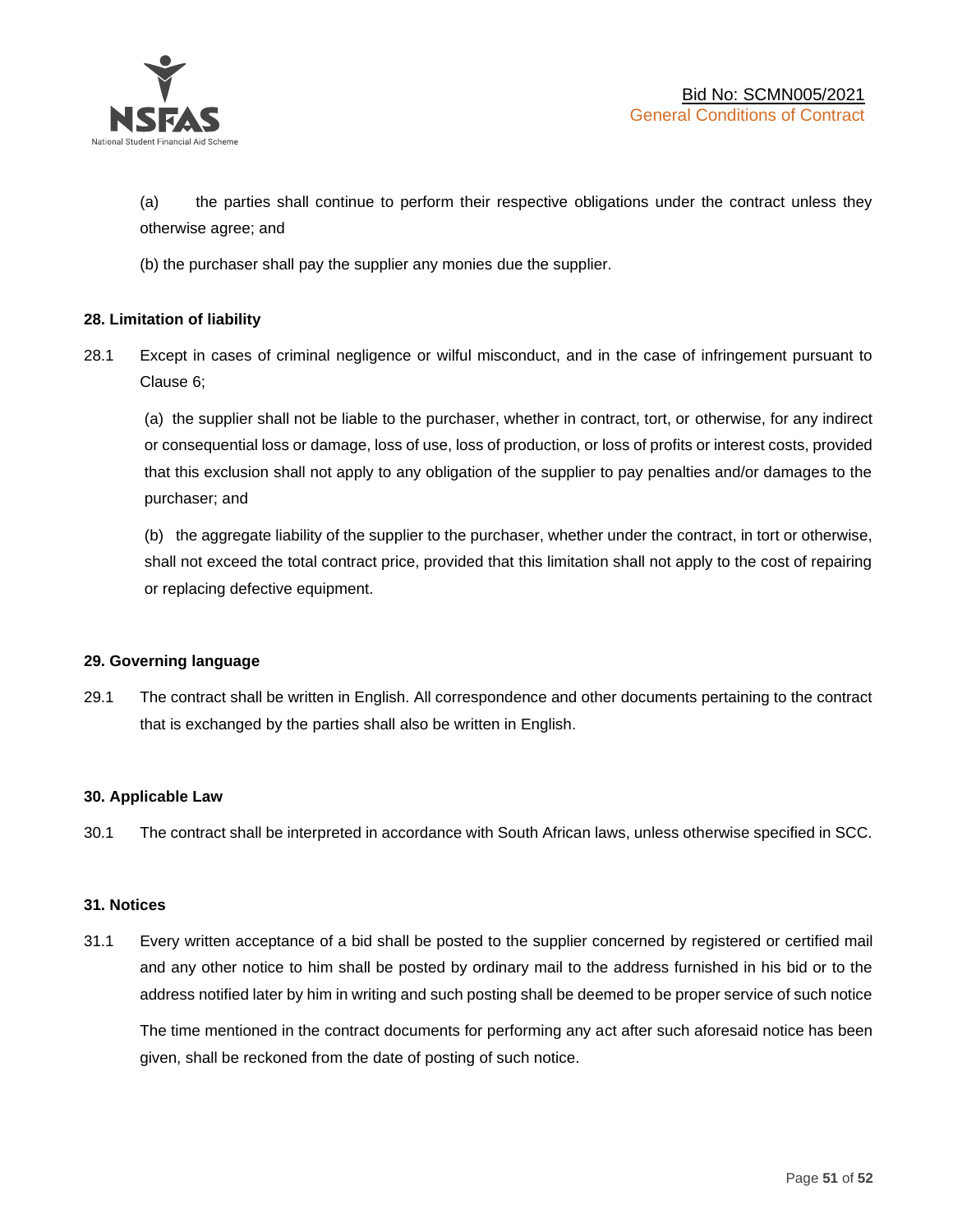

(a) the parties shall continue to perform their respective obligations under the contract unless they otherwise agree; and

(b) the purchaser shall pay the supplier any monies due the supplier.

## **28. Limitation of liability**

28.1 Except in cases of criminal negligence or wilful misconduct, and in the case of infringement pursuant to Clause 6;

(a) the supplier shall not be liable to the purchaser, whether in contract, tort, or otherwise, for any indirect or consequential loss or damage, loss of use, loss of production, or loss of profits or interest costs, provided that this exclusion shall not apply to any obligation of the supplier to pay penalties and/or damages to the purchaser; and

(b) the aggregate liability of the supplier to the purchaser, whether under the contract, in tort or otherwise, shall not exceed the total contract price, provided that this limitation shall not apply to the cost of repairing or replacing defective equipment.

#### **29. Governing language**

29.1 The contract shall be written in English. All correspondence and other documents pertaining to the contract that is exchanged by the parties shall also be written in English.

#### **30. Applicable Law**

30.1 The contract shall be interpreted in accordance with South African laws, unless otherwise specified in SCC.

#### **31. Notices**

31.1 Every written acceptance of a bid shall be posted to the supplier concerned by registered or certified mail and any other notice to him shall be posted by ordinary mail to the address furnished in his bid or to the address notified later by him in writing and such posting shall be deemed to be proper service of such notice

The time mentioned in the contract documents for performing any act after such aforesaid notice has been given, shall be reckoned from the date of posting of such notice.